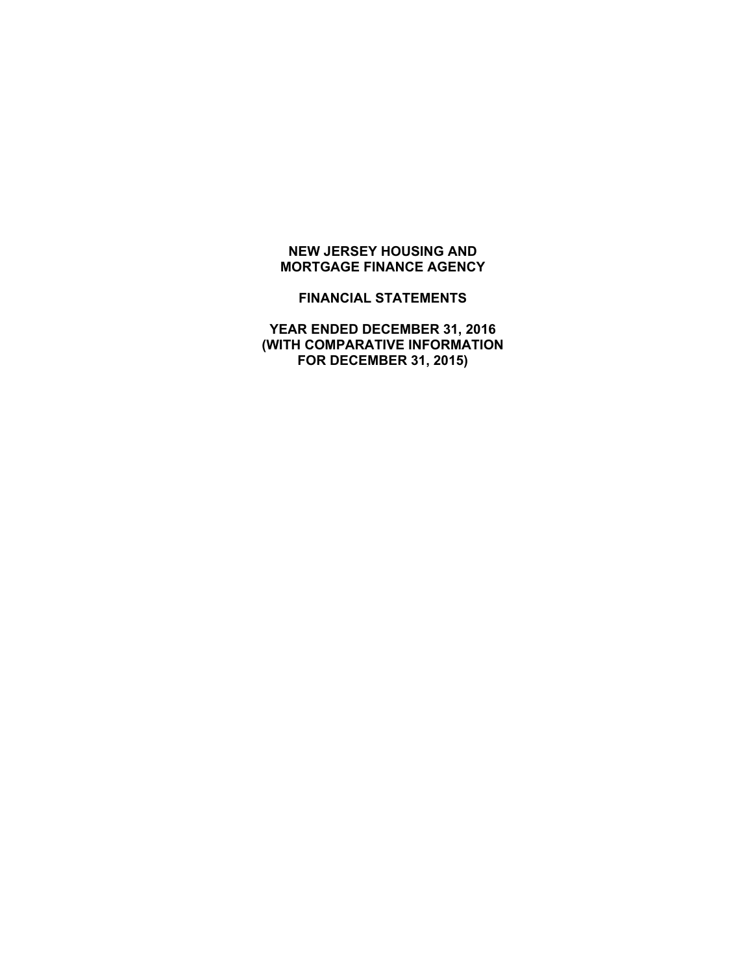### **NEW JERSEY HOUSING AND MORTGAGE FINANCE AGENCY**

**FINANCIAL STATEMENTS** 

**YEAR ENDED DECEMBER 31, 2016 (WITH COMPARATIVE INFORMATION FOR DECEMBER 31, 2015)**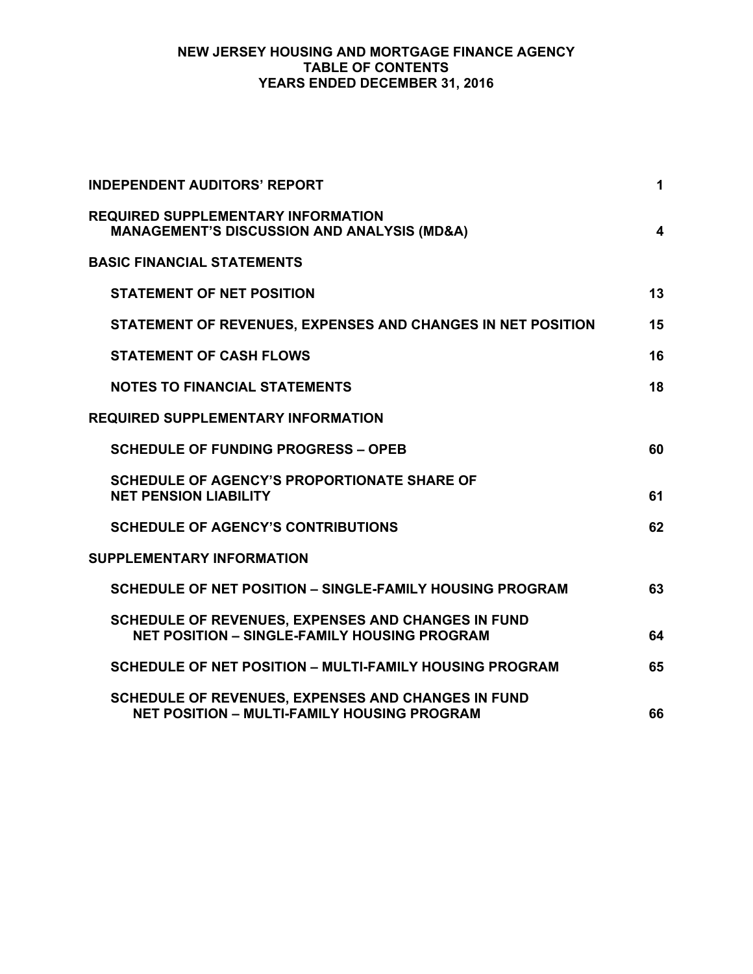### **NEW JERSEY HOUSING AND MORTGAGE FINANCE AGENCY TABLE OF CONTENTS YEARS ENDED DECEMBER 31, 2016**

| <b>INDEPENDENT AUDITORS' REPORT</b>                                                                       | $\mathbf 1$ |
|-----------------------------------------------------------------------------------------------------------|-------------|
| <b>REQUIRED SUPPLEMENTARY INFORMATION</b><br><b>MANAGEMENT'S DISCUSSION AND ANALYSIS (MD&amp;A)</b>       | 4           |
| <b>BASIC FINANCIAL STATEMENTS</b>                                                                         |             |
| <b>STATEMENT OF NET POSITION</b>                                                                          | 13          |
| STATEMENT OF REVENUES, EXPENSES AND CHANGES IN NET POSITION                                               | 15          |
| <b>STATEMENT OF CASH FLOWS</b>                                                                            | 16          |
| <b>NOTES TO FINANCIAL STATEMENTS</b>                                                                      | 18          |
| <b>REQUIRED SUPPLEMENTARY INFORMATION</b>                                                                 |             |
| <b>SCHEDULE OF FUNDING PROGRESS - OPEB</b>                                                                | 60          |
| <b>SCHEDULE OF AGENCY'S PROPORTIONATE SHARE OF</b><br><b>NET PENSION LIABILITY</b>                        | 61          |
| <b>SCHEDULE OF AGENCY'S CONTRIBUTIONS</b>                                                                 | 62          |
| <b>SUPPLEMENTARY INFORMATION</b>                                                                          |             |
| SCHEDULE OF NET POSITION - SINGLE-FAMILY HOUSING PROGRAM                                                  | 63          |
| SCHEDULE OF REVENUES, EXPENSES AND CHANGES IN FUND<br><b>NET POSITION - SINGLE-FAMILY HOUSING PROGRAM</b> | 64          |
| SCHEDULE OF NET POSITION - MULTI-FAMILY HOUSING PROGRAM                                                   | 65          |
| SCHEDULE OF REVENUES, EXPENSES AND CHANGES IN FUND<br><b>NET POSITION - MULTI-FAMILY HOUSING PROGRAM</b>  | 66          |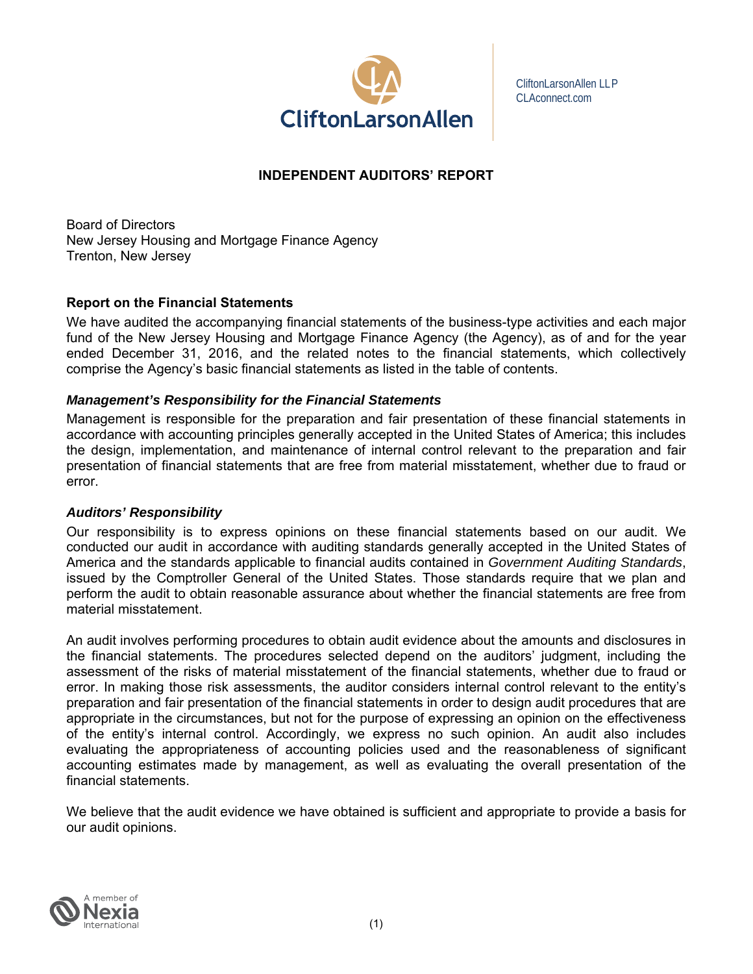

CliftonLarsonAllen LLP CLAconnect.com

### **INDEPENDENT AUDITORS' REPORT**

Board of Directors New Jersey Housing and Mortgage Finance Agency Trenton, New Jersey

### **Report on the Financial Statements**

We have audited the accompanying financial statements of the business-type activities and each major fund of the New Jersey Housing and Mortgage Finance Agency (the Agency), as of and for the year ended December 31, 2016, and the related notes to the financial statements, which collectively comprise the Agency's basic financial statements as listed in the table of contents.

### *Management's Responsibility for the Financial Statements*

Management is responsible for the preparation and fair presentation of these financial statements in accordance with accounting principles generally accepted in the United States of America; this includes the design, implementation, and maintenance of internal control relevant to the preparation and fair presentation of financial statements that are free from material misstatement, whether due to fraud or error.

### *Auditors' Responsibility*

Our responsibility is to express opinions on these financial statements based on our audit. We conducted our audit in accordance with auditing standards generally accepted in the United States of America and the standards applicable to financial audits contained in *Government Auditing Standards*, issued by the Comptroller General of the United States. Those standards require that we plan and perform the audit to obtain reasonable assurance about whether the financial statements are free from material misstatement.

An audit involves performing procedures to obtain audit evidence about the amounts and disclosures in the financial statements. The procedures selected depend on the auditors' judgment, including the assessment of the risks of material misstatement of the financial statements, whether due to fraud or error. In making those risk assessments, the auditor considers internal control relevant to the entity's preparation and fair presentation of the financial statements in order to design audit procedures that are appropriate in the circumstances, but not for the purpose of expressing an opinion on the effectiveness of the entity's internal control. Accordingly, we express no such opinion. An audit also includes evaluating the appropriateness of accounting policies used and the reasonableness of significant accounting estimates made by management, as well as evaluating the overall presentation of the financial statements.

We believe that the audit evidence we have obtained is sufficient and appropriate to provide a basis for our audit opinions.

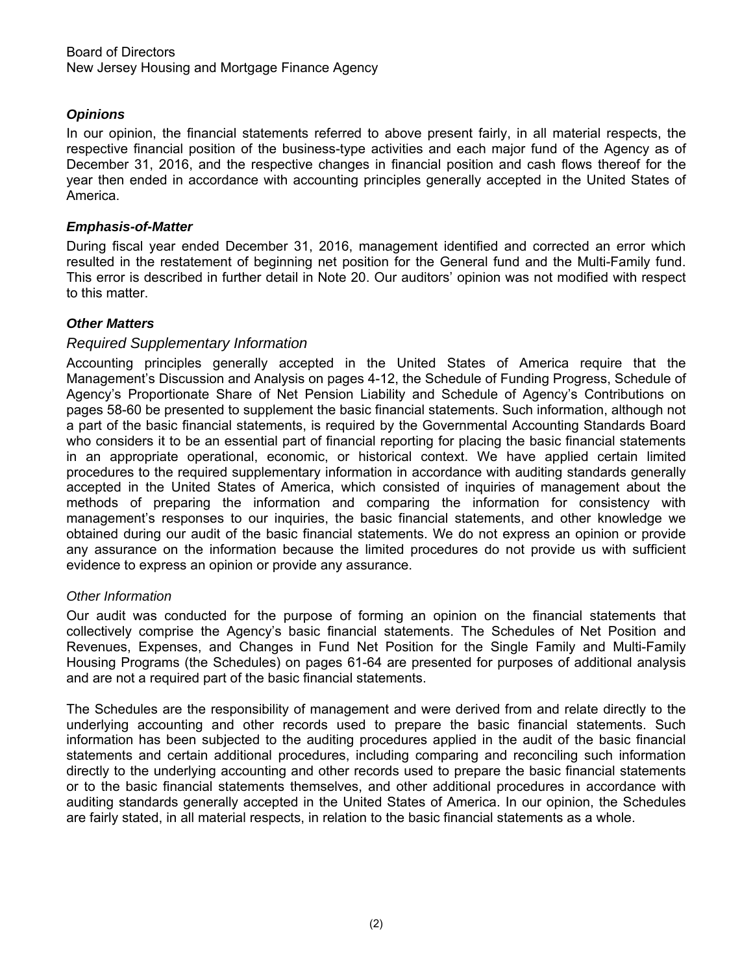### *Opinions*

In our opinion, the financial statements referred to above present fairly, in all material respects, the respective financial position of the business-type activities and each major fund of the Agency as of December 31, 2016, and the respective changes in financial position and cash flows thereof for the year then ended in accordance with accounting principles generally accepted in the United States of America.

### *Emphasis-of-Matter*

During fiscal year ended December 31, 2016, management identified and corrected an error which resulted in the restatement of beginning net position for the General fund and the Multi-Family fund. This error is described in further detail in Note 20. Our auditors' opinion was not modified with respect to this matter.

### *Other Matters*

### *Required Supplementary Information*

Accounting principles generally accepted in the United States of America require that the Management's Discussion and Analysis on pages 4-12, the Schedule of Funding Progress, Schedule of Agency's Proportionate Share of Net Pension Liability and Schedule of Agency's Contributions on pages 58-60 be presented to supplement the basic financial statements. Such information, although not a part of the basic financial statements, is required by the Governmental Accounting Standards Board who considers it to be an essential part of financial reporting for placing the basic financial statements in an appropriate operational, economic, or historical context. We have applied certain limited procedures to the required supplementary information in accordance with auditing standards generally accepted in the United States of America, which consisted of inquiries of management about the methods of preparing the information and comparing the information for consistency with management's responses to our inquiries, the basic financial statements, and other knowledge we obtained during our audit of the basic financial statements. We do not express an opinion or provide any assurance on the information because the limited procedures do not provide us with sufficient evidence to express an opinion or provide any assurance.

### *Other Information*

Our audit was conducted for the purpose of forming an opinion on the financial statements that collectively comprise the Agency's basic financial statements. The Schedules of Net Position and Revenues, Expenses, and Changes in Fund Net Position for the Single Family and Multi-Family Housing Programs (the Schedules) on pages 61-64 are presented for purposes of additional analysis and are not a required part of the basic financial statements.

The Schedules are the responsibility of management and were derived from and relate directly to the underlying accounting and other records used to prepare the basic financial statements. Such information has been subjected to the auditing procedures applied in the audit of the basic financial statements and certain additional procedures, including comparing and reconciling such information directly to the underlying accounting and other records used to prepare the basic financial statements or to the basic financial statements themselves, and other additional procedures in accordance with auditing standards generally accepted in the United States of America. In our opinion, the Schedules are fairly stated, in all material respects, in relation to the basic financial statements as a whole.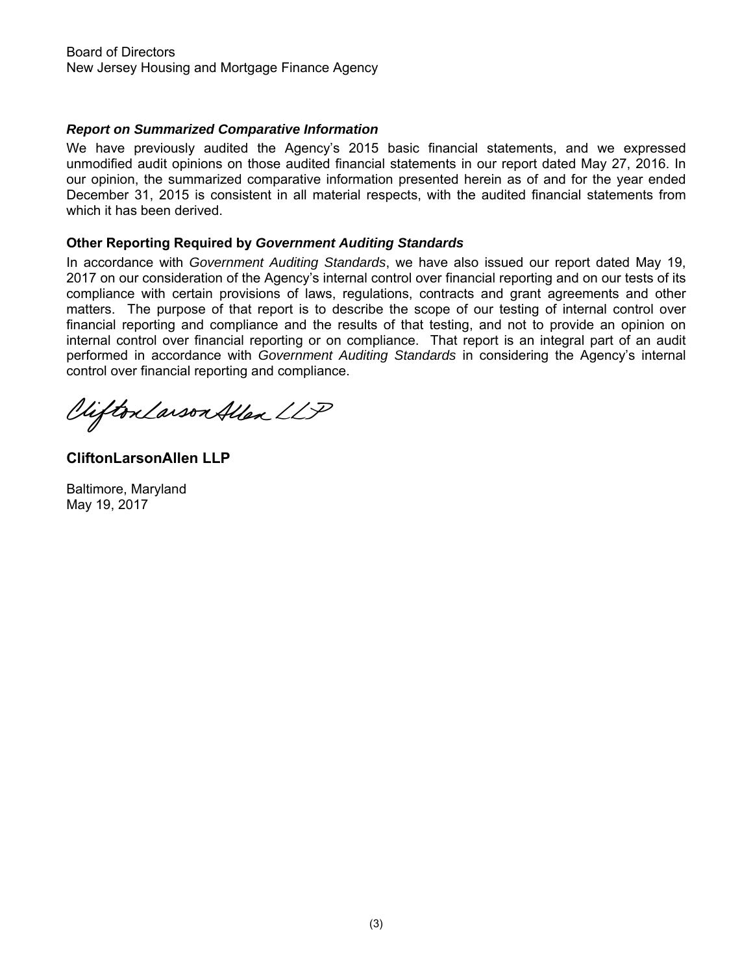### *Report on Summarized Comparative Information*

We have previously audited the Agency's 2015 basic financial statements, and we expressed unmodified audit opinions on those audited financial statements in our report dated May 27, 2016. In our opinion, the summarized comparative information presented herein as of and for the year ended December 31, 2015 is consistent in all material respects, with the audited financial statements from which it has been derived.

### **Other Reporting Required by** *Government Auditing Standards*

In accordance with *Government Auditing Standards*, we have also issued our report dated May 19, 2017 on our consideration of the Agency's internal control over financial reporting and on our tests of its compliance with certain provisions of laws, regulations, contracts and grant agreements and other matters. The purpose of that report is to describe the scope of our testing of internal control over financial reporting and compliance and the results of that testing, and not to provide an opinion on internal control over financial reporting or on compliance. That report is an integral part of an audit performed in accordance with *Government Auditing Standards* in considering the Agency's internal control over financial reporting and compliance.

Clifton Larson Allen LLP

**CliftonLarsonAllen LLP** 

Baltimore, Maryland May 19, 2017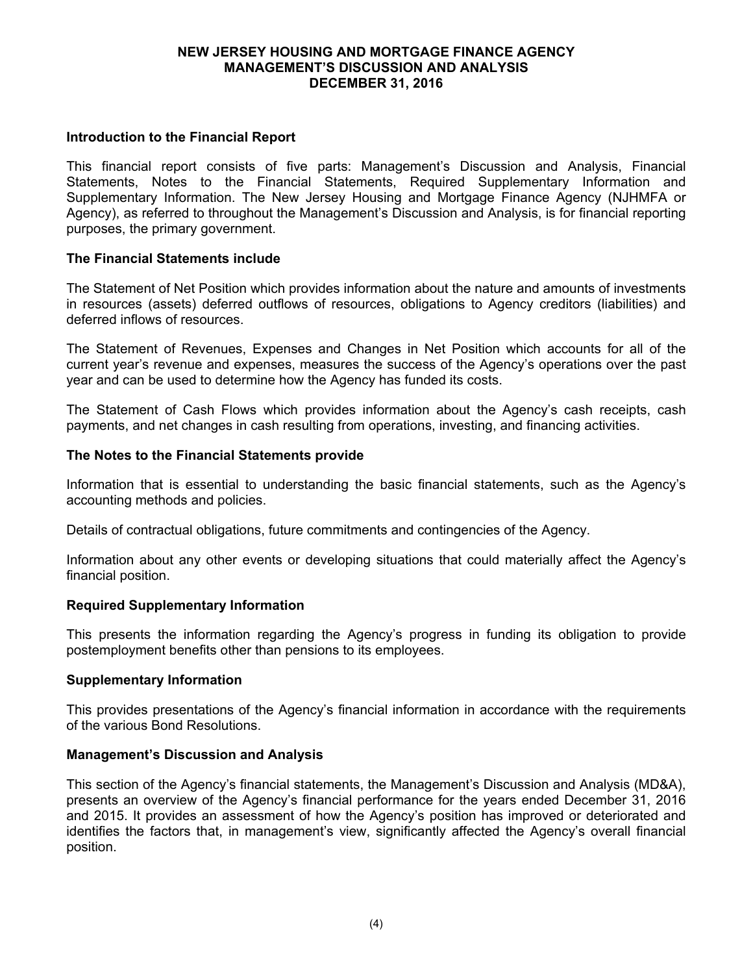### **Introduction to the Financial Report**

This financial report consists of five parts: Management's Discussion and Analysis, Financial Statements, Notes to the Financial Statements, Required Supplementary Information and Supplementary Information. The New Jersey Housing and Mortgage Finance Agency (NJHMFA or Agency), as referred to throughout the Management's Discussion and Analysis, is for financial reporting purposes, the primary government.

### **The Financial Statements include**

The Statement of Net Position which provides information about the nature and amounts of investments in resources (assets) deferred outflows of resources, obligations to Agency creditors (liabilities) and deferred inflows of resources.

The Statement of Revenues, Expenses and Changes in Net Position which accounts for all of the current year's revenue and expenses, measures the success of the Agency's operations over the past year and can be used to determine how the Agency has funded its costs.

The Statement of Cash Flows which provides information about the Agency's cash receipts, cash payments, and net changes in cash resulting from operations, investing, and financing activities.

### **The Notes to the Financial Statements provide**

Information that is essential to understanding the basic financial statements, such as the Agency's accounting methods and policies.

Details of contractual obligations, future commitments and contingencies of the Agency.

Information about any other events or developing situations that could materially affect the Agency's financial position.

### **Required Supplementary Information**

This presents the information regarding the Agency's progress in funding its obligation to provide postemployment benefits other than pensions to its employees.

### **Supplementary Information**

This provides presentations of the Agency's financial information in accordance with the requirements of the various Bond Resolutions.

### **Management's Discussion and Analysis**

This section of the Agency's financial statements, the Management's Discussion and Analysis (MD&A), presents an overview of the Agency's financial performance for the years ended December 31, 2016 and 2015. It provides an assessment of how the Agency's position has improved or deteriorated and identifies the factors that, in management's view, significantly affected the Agency's overall financial position.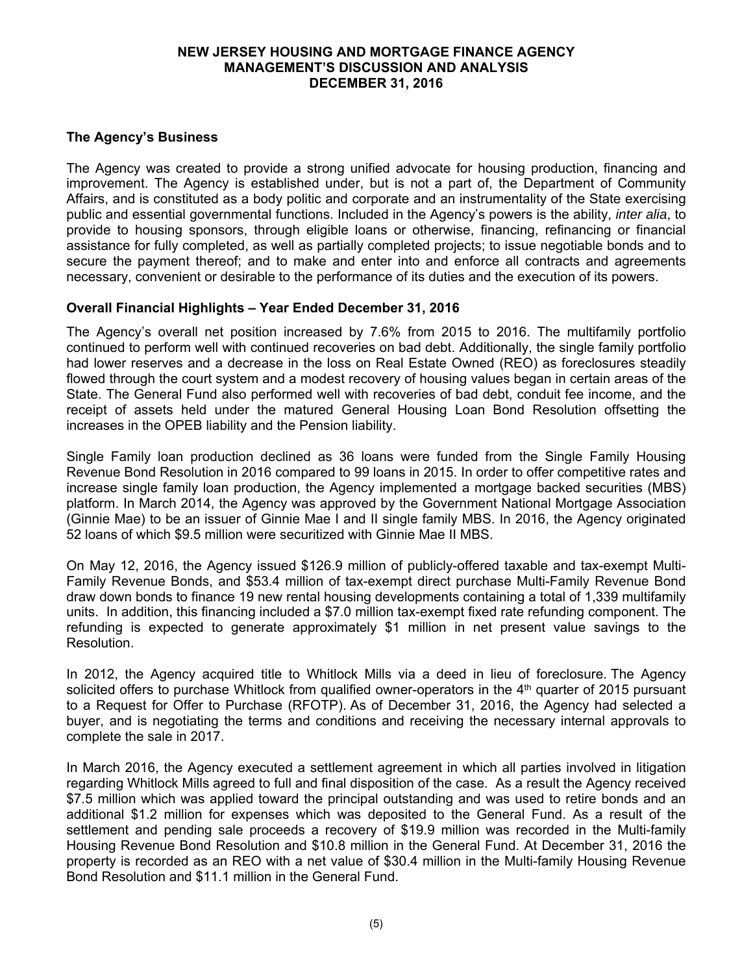### **The Agency's Business**

The Agency was created to provide a strong unified advocate for housing production, financing and improvement. The Agency is established under, but is not a part of, the Department of Community Affairs, and is constituted as a body politic and corporate and an instrumentality of the State exercising public and essential governmental functions. Included in the Agency's powers is the ability, *inter alia*, to provide to housing sponsors, through eligible loans or otherwise, financing, refinancing or financial assistance for fully completed, as well as partially completed projects; to issue negotiable bonds and to secure the payment thereof; and to make and enter into and enforce all contracts and agreements necessary, convenient or desirable to the performance of its duties and the execution of its powers.

### **Overall Financial Highlights – Year Ended December 31, 2016**

The Agency's overall net position increased by 7.6% from 2015 to 2016. The multifamily portfolio continued to perform well with continued recoveries on bad debt. Additionally, the single family portfolio had lower reserves and a decrease in the loss on Real Estate Owned (REO) as foreclosures steadily flowed through the court system and a modest recovery of housing values began in certain areas of the State. The General Fund also performed well with recoveries of bad debt, conduit fee income, and the receipt of assets held under the matured General Housing Loan Bond Resolution offsetting the increases in the OPEB liability and the Pension liability.

Single Family loan production declined as 36 loans were funded from the Single Family Housing Revenue Bond Resolution in 2016 compared to 99 loans in 2015. In order to offer competitive rates and increase single family loan production, the Agency implemented a mortgage backed securities (MBS) platform. In March 2014, the Agency was approved by the Government National Mortgage Association (Ginnie Mae) to be an issuer of Ginnie Mae I and II single family MBS. In 2016, the Agency originated 52 loans of which \$9.5 million were securitized with Ginnie Mae II MBS.

On May 12, 2016, the Agency issued \$126.9 million of publicly-offered taxable and tax-exempt Multi-Family Revenue Bonds, and \$53.4 million of tax-exempt direct purchase Multi-Family Revenue Bond draw down bonds to finance 19 new rental housing developments containing a total of 1,339 multifamily units. In addition, this financing included a \$7.0 million tax-exempt fixed rate refunding component. The refunding is expected to generate approximately \$1 million in net present value savings to the Resolution.

In 2012, the Agency acquired title to Whitlock Mills via a deed in lieu of foreclosure. The Agency solicited offers to purchase Whitlock from qualified owner-operators in the 4<sup>th</sup> quarter of 2015 pursuant to a Request for Offer to Purchase (RFOTP). As of December 31, 2016, the Agency had selected a buyer, and is negotiating the terms and conditions and receiving the necessary internal approvals to complete the sale in 2017.

In March 2016, the Agency executed a settlement agreement in which all parties involved in litigation regarding Whitlock Mills agreed to full and final disposition of the case. As a result the Agency received \$7.5 million which was applied toward the principal outstanding and was used to retire bonds and an additional \$1.2 million for expenses which was deposited to the General Fund. As a result of the settlement and pending sale proceeds a recovery of \$19.9 million was recorded in the Multi-family Housing Revenue Bond Resolution and \$10.8 million in the General Fund. At December 31, 2016 the property is recorded as an REO with a net value of \$30.4 million in the Multi-family Housing Revenue Bond Resolution and \$11.1 million in the General Fund.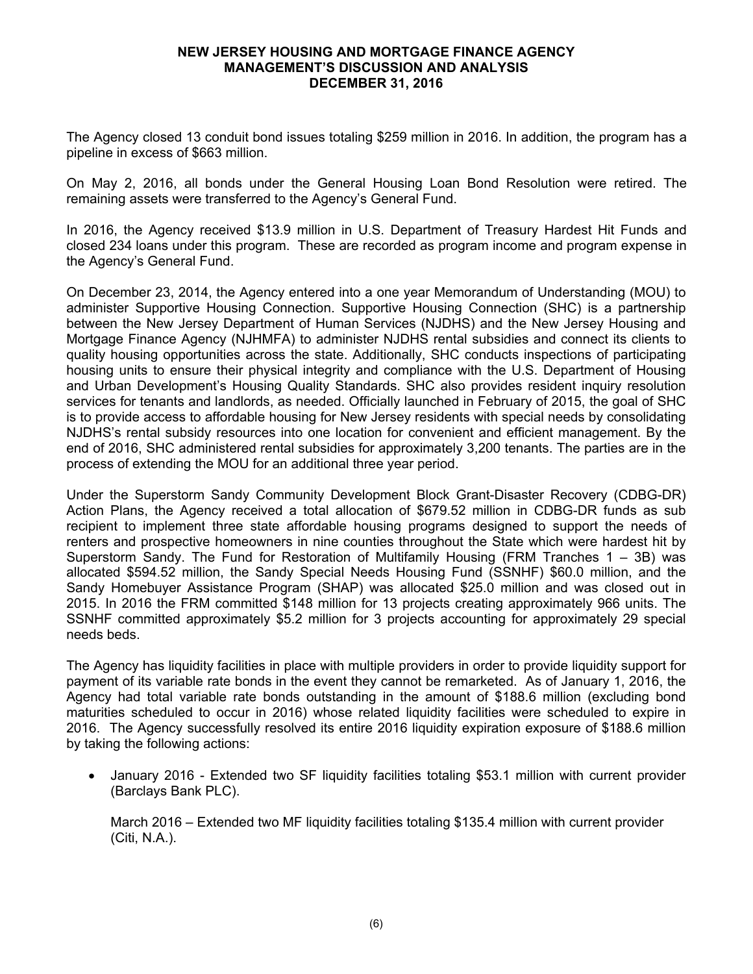The Agency closed 13 conduit bond issues totaling \$259 million in 2016. In addition, the program has a pipeline in excess of \$663 million.

On May 2, 2016, all bonds under the General Housing Loan Bond Resolution were retired. The remaining assets were transferred to the Agency's General Fund.

In 2016, the Agency received \$13.9 million in U.S. Department of Treasury Hardest Hit Funds and closed 234 loans under this program. These are recorded as program income and program expense in the Agency's General Fund.

On December 23, 2014, the Agency entered into a one year Memorandum of Understanding (MOU) to administer Supportive Housing Connection. Supportive Housing Connection (SHC) is a partnership between the New Jersey Department of Human Services (NJDHS) and the New Jersey Housing and Mortgage Finance Agency (NJHMFA) to administer NJDHS rental subsidies and connect its clients to quality housing opportunities across the state. Additionally, SHC conducts inspections of participating housing units to ensure their physical integrity and compliance with the U.S. Department of Housing and Urban Development's Housing Quality Standards. SHC also provides resident inquiry resolution services for tenants and landlords, as needed. Officially launched in February of 2015, the goal of SHC is to provide access to affordable housing for New Jersey residents with special needs by consolidating NJDHS's rental subsidy resources into one location for convenient and efficient management. By the end of 2016, SHC administered rental subsidies for approximately 3,200 tenants. The parties are in the process of extending the MOU for an additional three year period.

Under the Superstorm Sandy Community Development Block Grant-Disaster Recovery (CDBG-DR) Action Plans, the Agency received a total allocation of \$679.52 million in CDBG-DR funds as sub recipient to implement three state affordable housing programs designed to support the needs of renters and prospective homeowners in nine counties throughout the State which were hardest hit by Superstorm Sandy. The Fund for Restoration of Multifamily Housing (FRM Tranches 1 – 3B) was allocated \$594.52 million, the Sandy Special Needs Housing Fund (SSNHF) \$60.0 million, and the Sandy Homebuyer Assistance Program (SHAP) was allocated \$25.0 million and was closed out in 2015. In 2016 the FRM committed \$148 million for 13 projects creating approximately 966 units. The SSNHF committed approximately \$5.2 million for 3 projects accounting for approximately 29 special needs beds.

The Agency has liquidity facilities in place with multiple providers in order to provide liquidity support for payment of its variable rate bonds in the event they cannot be remarketed. As of January 1, 2016, the Agency had total variable rate bonds outstanding in the amount of \$188.6 million (excluding bond maturities scheduled to occur in 2016) whose related liquidity facilities were scheduled to expire in 2016. The Agency successfully resolved its entire 2016 liquidity expiration exposure of \$188.6 million by taking the following actions:

 January 2016 - Extended two SF liquidity facilities totaling \$53.1 million with current provider (Barclays Bank PLC).

March 2016 – Extended two MF liquidity facilities totaling \$135.4 million with current provider (Citi, N.A.).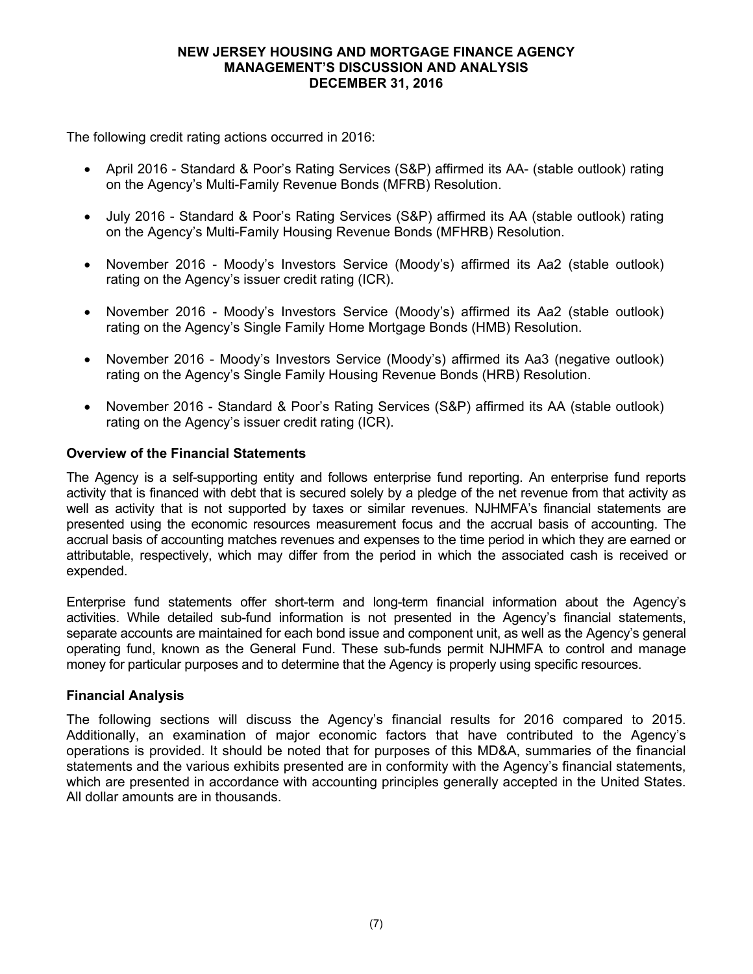The following credit rating actions occurred in 2016:

- April 2016 Standard & Poor's Rating Services (S&P) affirmed its AA- (stable outlook) rating on the Agency's Multi-Family Revenue Bonds (MFRB) Resolution.
- July 2016 Standard & Poor's Rating Services (S&P) affirmed its AA (stable outlook) rating on the Agency's Multi-Family Housing Revenue Bonds (MFHRB) Resolution.
- November 2016 Moody's Investors Service (Moody's) affirmed its Aa2 (stable outlook) rating on the Agency's issuer credit rating (ICR).
- November 2016 Moody's Investors Service (Moody's) affirmed its Aa2 (stable outlook) rating on the Agency's Single Family Home Mortgage Bonds (HMB) Resolution.
- November 2016 Moody's Investors Service (Moody's) affirmed its Aa3 (negative outlook) rating on the Agency's Single Family Housing Revenue Bonds (HRB) Resolution.
- November 2016 Standard & Poor's Rating Services (S&P) affirmed its AA (stable outlook) rating on the Agency's issuer credit rating (ICR).

### **Overview of the Financial Statements**

The Agency is a self-supporting entity and follows enterprise fund reporting. An enterprise fund reports activity that is financed with debt that is secured solely by a pledge of the net revenue from that activity as well as activity that is not supported by taxes or similar revenues. NJHMFA's financial statements are presented using the economic resources measurement focus and the accrual basis of accounting. The accrual basis of accounting matches revenues and expenses to the time period in which they are earned or attributable, respectively, which may differ from the period in which the associated cash is received or expended.

Enterprise fund statements offer short-term and long-term financial information about the Agency's activities. While detailed sub-fund information is not presented in the Agency's financial statements, separate accounts are maintained for each bond issue and component unit, as well as the Agency's general operating fund, known as the General Fund. These sub-funds permit NJHMFA to control and manage money for particular purposes and to determine that the Agency is properly using specific resources.

### **Financial Analysis**

The following sections will discuss the Agency's financial results for 2016 compared to 2015. Additionally, an examination of major economic factors that have contributed to the Agency's operations is provided. It should be noted that for purposes of this MD&A, summaries of the financial statements and the various exhibits presented are in conformity with the Agency's financial statements, which are presented in accordance with accounting principles generally accepted in the United States. All dollar amounts are in thousands.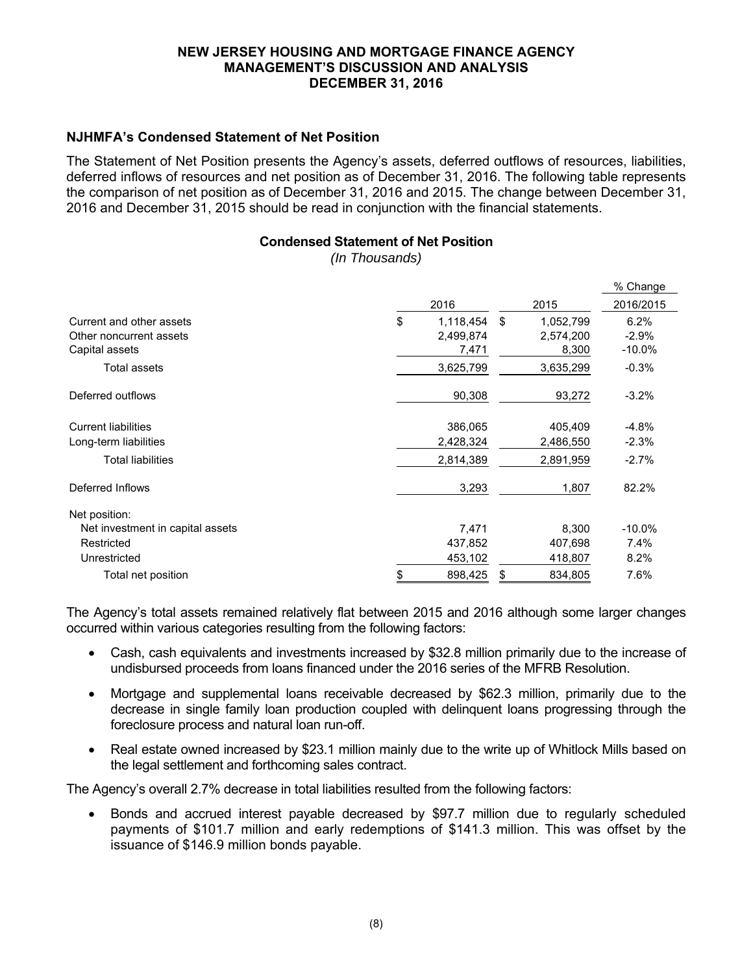### **NJHMFA's Condensed Statement of Net Position**

The Statement of Net Position presents the Agency's assets, deferred outflows of resources, liabilities, deferred inflows of resources and net position as of December 31, 2016. The following table represents the comparison of net position as of December 31, 2016 and 2015. The change between December 31, 2016 and December 31, 2015 should be read in conjunction with the financial statements.

### **Condensed Statement of Net Position**

*(In Thousands)* 

|                                  |    |           |    |           | % Change  |
|----------------------------------|----|-----------|----|-----------|-----------|
|                                  |    | 2016      |    | 2015      | 2016/2015 |
| Current and other assets         | \$ | 1,118,454 | \$ | 1,052,799 | 6.2%      |
| Other noncurrent assets          |    | 2,499,874 |    | 2,574,200 | $-2.9%$   |
| Capital assets                   |    | 7,471     |    | 8,300     | $-10.0%$  |
| <b>Total assets</b>              |    | 3,625,799 |    | 3,635,299 | $-0.3%$   |
| Deferred outflows                |    | 90,308    |    | 93,272    | $-3.2%$   |
| <b>Current liabilities</b>       |    | 386,065   |    | 405,409   | $-4.8%$   |
| Long-term liabilities            |    | 2,428,324 |    | 2,486,550 | $-2.3%$   |
| <b>Total liabilities</b>         |    | 2,814,389 |    | 2,891,959 | $-2.7%$   |
| Deferred Inflows                 |    | 3,293     |    | 1,807     | 82.2%     |
| Net position:                    |    |           |    |           |           |
| Net investment in capital assets |    | 7,471     |    | 8,300     | $-10.0\%$ |
| Restricted                       |    | 437,852   |    | 407,698   | 7.4%      |
| Unrestricted                     |    | 453,102   |    | 418,807   | 8.2%      |
| Total net position               | S  | 898,425   | S  | 834,805   | 7.6%      |

The Agency's total assets remained relatively flat between 2015 and 2016 although some larger changes occurred within various categories resulting from the following factors:

- Cash, cash equivalents and investments increased by \$32.8 million primarily due to the increase of undisbursed proceeds from loans financed under the 2016 series of the MFRB Resolution.
- Mortgage and supplemental loans receivable decreased by \$62.3 million, primarily due to the decrease in single family loan production coupled with delinquent loans progressing through the foreclosure process and natural loan run-off.
- Real estate owned increased by \$23.1 million mainly due to the write up of Whitlock Mills based on the legal settlement and forthcoming sales contract.

The Agency's overall 2.7% decrease in total liabilities resulted from the following factors:

 Bonds and accrued interest payable decreased by \$97.7 million due to regularly scheduled payments of \$101.7 million and early redemptions of \$141.3 million. This was offset by the issuance of \$146.9 million bonds payable.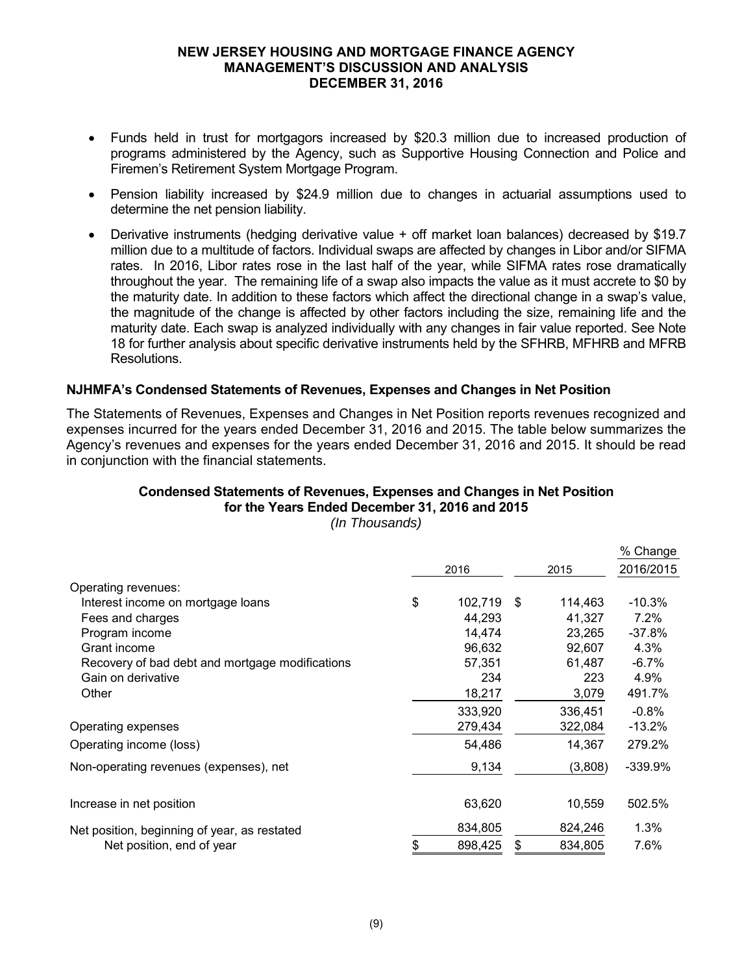- Funds held in trust for mortgagors increased by \$20.3 million due to increased production of programs administered by the Agency, such as Supportive Housing Connection and Police and Firemen's Retirement System Mortgage Program.
- Pension liability increased by \$24.9 million due to changes in actuarial assumptions used to determine the net pension liability.
- Derivative instruments (hedging derivative value + off market loan balances) decreased by \$19.7 million due to a multitude of factors. Individual swaps are affected by changes in Libor and/or SIFMA rates. In 2016, Libor rates rose in the last half of the year, while SIFMA rates rose dramatically throughout the year. The remaining life of a swap also impacts the value as it must accrete to \$0 by the maturity date. In addition to these factors which affect the directional change in a swap's value, the magnitude of the change is affected by other factors including the size, remaining life and the maturity date. Each swap is analyzed individually with any changes in fair value reported. See Note 18 for further analysis about specific derivative instruments held by the SFHRB, MFHRB and MFRB Resolutions.

### **NJHMFA's Condensed Statements of Revenues, Expenses and Changes in Net Position**

The Statements of Revenues, Expenses and Changes in Net Position reports revenues recognized and expenses incurred for the years ended December 31, 2016 and 2015. The table below summarizes the Agency's revenues and expenses for the years ended December 31, 2016 and 2015. It should be read in conjunction with the financial statements.

### **Condensed Statements of Revenues, Expenses and Changes in Net Position for the Years Ended December 31, 2016 and 2015**

*(In Thousands)* 

 $\sim$  Change Change Change Change Change Change Change Change Change Change Change Change Change Change Change Change Change Change Change Change Change Change Change Change Change Change Change Change Change Change Change

|                                                 |               |               | % Change  |
|-------------------------------------------------|---------------|---------------|-----------|
|                                                 | 2016          | 2015          | 2016/2015 |
| Operating revenues:                             |               |               |           |
| Interest income on mortgage loans               | \$<br>102,719 | \$<br>114,463 | $-10.3%$  |
| Fees and charges                                | 44,293        | 41,327        | 7.2%      |
| Program income                                  | 14,474        | 23,265        | $-37.8\%$ |
| Grant income                                    | 96,632        | 92,607        | 4.3%      |
| Recovery of bad debt and mortgage modifications | 57,351        | 61,487        | $-6.7%$   |
| Gain on derivative                              | 234           | 223           | 4.9%      |
| Other                                           | 18,217        | 3,079         | 491.7%    |
|                                                 | 333,920       | 336,451       | $-0.8%$   |
| Operating expenses                              | 279,434       | 322,084       | $-13.2%$  |
| Operating income (loss)                         | 54,486        | 14,367        | 279.2%    |
| Non-operating revenues (expenses), net          | 9,134         | (3,808)       | $-339.9%$ |
| Increase in net position                        | 63,620        | 10,559        | 502.5%    |
| Net position, beginning of year, as restated    | 834,805       | 824,246       | 1.3%      |
| Net position, end of year                       | 898,425       | 834,805       | 7.6%      |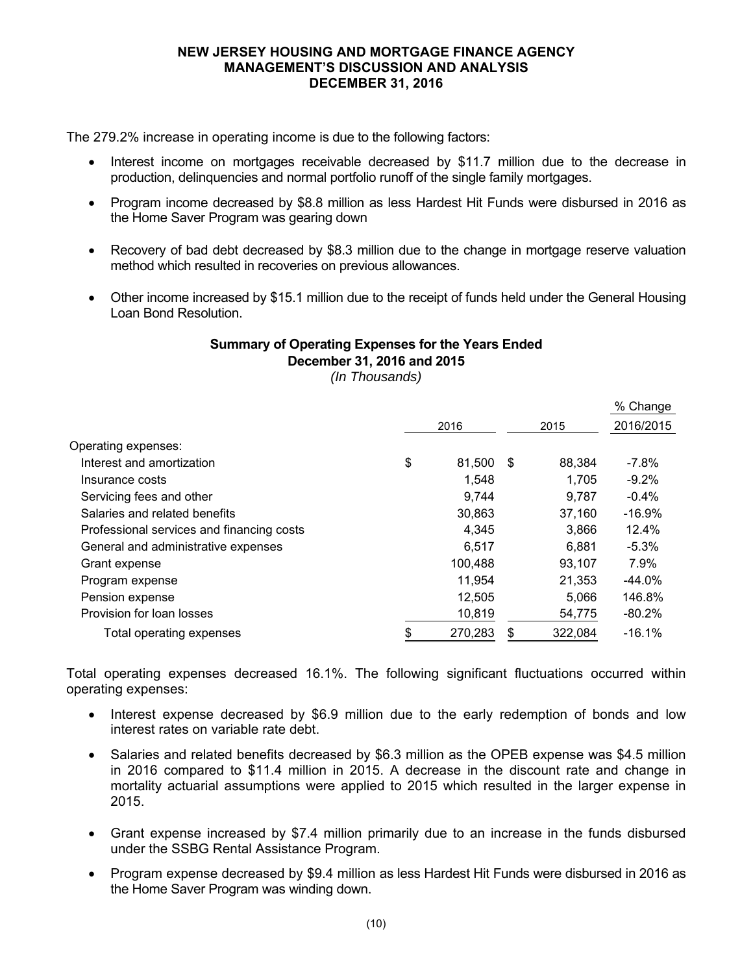The 279.2% increase in operating income is due to the following factors:

- Interest income on mortgages receivable decreased by \$11.7 million due to the decrease in production, delinquencies and normal portfolio runoff of the single family mortgages.
- Program income decreased by \$8.8 million as less Hardest Hit Funds were disbursed in 2016 as the Home Saver Program was gearing down
- Recovery of bad debt decreased by \$8.3 million due to the change in mortgage reserve valuation method which resulted in recoveries on previous allowances.
- Other income increased by \$15.1 million due to the receipt of funds held under the General Housing Loan Bond Resolution.

### **Summary of Operating Expenses for the Years Ended December 31, 2016 and 2015**

*(In Thousands)* 

|                                           |              |      |         | % Change  |
|-------------------------------------------|--------------|------|---------|-----------|
|                                           | 2016         |      | 2015    | 2016/2015 |
| Operating expenses:                       |              |      |         |           |
| Interest and amortization                 | \$<br>81,500 | - \$ | 88,384  | $-7.8\%$  |
| Insurance costs                           | 1,548        |      | 1.705   | $-9.2\%$  |
| Servicing fees and other                  | 9.744        |      | 9.787   | $-0.4%$   |
| Salaries and related benefits             | 30,863       |      | 37,160  | $-16.9%$  |
| Professional services and financing costs | 4,345        |      | 3,866   | 12.4%     |
| General and administrative expenses       | 6,517        |      | 6,881   | $-5.3%$   |
| Grant expense                             | 100,488      |      | 93,107  | 7.9%      |
| Program expense                           | 11,954       |      | 21,353  | -44.0%    |
| Pension expense                           | 12,505       |      | 5,066   | 146.8%    |
| Provision for loan losses                 | 10,819       |      | 54,775  | $-80.2%$  |
| Total operating expenses                  | 270,283      | \$   | 322,084 | $-16.1%$  |

Total operating expenses decreased 16.1%. The following significant fluctuations occurred within operating expenses:

- Interest expense decreased by \$6.9 million due to the early redemption of bonds and low interest rates on variable rate debt.
- Salaries and related benefits decreased by \$6.3 million as the OPEB expense was \$4.5 million in 2016 compared to \$11.4 million in 2015. A decrease in the discount rate and change in mortality actuarial assumptions were applied to 2015 which resulted in the larger expense in 2015.
- Grant expense increased by \$7.4 million primarily due to an increase in the funds disbursed under the SSBG Rental Assistance Program.
- Program expense decreased by \$9.4 million as less Hardest Hit Funds were disbursed in 2016 as the Home Saver Program was winding down.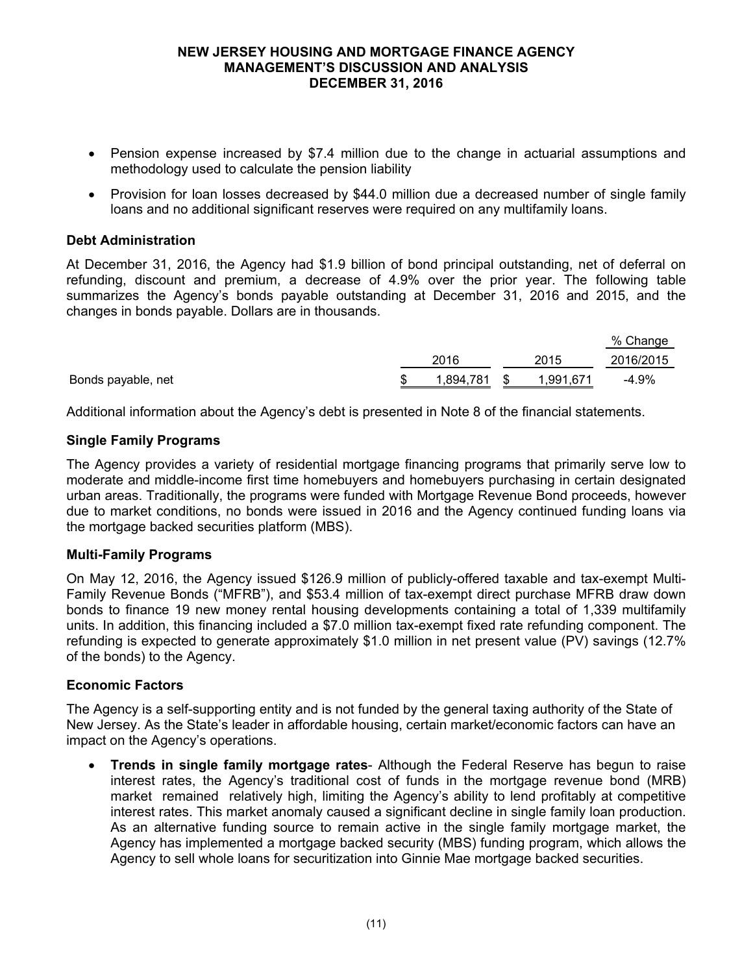- Pension expense increased by \$7.4 million due to the change in actuarial assumptions and methodology used to calculate the pension liability
- Provision for loan losses decreased by \$44.0 million due a decreased number of single family loans and no additional significant reserves were required on any multifamily loans.

### **Debt Administration**

At December 31, 2016, the Agency had \$1.9 billion of bond principal outstanding, net of deferral on refunding, discount and premium, a decrease of 4.9% over the prior year. The following table summarizes the Agency's bonds payable outstanding at December 31, 2016 and 2015, and the changes in bonds payable. Dollars are in thousands.

|                    |          |           | % Change  |
|--------------------|----------|-----------|-----------|
|                    | 2016     | 2015      | 2016/2015 |
| Bonds payable, net | ,894,781 | 1,991,671 | $-4.9%$   |

Additional information about the Agency's debt is presented in Note 8 of the financial statements.

### **Single Family Programs**

The Agency provides a variety of residential mortgage financing programs that primarily serve low to moderate and middle-income first time homebuyers and homebuyers purchasing in certain designated urban areas. Traditionally, the programs were funded with Mortgage Revenue Bond proceeds, however due to market conditions, no bonds were issued in 2016 and the Agency continued funding loans via the mortgage backed securities platform (MBS).

### **Multi-Family Programs**

On May 12, 2016, the Agency issued \$126.9 million of publicly-offered taxable and tax-exempt Multi-Family Revenue Bonds ("MFRB"), and \$53.4 million of tax-exempt direct purchase MFRB draw down bonds to finance 19 new money rental housing developments containing a total of 1,339 multifamily units. In addition, this financing included a \$7.0 million tax-exempt fixed rate refunding component. The refunding is expected to generate approximately \$1.0 million in net present value (PV) savings (12.7% of the bonds) to the Agency.

### **Economic Factors**

The Agency is a self-supporting entity and is not funded by the general taxing authority of the State of New Jersey. As the State's leader in affordable housing, certain market/economic factors can have an impact on the Agency's operations.

 **Trends in single family mortgage rates**- Although the Federal Reserve has begun to raise interest rates, the Agency's traditional cost of funds in the mortgage revenue bond (MRB) market remained relatively high, limiting the Agency's ability to lend profitably at competitive interest rates. This market anomaly caused a significant decline in single family loan production. As an alternative funding source to remain active in the single family mortgage market, the Agency has implemented a mortgage backed security (MBS) funding program, which allows the Agency to sell whole loans for securitization into Ginnie Mae mortgage backed securities.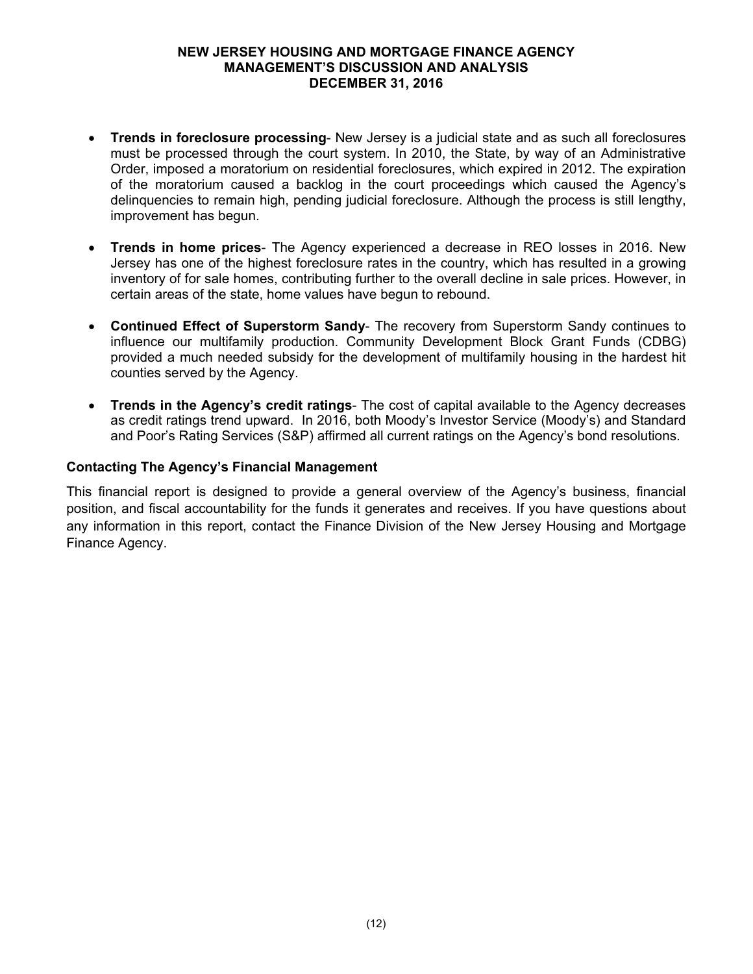- **Trends in foreclosure processing** New Jersey is a judicial state and as such all foreclosures must be processed through the court system. In 2010, the State, by way of an Administrative Order, imposed a moratorium on residential foreclosures, which expired in 2012. The expiration of the moratorium caused a backlog in the court proceedings which caused the Agency's delinquencies to remain high, pending judicial foreclosure. Although the process is still lengthy, improvement has begun.
- **Trends in home prices** The Agency experienced a decrease in REO losses in 2016. New Jersey has one of the highest foreclosure rates in the country, which has resulted in a growing inventory of for sale homes, contributing further to the overall decline in sale prices. However, in certain areas of the state, home values have begun to rebound.
- **Continued Effect of Superstorm Sandy** The recovery from Superstorm Sandy continues to influence our multifamily production. Community Development Block Grant Funds (CDBG) provided a much needed subsidy for the development of multifamily housing in the hardest hit counties served by the Agency.
- **Trends in the Agency's credit ratings** The cost of capital available to the Agency decreases as credit ratings trend upward. In 2016, both Moody's Investor Service (Moody's) and Standard and Poor's Rating Services (S&P) affirmed all current ratings on the Agency's bond resolutions.

### **Contacting The Agency's Financial Management**

This financial report is designed to provide a general overview of the Agency's business, financial position, and fiscal accountability for the funds it generates and receives. If you have questions about any information in this report, contact the Finance Division of the New Jersey Housing and Mortgage Finance Agency.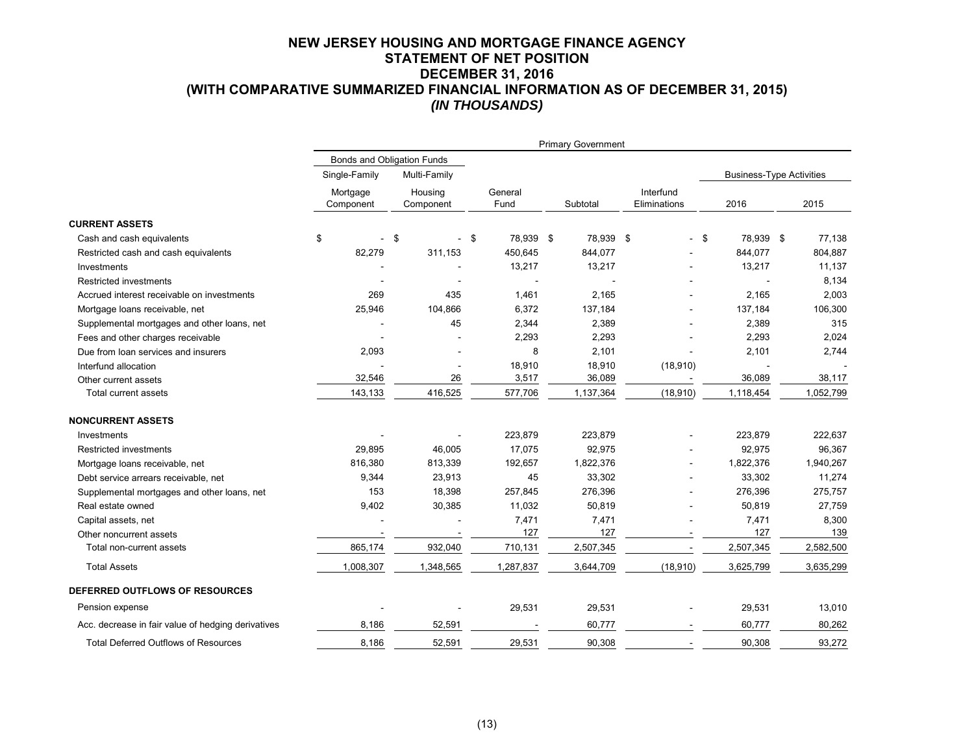### **NEW JERSEY HOUSING AND MORTGAGE FINANCE AGENCY STATEMENT OF NET POSITION DECEMBER 31, 2016 (WITH COMPARATIVE SUMMARIZED FINANCIAL INFORMATION AS OF DECEMBER 31, 2015)**  *(IN THOUSANDS)*

|                                                    |                            |                      |                 | <b>Primary Government</b> |                           |           |                                 |  |  |  |
|----------------------------------------------------|----------------------------|----------------------|-----------------|---------------------------|---------------------------|-----------|---------------------------------|--|--|--|
|                                                    | Bonds and Obligation Funds |                      |                 |                           |                           |           |                                 |  |  |  |
|                                                    | Single-Family              | Multi-Family         |                 |                           |                           |           | <b>Business-Type Activities</b> |  |  |  |
|                                                    | Mortgage<br>Component      | Housing<br>Component | General<br>Fund | Subtotal                  | Interfund<br>Eliminations | 2016      | 2015                            |  |  |  |
| <b>CURRENT ASSETS</b>                              |                            |                      |                 |                           |                           |           |                                 |  |  |  |
| Cash and cash equivalents                          | \$<br>$\sim$               | \$<br>$-$ \$         | 78,939 \$       | 78,939 \$                 | $-5$                      | 78,939 \$ | 77,138                          |  |  |  |
| Restricted cash and cash equivalents               | 82,279                     | 311,153              | 450,645         | 844,077                   |                           | 844,077   | 804,887                         |  |  |  |
| Investments                                        |                            |                      | 13,217          | 13,217                    |                           | 13,217    | 11,137                          |  |  |  |
| Restricted investments                             |                            |                      |                 |                           |                           |           | 8,134                           |  |  |  |
| Accrued interest receivable on investments         | 269                        | 435                  | 1,461           | 2,165                     |                           | 2,165     | 2,003                           |  |  |  |
| Mortgage loans receivable, net                     | 25,946                     | 104,866              | 6,372           | 137,184                   |                           | 137,184   | 106,300                         |  |  |  |
| Supplemental mortgages and other loans, net        |                            | 45                   | 2,344           | 2,389                     |                           | 2,389     | 315                             |  |  |  |
| Fees and other charges receivable                  |                            |                      | 2,293           | 2,293                     |                           | 2,293     | 2,024                           |  |  |  |
| Due from loan services and insurers                | 2,093                      |                      | 8               | 2,101                     |                           | 2,101     | 2,744                           |  |  |  |
| Interfund allocation                               |                            |                      | 18,910          | 18,910                    | (18, 910)                 |           |                                 |  |  |  |
| Other current assets                               | 32,546                     | 26                   | 3,517           | 36,089                    |                           | 36,089    | 38,117                          |  |  |  |
| Total current assets                               | 143,133                    | 416,525              | 577,706         | 1,137,364                 | (18, 910)                 | 1,118,454 | 1,052,799                       |  |  |  |
| <b>NONCURRENT ASSETS</b>                           |                            |                      |                 |                           |                           |           |                                 |  |  |  |
| Investments                                        |                            |                      | 223,879         | 223,879                   |                           | 223,879   | 222,637                         |  |  |  |
| <b>Restricted investments</b>                      | 29,895                     | 46,005               | 17,075          | 92,975                    |                           | 92,975    | 96,367                          |  |  |  |
| Mortgage loans receivable, net                     | 816,380                    | 813,339              | 192,657         | 1,822,376                 |                           | 1,822,376 | 1,940,267                       |  |  |  |
| Debt service arrears receivable, net               | 9,344                      | 23,913               | 45              | 33,302                    |                           | 33,302    | 11,274                          |  |  |  |
| Supplemental mortgages and other loans, net        | 153                        | 18,398               | 257,845         | 276,396                   |                           | 276,396   | 275,757                         |  |  |  |
| Real estate owned                                  | 9,402                      | 30,385               | 11,032          | 50,819                    |                           | 50,819    | 27,759                          |  |  |  |
| Capital assets, net                                |                            |                      | 7,471           | 7,471                     |                           | 7,471     | 8,300                           |  |  |  |
| Other noncurrent assets                            |                            |                      | 127             | 127                       |                           | 127       | 139                             |  |  |  |
| Total non-current assets                           | 865,174                    | 932,040              | 710,131         | 2,507,345                 |                           | 2,507,345 | 2,582,500                       |  |  |  |
| <b>Total Assets</b>                                | 1,008,307                  | 1,348,565            | 1,287,837       | 3,644,709                 | (18, 910)                 | 3,625,799 | 3,635,299                       |  |  |  |
| DEFERRED OUTFLOWS OF RESOURCES                     |                            |                      |                 |                           |                           |           |                                 |  |  |  |
| Pension expense                                    |                            |                      | 29,531          | 29,531                    |                           | 29,531    | 13,010                          |  |  |  |
| Acc. decrease in fair value of hedging derivatives | 8,186                      | 52,591               |                 | 60,777                    |                           | 60,777    | 80,262                          |  |  |  |
| <b>Total Deferred Outflows of Resources</b>        | 8.186                      | 52,591               | 29,531          | 90.308                    |                           | 90.308    | 93,272                          |  |  |  |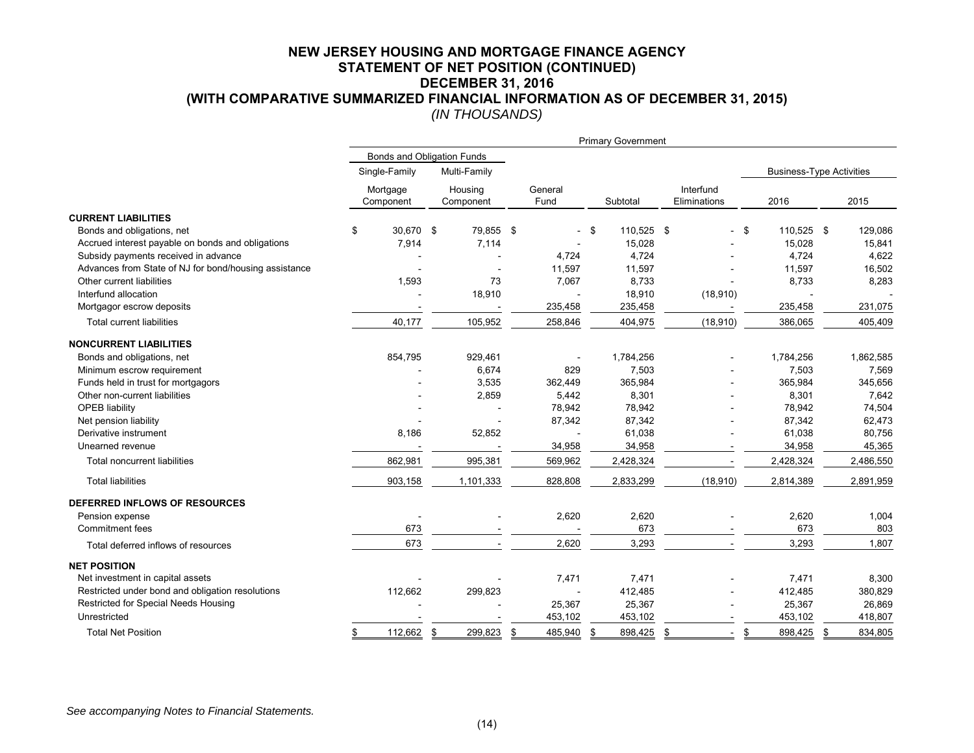### **NEW JERSEY HOUSING AND MORTGAGE FINANCE AGENCY STATEMENT OF NET POSITION (CONTINUED) DECEMBER 31, 2016 (WITH COMPARATIVE SUMMARIZED FINANCIAL INFORMATION AS OF DECEMBER 31, 2015)**

|                                                       |                       |                            |                 | <b>Primary Government</b> |                           |                   |                                 |
|-------------------------------------------------------|-----------------------|----------------------------|-----------------|---------------------------|---------------------------|-------------------|---------------------------------|
|                                                       |                       | Bonds and Obligation Funds |                 |                           |                           |                   |                                 |
|                                                       | Single-Family         | Multi-Family               |                 |                           |                           |                   | <b>Business-Type Activities</b> |
|                                                       | Mortgage<br>Component | Housing<br>Component       | General<br>Fund | Subtotal                  | Interfund<br>Eliminations | 2016              | 2015                            |
| <b>CURRENT LIABILITIES</b>                            |                       |                            |                 |                           |                           |                   |                                 |
| Bonds and obligations, net                            | \$<br>30,670 \$       | 79,855 \$                  |                 | 110,525 \$<br>\$          | $-$ \$                    | 110,525 \$        | 129,086                         |
| Accrued interest payable on bonds and obligations     | 7,914                 | 7,114                      |                 | 15,028                    |                           | 15,028            | 15,841                          |
| Subsidy payments received in advance                  |                       |                            | 4,724           | 4,724                     |                           | 4,724             | 4,622                           |
| Advances from State of NJ for bond/housing assistance |                       |                            | 11,597          | 11,597                    |                           | 11,597            | 16,502                          |
| Other current liabilities                             | 1,593                 | 73                         | 7,067           | 8,733                     |                           | 8,733             | 8,283                           |
| Interfund allocation                                  |                       | 18,910                     |                 | 18,910                    | (18, 910)                 |                   |                                 |
| Mortgagor escrow deposits                             |                       |                            | 235,458         | 235,458                   |                           | 235,458           | 231,075                         |
| <b>Total current liabilities</b>                      | 40,177                | 105,952                    | 258,846         | 404,975                   | (18, 910)                 | 386,065           | 405,409                         |
| <b>NONCURRENT LIABILITIES</b>                         |                       |                            |                 |                           |                           |                   |                                 |
| Bonds and obligations, net                            | 854,795               | 929,461                    |                 | 1,784,256                 |                           | 1,784,256         | 1,862,585                       |
| Minimum escrow requirement                            |                       | 6,674                      | 829             | 7,503                     |                           | 7,503             | 7,569                           |
| Funds held in trust for mortgagors                    |                       | 3,535                      | 362,449         | 365,984                   |                           | 365,984           | 345,656                         |
| Other non-current liabilities                         |                       | 2,859                      | 5,442           | 8,301                     |                           | 8,301             | 7,642                           |
| <b>OPEB</b> liability                                 |                       |                            | 78,942          | 78,942                    |                           | 78,942            | 74,504                          |
| Net pension liability                                 |                       |                            | 87,342          | 87,342                    |                           | 87,342            | 62,473                          |
| Derivative instrument                                 | 8,186                 | 52,852                     |                 | 61,038                    |                           | 61,038            | 80,756                          |
| Unearned revenue                                      |                       |                            | 34,958          | 34,958                    |                           | 34,958            | 45,365                          |
| <b>Total noncurrent liabilities</b>                   | 862,981               | 995,381                    | 569,962         | 2,428,324                 |                           | 2,428,324         | 2,486,550                       |
| <b>Total liabilities</b>                              | 903,158               | 1,101,333                  | 828,808         | 2,833,299                 | (18, 910)                 | 2,814,389         | 2,891,959                       |
| DEFERRED INFLOWS OF RESOURCES                         |                       |                            |                 |                           |                           |                   |                                 |
| Pension expense                                       |                       |                            | 2,620           | 2,620                     |                           | 2,620             | 1,004                           |
| <b>Commitment fees</b>                                | 673                   |                            |                 | 673                       |                           | 673               | 803                             |
| Total deferred inflows of resources                   | 673                   |                            | 2,620           | 3,293                     |                           | 3,293             | 1,807                           |
| <b>NET POSITION</b>                                   |                       |                            |                 |                           |                           |                   |                                 |
| Net investment in capital assets                      |                       |                            | 7,471           | 7,471                     |                           | 7,471             | 8,300                           |
| Restricted under bond and obligation resolutions      | 112,662               | 299,823                    |                 | 412,485                   |                           | 412,485           | 380,829                         |
| Restricted for Special Needs Housing                  |                       |                            | 25,367          | 25,367                    |                           | 25,367            | 26,869                          |
| Unrestricted                                          |                       |                            | 453,102         | 453,102                   |                           | 453,102           | 418,807                         |
| <b>Total Net Position</b>                             | \$<br>112,662         | \$<br>299,823              | 485,940<br>\$   | 898,425 \$<br>- \$        | $\sim$                    | -\$<br>898,425 \$ | 834,805                         |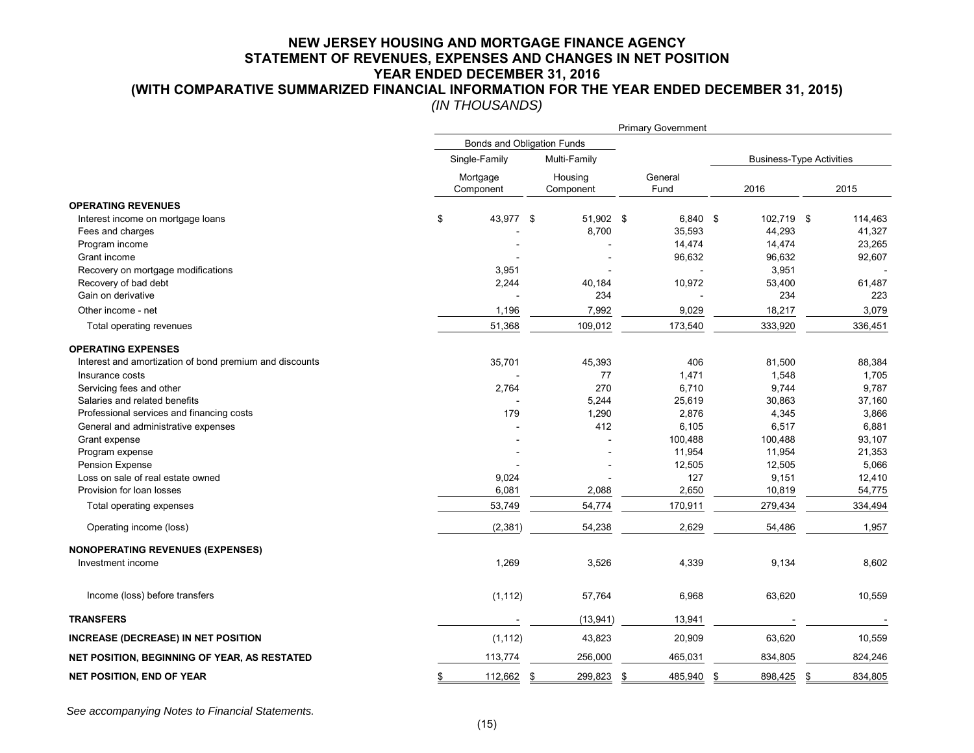### **NEW JERSEY HOUSING AND MORTGAGE FINANCE AGENCY STATEMENT OF REVENUES, EXPENSES AND CHANGES IN NET POSITION YEAR ENDED DECEMBER 31, 2016 (WITH COMPARATIVE SUMMARIZED FINANCIAL INFORMATION FOR THE YEAR ENDED DECEMBER 31, 2015)**

*(IN THOUSANDS)* 

|                                                         |                       |               |                            | <b>Primary Government</b> |               |                                 |
|---------------------------------------------------------|-----------------------|---------------|----------------------------|---------------------------|---------------|---------------------------------|
|                                                         |                       |               | Bonds and Obligation Funds |                           |               |                                 |
|                                                         |                       | Single-Family |                            |                           |               | <b>Business-Type Activities</b> |
|                                                         | Mortgage<br>Component |               | Housing<br>Component       | General<br>Fund           | 2016          | 2015                            |
| <b>OPERATING REVENUES</b>                               |                       |               |                            |                           |               |                                 |
| Interest income on mortgage loans                       | \$                    | 43,977 \$     | 51,902 \$                  | 6,840 \$                  | 102,719 \$    | 114,463                         |
| Fees and charges                                        |                       |               | 8,700                      | 35,593                    | 44,293        | 41,327                          |
| Program income                                          |                       |               |                            | 14,474                    | 14,474        | 23,265                          |
| Grant income                                            |                       |               |                            | 96,632                    | 96,632        | 92,607                          |
| Recovery on mortgage modifications                      |                       | 3,951         |                            |                           | 3,951         |                                 |
| Recovery of bad debt                                    |                       | 2,244         | 40,184                     | 10,972                    | 53,400        | 61,487                          |
| Gain on derivative                                      |                       |               | 234                        |                           | 234           | 223                             |
| Other income - net                                      |                       | 1,196         | 7,992                      | 9,029                     | 18,217        | 3,079                           |
| Total operating revenues                                |                       | 51,368        | 109,012                    | 173,540                   | 333,920       | 336,451                         |
| <b>OPERATING EXPENSES</b>                               |                       |               |                            |                           |               |                                 |
| Interest and amortization of bond premium and discounts |                       | 35,701        | 45,393                     | 406                       | 81,500        | 88,384                          |
| Insurance costs                                         |                       |               | 77                         | 1,471                     | 1,548         | 1,705                           |
| Servicing fees and other                                |                       | 2,764         | 270                        | 6.710                     | 9.744         | 9,787                           |
| Salaries and related benefits                           |                       |               | 5,244                      | 25,619                    | 30,863        | 37,160                          |
| Professional services and financing costs               |                       | 179           | 1,290                      | 2,876                     | 4,345         | 3,866                           |
| General and administrative expenses                     |                       |               | 412                        | 6,105                     | 6,517         | 6,881                           |
| Grant expense                                           |                       |               |                            | 100,488                   | 100,488       | 93,107                          |
| Program expense                                         |                       |               |                            | 11,954                    | 11,954        | 21,353                          |
| Pension Expense                                         |                       |               |                            | 12,505                    | 12,505        | 5,066                           |
| Loss on sale of real estate owned                       |                       | 9.024         |                            | 127                       | 9,151         | 12,410                          |
| Provision for loan losses                               |                       | 6,081         | 2,088                      | 2,650                     | 10,819        | 54,775                          |
| Total operating expenses                                |                       | 53,749        | 54,774                     | 170,911                   | 279,434       | 334,494                         |
| Operating income (loss)                                 |                       | (2, 381)      | 54,238                     | 2,629                     | 54,486        | 1,957                           |
| <b>NONOPERATING REVENUES (EXPENSES)</b>                 |                       |               |                            |                           |               |                                 |
| Investment income                                       |                       | 1,269         | 3,526                      | 4,339                     | 9,134         | 8,602                           |
| Income (loss) before transfers                          |                       | (1, 112)      | 57,764                     | 6,968                     | 63,620        | 10,559                          |
| <b>TRANSFERS</b>                                        |                       |               | (13, 941)                  | 13,941                    |               |                                 |
| INCREASE (DECREASE) IN NET POSITION                     |                       | (1, 112)      | 43,823                     | 20,909                    | 63,620        | 10,559                          |
| NET POSITION, BEGINNING OF YEAR, AS RESTATED            |                       | 113,774       | 256,000                    | 465,031                   | 834,805       | 824,246                         |
| <b>NET POSITION, END OF YEAR</b>                        | \$                    | 112,662       | \$<br>299,823              | \$<br>485,940             | 898,425<br>\$ | \$<br>834,805                   |

*See accompanying Notes to Financial Statements.*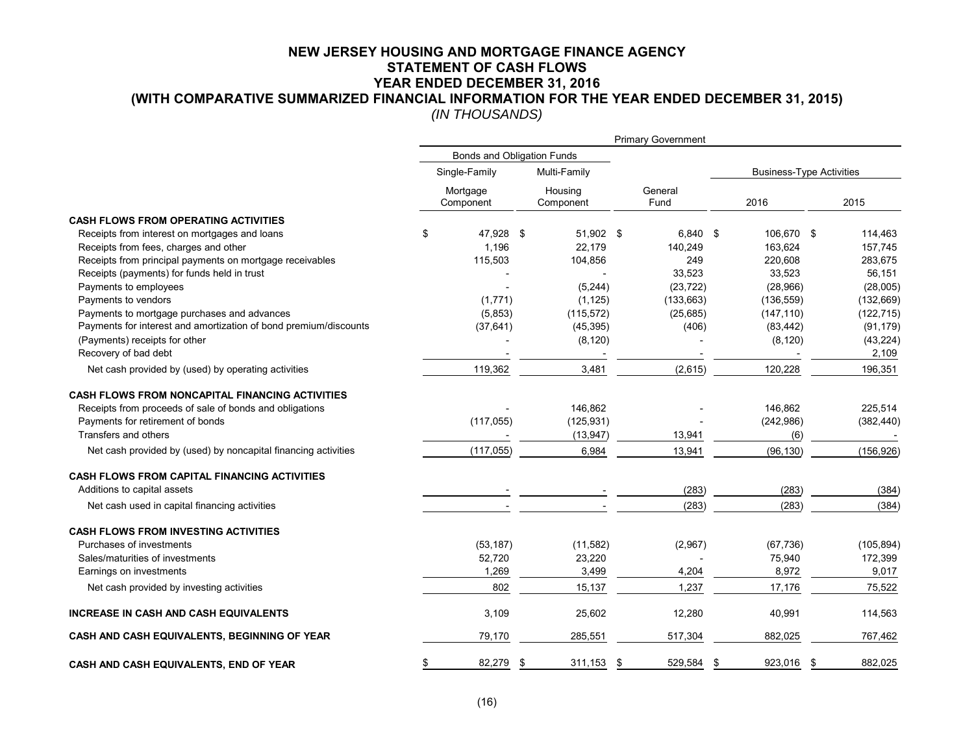#### **NEW JERSEY HOUSING AND MORTGAGE FINANCE AGENCY STATEMENT OF CASH FLOWS YEAR ENDED DECEMBER 31, 2016 (WITH COMPARATIVE SUMMARIZED FINANCIAL INFORMATION FOR THE YEAR ENDED DECEMBER 31, 2015)**  *(IN THOUSANDS)*

|                                                                  | <b>Primary Government</b>  |                       |              |                      |    |                 |      |                                 |            |
|------------------------------------------------------------------|----------------------------|-----------------------|--------------|----------------------|----|-----------------|------|---------------------------------|------------|
|                                                                  | Bonds and Obligation Funds |                       |              |                      |    |                 |      |                                 |            |
|                                                                  | Single-Family              |                       | Multi-Family |                      |    |                 |      | <b>Business-Type Activities</b> |            |
|                                                                  |                            | Mortgage<br>Component |              | Housing<br>Component |    | General<br>Fund | 2016 |                                 | 2015       |
| <b>CASH FLOWS FROM OPERATING ACTIVITIES</b>                      |                            |                       |              |                      |    |                 |      |                                 |            |
| Receipts from interest on mortgages and loans                    | \$                         | 47,928 \$             |              | 51,902 \$            |    | 6,840 \$        |      | 106,670 \$                      | 114,463    |
| Receipts from fees, charges and other                            |                            | 1,196                 |              | 22,179               |    | 140,249         |      | 163,624                         | 157,745    |
| Receipts from principal payments on mortgage receivables         |                            | 115,503               |              | 104,856              |    | 249             |      | 220,608                         | 283,675    |
| Receipts (payments) for funds held in trust                      |                            |                       |              |                      |    | 33,523          |      | 33,523                          | 56,151     |
| Payments to employees                                            |                            |                       |              | (5, 244)             |    | (23, 722)       |      | (28,966)                        | (28,005)   |
| Payments to vendors                                              |                            | (1,771)               |              | (1, 125)             |    | (133, 663)      |      | (136, 559)                      | (132, 669) |
| Payments to mortgage purchases and advances                      |                            | (5,853)               |              | (115, 572)           |    | (25, 685)       |      | (147, 110)                      | (122, 715) |
| Payments for interest and amortization of bond premium/discounts |                            | (37, 641)             |              | (45, 395)            |    | (406)           |      | (83, 442)                       | (91, 179)  |
| (Payments) receipts for other                                    |                            |                       |              | (8, 120)             |    |                 |      | (8, 120)                        | (43, 224)  |
| Recovery of bad debt                                             |                            |                       |              |                      |    |                 |      |                                 | 2,109      |
| Net cash provided by (used) by operating activities              |                            | 119,362               |              | 3,481                |    | (2,615)         |      | 120,228                         | 196,351    |
| CASH FLOWS FROM NONCAPITAL FINANCING ACTIVITIES                  |                            |                       |              |                      |    |                 |      |                                 |            |
| Receipts from proceeds of sale of bonds and obligations          |                            |                       |              | 146,862              |    |                 |      | 146.862                         | 225,514    |
| Payments for retirement of bonds                                 |                            | (117, 055)            |              | (125, 931)           |    |                 |      | (242, 986)                      | (382, 440) |
| Transfers and others                                             |                            |                       |              | (13, 947)            |    | 13,941          |      | (6)                             |            |
|                                                                  |                            | (117, 055)            |              | 6,984                |    | 13,941          |      | (96, 130)                       | (156, 926) |
| Net cash provided by (used) by noncapital financing activities   |                            |                       |              |                      |    |                 |      |                                 |            |
| <b>CASH FLOWS FROM CAPITAL FINANCING ACTIVITIES</b>              |                            |                       |              |                      |    |                 |      |                                 |            |
| Additions to capital assets                                      |                            |                       |              |                      |    | (283)           |      | (283)                           | (384)      |
| Net cash used in capital financing activities                    |                            |                       |              |                      |    | (283)           |      | (283)                           | (384)      |
| <b>CASH FLOWS FROM INVESTING ACTIVITIES</b>                      |                            |                       |              |                      |    |                 |      |                                 |            |
| Purchases of investments                                         |                            | (53, 187)             |              | (11, 582)            |    | (2,967)         |      | (67, 736)                       | (105, 894) |
| Sales/maturities of investments                                  |                            | 52,720                |              | 23,220               |    |                 |      | 75,940                          | 172,399    |
| Earnings on investments                                          |                            | 1,269                 |              | 3,499                |    | 4,204           |      | 8,972                           | 9,017      |
| Net cash provided by investing activities                        |                            | 802                   |              | 15,137               |    | 1,237           |      | 17,176                          | 75,522     |
| INCREASE IN CASH AND CASH EQUIVALENTS                            |                            | 3,109                 |              | 25,602               |    | 12,280          |      | 40,991                          | 114,563    |
| CASH AND CASH EQUIVALENTS, BEGINNING OF YEAR                     |                            | 79,170                |              | 285,551              |    | 517,304         |      | 882,025                         | 767,462    |
| CASH AND CASH EQUIVALENTS, END OF YEAR                           | \$                         | 82,279                | \$           | 311,153              | \$ | 529,584         | \$   | 923,016 \$                      | 882,025    |
|                                                                  |                            |                       |              |                      |    |                 |      |                                 |            |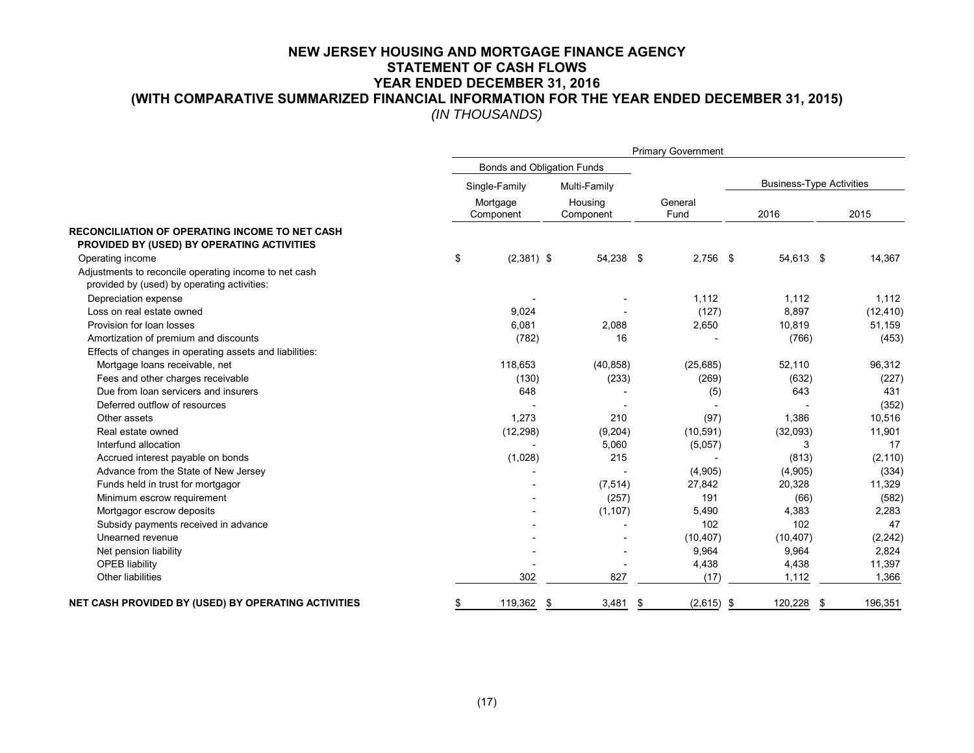#### **NEW JERSEY HOUSING AND MORTGAGE FINANCE AGENCY STATEMENT OF CASH FLOWS YEAR ENDED DECEMBER 31, 2016 (WITH COMPARATIVE SUMMARIZED FINANCIAL INFORMATION FOR THE YEAR ENDED DECEMBER 31, 2015)**  *(IN THOUSANDS)*

|                                                                                                      |                               |                                               |             | <b>Primary Government</b> |           |                                 |
|------------------------------------------------------------------------------------------------------|-------------------------------|-----------------------------------------------|-------------|---------------------------|-----------|---------------------------------|
|                                                                                                      |                               | Bonds and Obligation Funds                    |             |                           |           |                                 |
|                                                                                                      | Single-Family<br>Multi-Family |                                               |             |                           |           | <b>Business-Type Activities</b> |
|                                                                                                      |                               | Housing<br>Mortgage<br>Component<br>Component |             | General<br>Fund           | 2016      | 2015                            |
| <b>RECONCILIATION OF OPERATING INCOME TO NET CASH</b><br>PROVIDED BY (USED) BY OPERATING ACTIVITIES  |                               |                                               |             |                           |           |                                 |
| Operating income                                                                                     | \$                            | $(2,381)$ \$                                  | 54,238 \$   | $2,756$ \$                | 54,613 \$ | 14,367                          |
| Adjustments to reconcile operating income to net cash<br>provided by (used) by operating activities: |                               |                                               |             |                           |           |                                 |
| Depreciation expense                                                                                 |                               |                                               |             | 1,112                     | 1,112     | 1,112                           |
| Loss on real estate owned                                                                            |                               | 9,024                                         |             | (127)                     | 8,897     | (12, 410)                       |
| Provision for loan losses                                                                            |                               | 6,081                                         | 2,088       | 2,650                     | 10,819    | 51,159                          |
| Amortization of premium and discounts                                                                |                               | (782)                                         | 16          |                           | (766)     | (453)                           |
| Effects of changes in operating assets and liabilities:                                              |                               |                                               |             |                           |           |                                 |
| Mortgage loans receivable, net                                                                       |                               | 118,653                                       | (40, 858)   | (25, 685)                 | 52,110    | 96,312                          |
| Fees and other charges receivable                                                                    |                               | (130)                                         | (233)       | (269)                     | (632)     | (227)                           |
| Due from loan servicers and insurers                                                                 |                               | 648                                           |             | (5)                       | 643       | 431                             |
| Deferred outflow of resources                                                                        |                               |                                               |             |                           |           | (352)                           |
| Other assets                                                                                         |                               | 1,273                                         | 210         | (97)                      | 1,386     | 10,516                          |
| Real estate owned                                                                                    |                               | (12, 298)                                     | (9,204)     | (10, 591)                 | (32,093)  | 11,901                          |
| Interfund allocation                                                                                 |                               |                                               | 5,060       | (5,057)                   | 3         | 17                              |
| Accrued interest payable on bonds                                                                    |                               | (1,028)                                       | 215         |                           | (813)     | (2, 110)                        |
| Advance from the State of New Jersey                                                                 |                               |                                               |             | (4,905)                   | (4,905)   | (334)                           |
| Funds held in trust for mortgagor                                                                    |                               |                                               | (7, 514)    | 27,842                    | 20,328    | 11,329                          |
| Minimum escrow requirement                                                                           |                               |                                               | (257)       | 191                       | (66)      | (582)                           |
| Mortgagor escrow deposits                                                                            |                               |                                               | (1, 107)    | 5,490                     | 4,383     | 2,283                           |
| Subsidy payments received in advance                                                                 |                               |                                               |             | 102                       | 102       | 47                              |
| Unearned revenue                                                                                     |                               |                                               |             | (10, 407)                 | (10, 407) | (2, 242)                        |
| Net pension liability                                                                                |                               |                                               |             | 9,964                     | 9,964     | 2,824                           |
| OPEB liability                                                                                       |                               |                                               |             | 4,438                     | 4,438     | 11,397                          |
| Other liabilities                                                                                    |                               | 302                                           | 827         | (17)                      | 1,112     | 1,366                           |
| NET CASH PROVIDED BY (USED) BY OPERATING ACTIVITIES                                                  | \$                            | 119,362                                       | 3,481<br>\$ | $(2,615)$ \$<br>\$        | 120,228   | 196,351<br>-\$                  |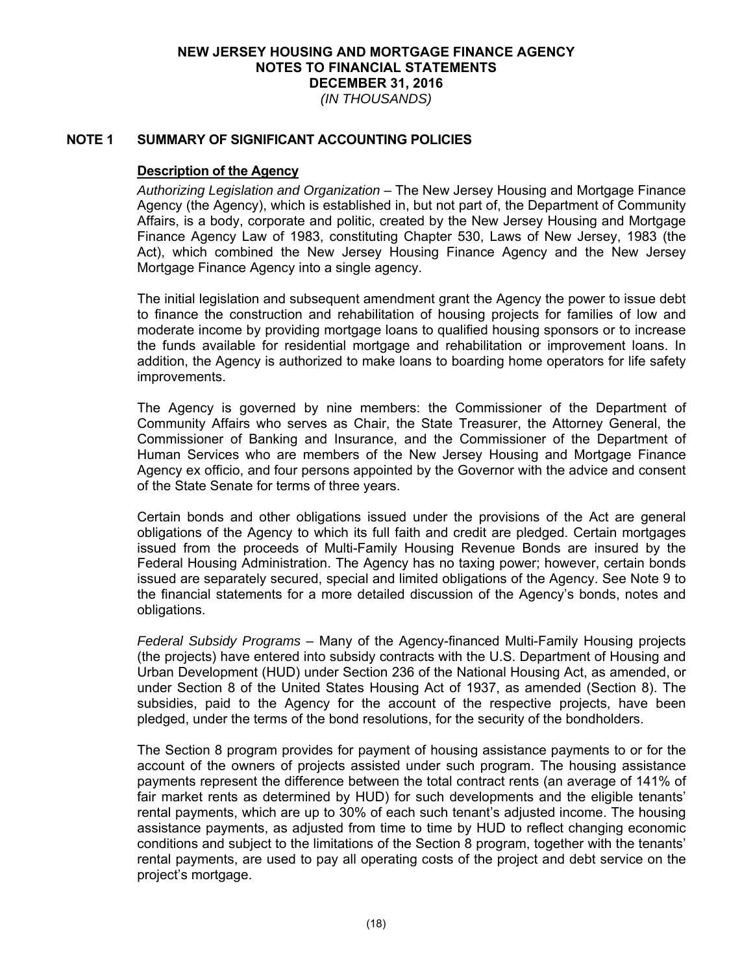### *(IN THOUSANDS)*

### **NOTE 1 SUMMARY OF SIGNIFICANT ACCOUNTING POLICIES**

### **Description of the Agency**

*Authorizing Legislation and Organization* – The New Jersey Housing and Mortgage Finance Agency (the Agency), which is established in, but not part of, the Department of Community Affairs, is a body, corporate and politic, created by the New Jersey Housing and Mortgage Finance Agency Law of 1983, constituting Chapter 530, Laws of New Jersey, 1983 (the Act), which combined the New Jersey Housing Finance Agency and the New Jersey Mortgage Finance Agency into a single agency.

The initial legislation and subsequent amendment grant the Agency the power to issue debt to finance the construction and rehabilitation of housing projects for families of low and moderate income by providing mortgage loans to qualified housing sponsors or to increase the funds available for residential mortgage and rehabilitation or improvement loans. In addition, the Agency is authorized to make loans to boarding home operators for life safety improvements.

The Agency is governed by nine members: the Commissioner of the Department of Community Affairs who serves as Chair, the State Treasurer, the Attorney General, the Commissioner of Banking and Insurance, and the Commissioner of the Department of Human Services who are members of the New Jersey Housing and Mortgage Finance Agency ex officio, and four persons appointed by the Governor with the advice and consent of the State Senate for terms of three years.

Certain bonds and other obligations issued under the provisions of the Act are general obligations of the Agency to which its full faith and credit are pledged. Certain mortgages issued from the proceeds of Multi-Family Housing Revenue Bonds are insured by the Federal Housing Administration. The Agency has no taxing power; however, certain bonds issued are separately secured, special and limited obligations of the Agency. See Note 9 to the financial statements for a more detailed discussion of the Agency's bonds, notes and obligations.

*Federal Subsidy Programs* – Many of the Agency-financed Multi-Family Housing projects (the projects) have entered into subsidy contracts with the U.S. Department of Housing and Urban Development (HUD) under Section 236 of the National Housing Act, as amended, or under Section 8 of the United States Housing Act of 1937, as amended (Section 8). The subsidies, paid to the Agency for the account of the respective projects, have been pledged, under the terms of the bond resolutions, for the security of the bondholders.

The Section 8 program provides for payment of housing assistance payments to or for the account of the owners of projects assisted under such program. The housing assistance payments represent the difference between the total contract rents (an average of 141% of fair market rents as determined by HUD) for such developments and the eligible tenants' rental payments, which are up to 30% of each such tenant's adjusted income. The housing assistance payments, as adjusted from time to time by HUD to reflect changing economic conditions and subject to the limitations of the Section 8 program, together with the tenants' rental payments, are used to pay all operating costs of the project and debt service on the project's mortgage.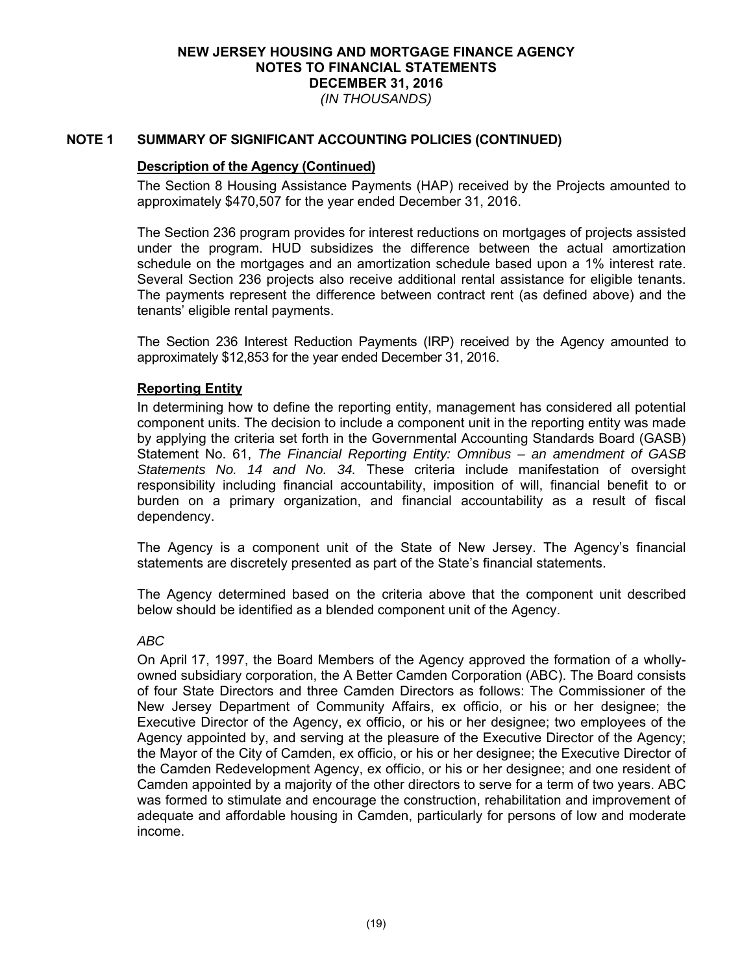### *(IN THOUSANDS)*

### **NOTE 1 SUMMARY OF SIGNIFICANT ACCOUNTING POLICIES (CONTINUED)**

### **Description of the Agency (Continued)**

The Section 8 Housing Assistance Payments (HAP) received by the Projects amounted to approximately \$470,507 for the year ended December 31, 2016.

The Section 236 program provides for interest reductions on mortgages of projects assisted under the program. HUD subsidizes the difference between the actual amortization schedule on the mortgages and an amortization schedule based upon a 1% interest rate. Several Section 236 projects also receive additional rental assistance for eligible tenants. The payments represent the difference between contract rent (as defined above) and the tenants' eligible rental payments.

The Section 236 Interest Reduction Payments (IRP) received by the Agency amounted to approximately \$12,853 for the year ended December 31, 2016.

### **Reporting Entity**

In determining how to define the reporting entity, management has considered all potential component units. The decision to include a component unit in the reporting entity was made by applying the criteria set forth in the Governmental Accounting Standards Board (GASB) Statement No. 61, *The Financial Reporting Entity: Omnibus – an amendment of GASB Statements No. 14 and No. 34.* These criteria include manifestation of oversight responsibility including financial accountability, imposition of will, financial benefit to or burden on a primary organization, and financial accountability as a result of fiscal dependency.

The Agency is a component unit of the State of New Jersey. The Agency's financial statements are discretely presented as part of the State's financial statements.

The Agency determined based on the criteria above that the component unit described below should be identified as a blended component unit of the Agency.

### *ABC*

On April 17, 1997, the Board Members of the Agency approved the formation of a whollyowned subsidiary corporation, the A Better Camden Corporation (ABC). The Board consists of four State Directors and three Camden Directors as follows: The Commissioner of the New Jersey Department of Community Affairs, ex officio, or his or her designee; the Executive Director of the Agency, ex officio, or his or her designee; two employees of the Agency appointed by, and serving at the pleasure of the Executive Director of the Agency; the Mayor of the City of Camden, ex officio, or his or her designee; the Executive Director of the Camden Redevelopment Agency, ex officio, or his or her designee; and one resident of Camden appointed by a majority of the other directors to serve for a term of two years. ABC was formed to stimulate and encourage the construction, rehabilitation and improvement of adequate and affordable housing in Camden, particularly for persons of low and moderate income.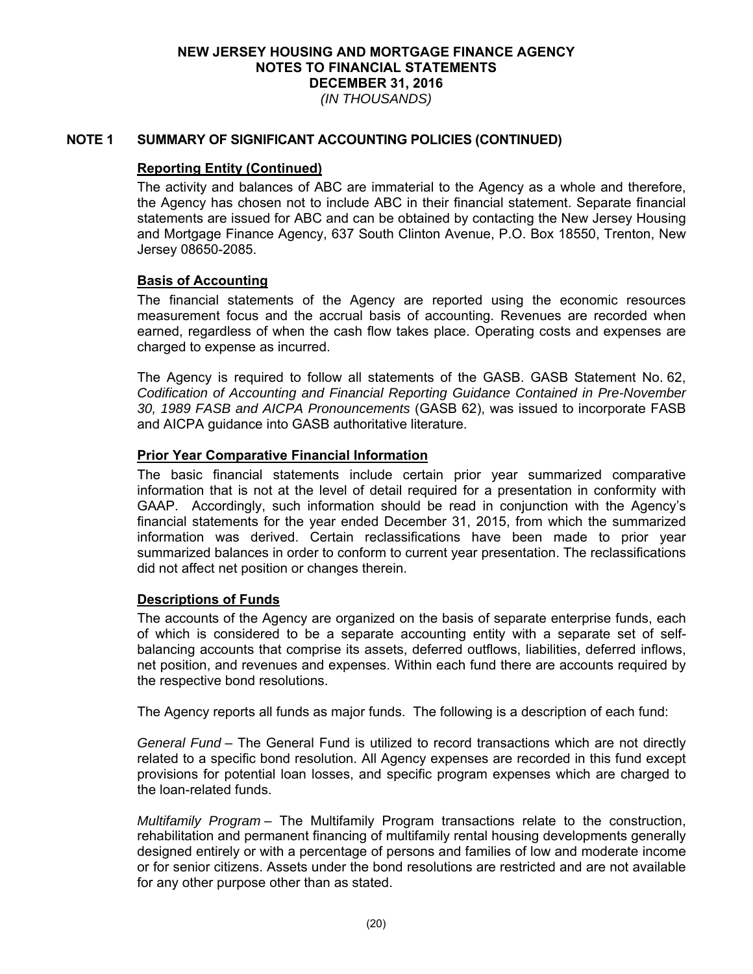*(IN THOUSANDS)*

### **NOTE 1 SUMMARY OF SIGNIFICANT ACCOUNTING POLICIES (CONTINUED)**

### **Reporting Entity (Continued)**

The activity and balances of ABC are immaterial to the Agency as a whole and therefore, the Agency has chosen not to include ABC in their financial statement. Separate financial statements are issued for ABC and can be obtained by contacting the New Jersey Housing and Mortgage Finance Agency, 637 South Clinton Avenue, P.O. Box 18550, Trenton, New Jersey 08650-2085.

### **Basis of Accounting**

The financial statements of the Agency are reported using the economic resources measurement focus and the accrual basis of accounting. Revenues are recorded when earned, regardless of when the cash flow takes place. Operating costs and expenses are charged to expense as incurred.

The Agency is required to follow all statements of the GASB. GASB Statement No. 62, *Codification of Accounting and Financial Reporting Guidance Contained in Pre-November 30, 1989 FASB and AICPA Pronouncements* (GASB 62), was issued to incorporate FASB and AICPA guidance into GASB authoritative literature.

### **Prior Year Comparative Financial Information**

The basic financial statements include certain prior year summarized comparative information that is not at the level of detail required for a presentation in conformity with GAAP. Accordingly, such information should be read in conjunction with the Agency's financial statements for the year ended December 31, 2015, from which the summarized information was derived. Certain reclassifications have been made to prior year summarized balances in order to conform to current year presentation. The reclassifications did not affect net position or changes therein.

### **Descriptions of Funds**

The accounts of the Agency are organized on the basis of separate enterprise funds, each of which is considered to be a separate accounting entity with a separate set of selfbalancing accounts that comprise its assets, deferred outflows, liabilities, deferred inflows, net position, and revenues and expenses. Within each fund there are accounts required by the respective bond resolutions.

The Agency reports all funds as major funds. The following is a description of each fund:

*General Fund* – The General Fund is utilized to record transactions which are not directly related to a specific bond resolution. All Agency expenses are recorded in this fund except provisions for potential loan losses, and specific program expenses which are charged to the loan-related funds.

*Multifamily Program* – The Multifamily Program transactions relate to the construction, rehabilitation and permanent financing of multifamily rental housing developments generally designed entirely or with a percentage of persons and families of low and moderate income or for senior citizens. Assets under the bond resolutions are restricted and are not available for any other purpose other than as stated.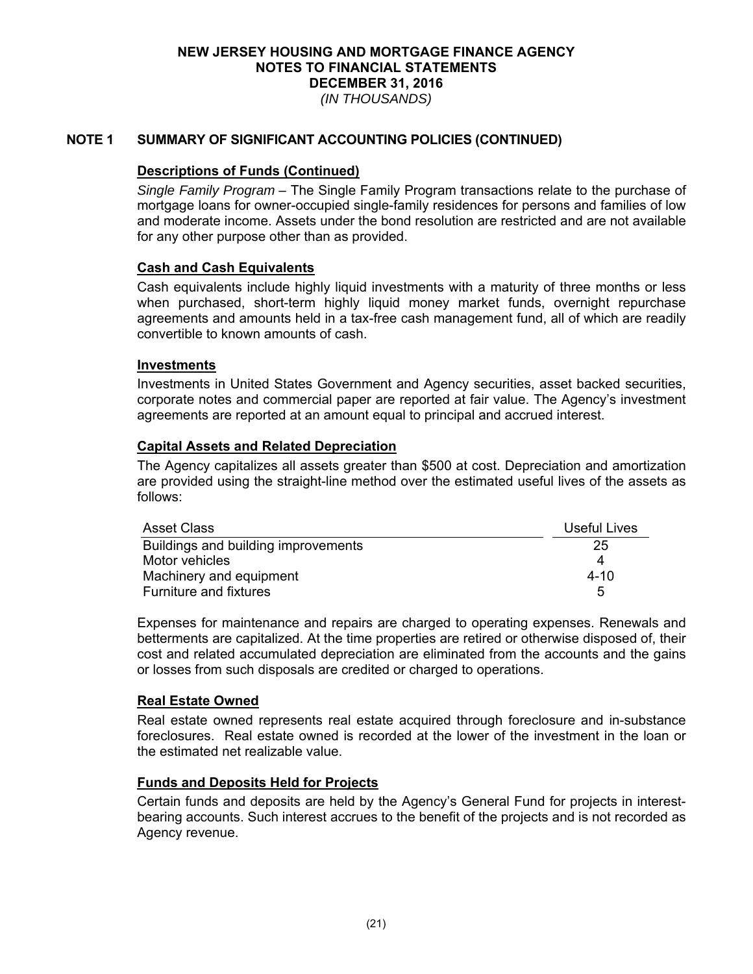### *(IN THOUSANDS)*

### **NOTE 1 SUMMARY OF SIGNIFICANT ACCOUNTING POLICIES (CONTINUED)**

### **Descriptions of Funds (Continued)**

*Single Family Program* – The Single Family Program transactions relate to the purchase of mortgage loans for owner-occupied single-family residences for persons and families of low and moderate income. Assets under the bond resolution are restricted and are not available for any other purpose other than as provided.

### **Cash and Cash Equivalents**

Cash equivalents include highly liquid investments with a maturity of three months or less when purchased, short-term highly liquid money market funds, overnight repurchase agreements and amounts held in a tax-free cash management fund, all of which are readily convertible to known amounts of cash.

### **Investments**

Investments in United States Government and Agency securities, asset backed securities, corporate notes and commercial paper are reported at fair value. The Agency's investment agreements are reported at an amount equal to principal and accrued interest.

### **Capital Assets and Related Depreciation**

The Agency capitalizes all assets greater than \$500 at cost. Depreciation and amortization are provided using the straight-line method over the estimated useful lives of the assets as follows:

| <b>Asset Class</b>                  | Useful Lives |
|-------------------------------------|--------------|
| Buildings and building improvements | 25           |
| Motor vehicles                      |              |
| Machinery and equipment             | $4 - 10$     |
| Furniture and fixtures              | -5           |

Expenses for maintenance and repairs are charged to operating expenses. Renewals and betterments are capitalized. At the time properties are retired or otherwise disposed of, their cost and related accumulated depreciation are eliminated from the accounts and the gains or losses from such disposals are credited or charged to operations.

### **Real Estate Owned**

Real estate owned represents real estate acquired through foreclosure and in-substance foreclosures. Real estate owned is recorded at the lower of the investment in the loan or the estimated net realizable value.

### **Funds and Deposits Held for Projects**

Certain funds and deposits are held by the Agency's General Fund for projects in interestbearing accounts. Such interest accrues to the benefit of the projects and is not recorded as Agency revenue.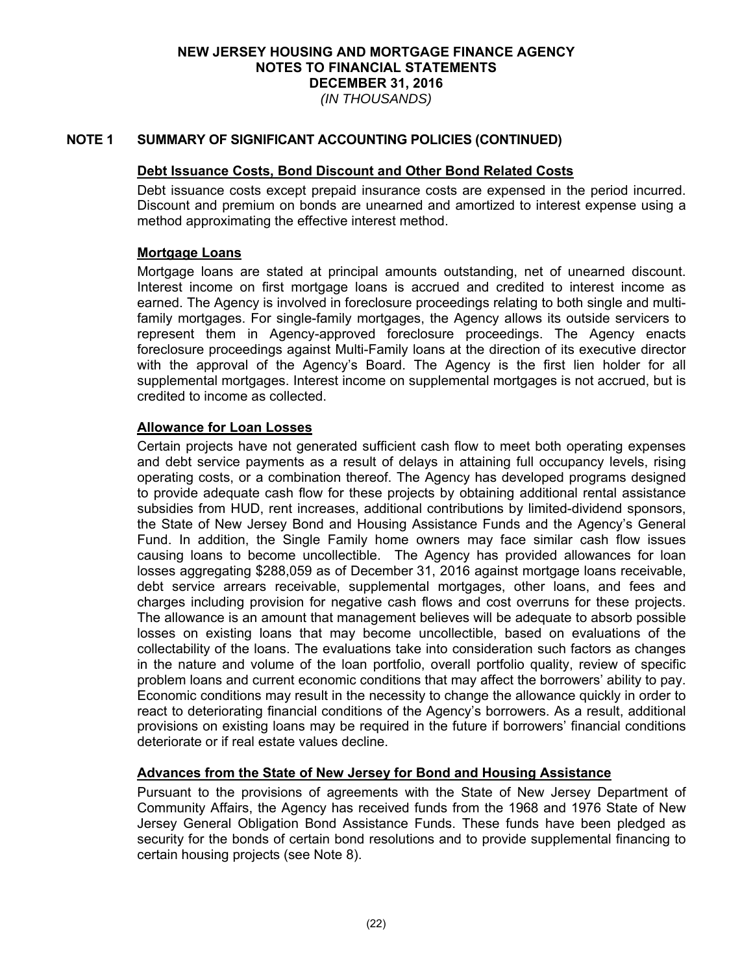### *(IN THOUSANDS)*

### **NOTE 1 SUMMARY OF SIGNIFICANT ACCOUNTING POLICIES (CONTINUED)**

### **Debt Issuance Costs, Bond Discount and Other Bond Related Costs**

Debt issuance costs except prepaid insurance costs are expensed in the period incurred. Discount and premium on bonds are unearned and amortized to interest expense using a method approximating the effective interest method.

### **Mortgage Loans**

Mortgage loans are stated at principal amounts outstanding, net of unearned discount. Interest income on first mortgage loans is accrued and credited to interest income as earned. The Agency is involved in foreclosure proceedings relating to both single and multifamily mortgages. For single-family mortgages, the Agency allows its outside servicers to represent them in Agency-approved foreclosure proceedings. The Agency enacts foreclosure proceedings against Multi-Family loans at the direction of its executive director with the approval of the Agency's Board. The Agency is the first lien holder for all supplemental mortgages. Interest income on supplemental mortgages is not accrued, but is credited to income as collected.

### **Allowance for Loan Losses**

Certain projects have not generated sufficient cash flow to meet both operating expenses and debt service payments as a result of delays in attaining full occupancy levels, rising operating costs, or a combination thereof. The Agency has developed programs designed to provide adequate cash flow for these projects by obtaining additional rental assistance subsidies from HUD, rent increases, additional contributions by limited-dividend sponsors, the State of New Jersey Bond and Housing Assistance Funds and the Agency's General Fund. In addition, the Single Family home owners may face similar cash flow issues causing loans to become uncollectible. The Agency has provided allowances for loan losses aggregating \$288,059 as of December 31, 2016 against mortgage loans receivable, debt service arrears receivable, supplemental mortgages, other loans, and fees and charges including provision for negative cash flows and cost overruns for these projects. The allowance is an amount that management believes will be adequate to absorb possible losses on existing loans that may become uncollectible, based on evaluations of the collectability of the loans. The evaluations take into consideration such factors as changes in the nature and volume of the loan portfolio, overall portfolio quality, review of specific problem loans and current economic conditions that may affect the borrowers' ability to pay. Economic conditions may result in the necessity to change the allowance quickly in order to react to deteriorating financial conditions of the Agency's borrowers. As a result, additional provisions on existing loans may be required in the future if borrowers' financial conditions deteriorate or if real estate values decline.

### **Advances from the State of New Jersey for Bond and Housing Assistance**

Pursuant to the provisions of agreements with the State of New Jersey Department of Community Affairs, the Agency has received funds from the 1968 and 1976 State of New Jersey General Obligation Bond Assistance Funds. These funds have been pledged as security for the bonds of certain bond resolutions and to provide supplemental financing to certain housing projects (see Note 8).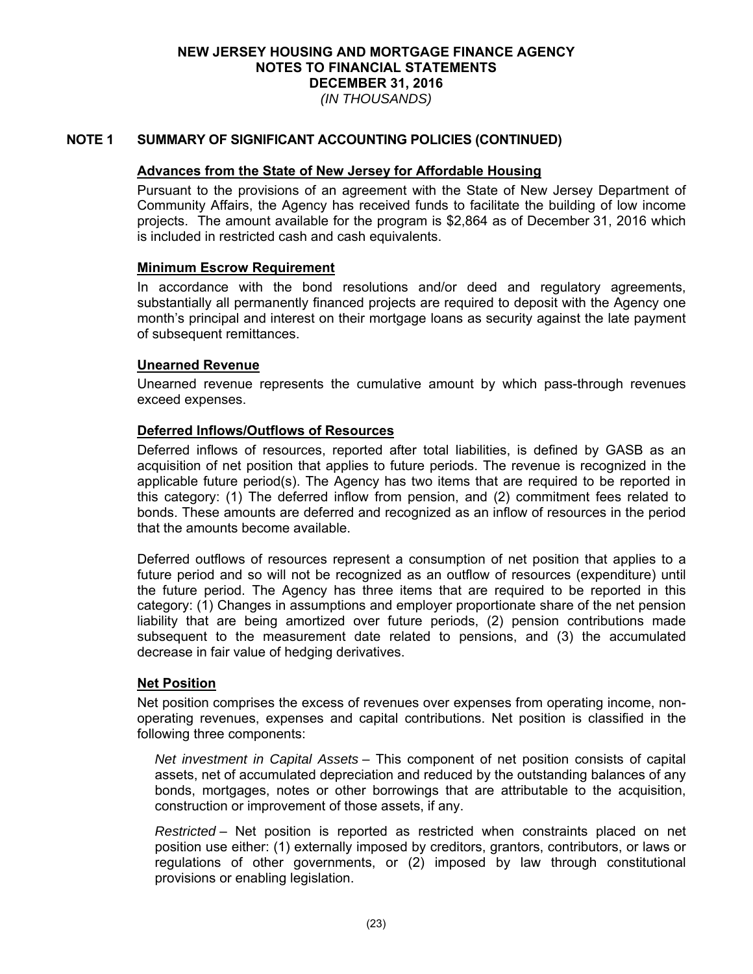*(IN THOUSANDS)*

### **NOTE 1 SUMMARY OF SIGNIFICANT ACCOUNTING POLICIES (CONTINUED)**

#### **Advances from the State of New Jersey for Affordable Housing**

Pursuant to the provisions of an agreement with the State of New Jersey Department of Community Affairs, the Agency has received funds to facilitate the building of low income projects. The amount available for the program is \$2,864 as of December 31, 2016 which is included in restricted cash and cash equivalents.

#### **Minimum Escrow Requirement**

In accordance with the bond resolutions and/or deed and regulatory agreements, substantially all permanently financed projects are required to deposit with the Agency one month's principal and interest on their mortgage loans as security against the late payment of subsequent remittances.

### **Unearned Revenue**

Unearned revenue represents the cumulative amount by which pass-through revenues exceed expenses.

### **Deferred Inflows/Outflows of Resources**

Deferred inflows of resources, reported after total liabilities, is defined by GASB as an acquisition of net position that applies to future periods. The revenue is recognized in the applicable future period(s). The Agency has two items that are required to be reported in this category: (1) The deferred inflow from pension, and (2) commitment fees related to bonds. These amounts are deferred and recognized as an inflow of resources in the period that the amounts become available.

Deferred outflows of resources represent a consumption of net position that applies to a future period and so will not be recognized as an outflow of resources (expenditure) until the future period. The Agency has three items that are required to be reported in this category: (1) Changes in assumptions and employer proportionate share of the net pension liability that are being amortized over future periods, (2) pension contributions made subsequent to the measurement date related to pensions, and (3) the accumulated decrease in fair value of hedging derivatives.

### **Net Position**

Net position comprises the excess of revenues over expenses from operating income, nonoperating revenues, expenses and capital contributions. Net position is classified in the following three components:

*Net investment in Capital Assets* – This component of net position consists of capital assets, net of accumulated depreciation and reduced by the outstanding balances of any bonds, mortgages, notes or other borrowings that are attributable to the acquisition, construction or improvement of those assets, if any.

*Restricted* – Net position is reported as restricted when constraints placed on net position use either: (1) externally imposed by creditors, grantors, contributors, or laws or regulations of other governments, or (2) imposed by law through constitutional provisions or enabling legislation.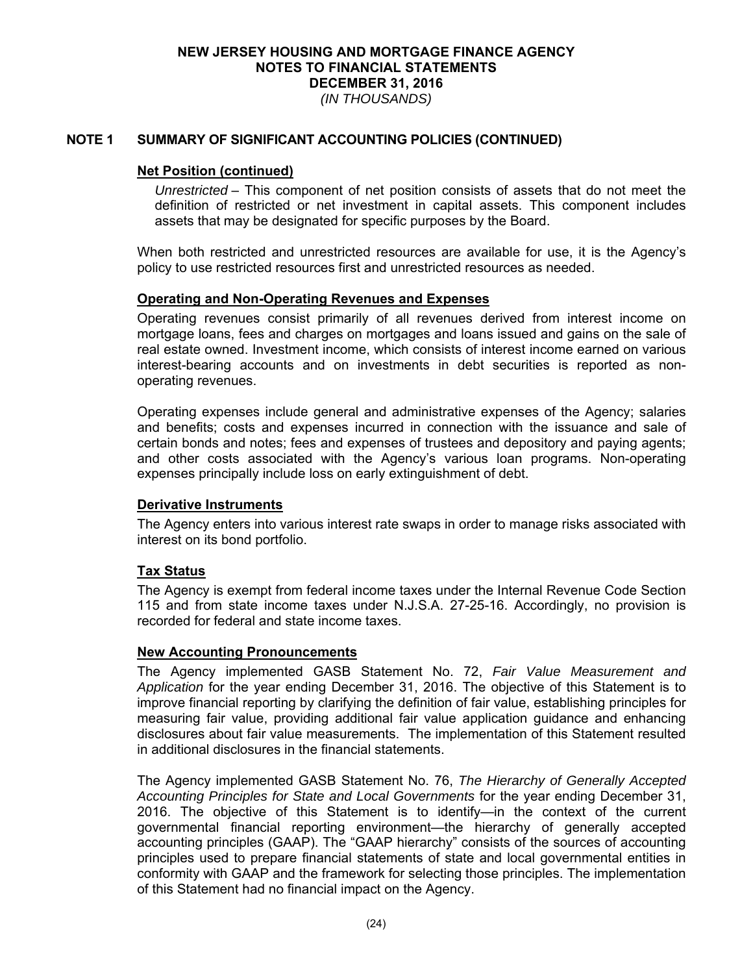### *(IN THOUSANDS)*

### **NOTE 1 SUMMARY OF SIGNIFICANT ACCOUNTING POLICIES (CONTINUED)**

### **Net Position (continued)**

*Unrestricted* – This component of net position consists of assets that do not meet the definition of restricted or net investment in capital assets. This component includes assets that may be designated for specific purposes by the Board.

When both restricted and unrestricted resources are available for use, it is the Agency's policy to use restricted resources first and unrestricted resources as needed.

### **Operating and Non-Operating Revenues and Expenses**

Operating revenues consist primarily of all revenues derived from interest income on mortgage loans, fees and charges on mortgages and loans issued and gains on the sale of real estate owned. Investment income, which consists of interest income earned on various interest-bearing accounts and on investments in debt securities is reported as nonoperating revenues.

Operating expenses include general and administrative expenses of the Agency; salaries and benefits; costs and expenses incurred in connection with the issuance and sale of certain bonds and notes; fees and expenses of trustees and depository and paying agents; and other costs associated with the Agency's various loan programs. Non-operating expenses principally include loss on early extinguishment of debt.

### **Derivative Instruments**

The Agency enters into various interest rate swaps in order to manage risks associated with interest on its bond portfolio.

### **Tax Status**

The Agency is exempt from federal income taxes under the Internal Revenue Code Section 115 and from state income taxes under N.J.S.A. 27-25-16. Accordingly, no provision is recorded for federal and state income taxes.

### **New Accounting Pronouncements**

The Agency implemented GASB Statement No. 72, *Fair Value Measurement and Application* for the year ending December 31, 2016. The objective of this Statement is to improve financial reporting by clarifying the definition of fair value, establishing principles for measuring fair value, providing additional fair value application guidance and enhancing disclosures about fair value measurements. The implementation of this Statement resulted in additional disclosures in the financial statements.

The Agency implemented GASB Statement No. 76, *The Hierarchy of Generally Accepted Accounting Principles for State and Local Governments* for the year ending December 31, 2016. The objective of this Statement is to identify—in the context of the current governmental financial reporting environment—the hierarchy of generally accepted accounting principles (GAAP). The "GAAP hierarchy" consists of the sources of accounting principles used to prepare financial statements of state and local governmental entities in conformity with GAAP and the framework for selecting those principles. The implementation of this Statement had no financial impact on the Agency.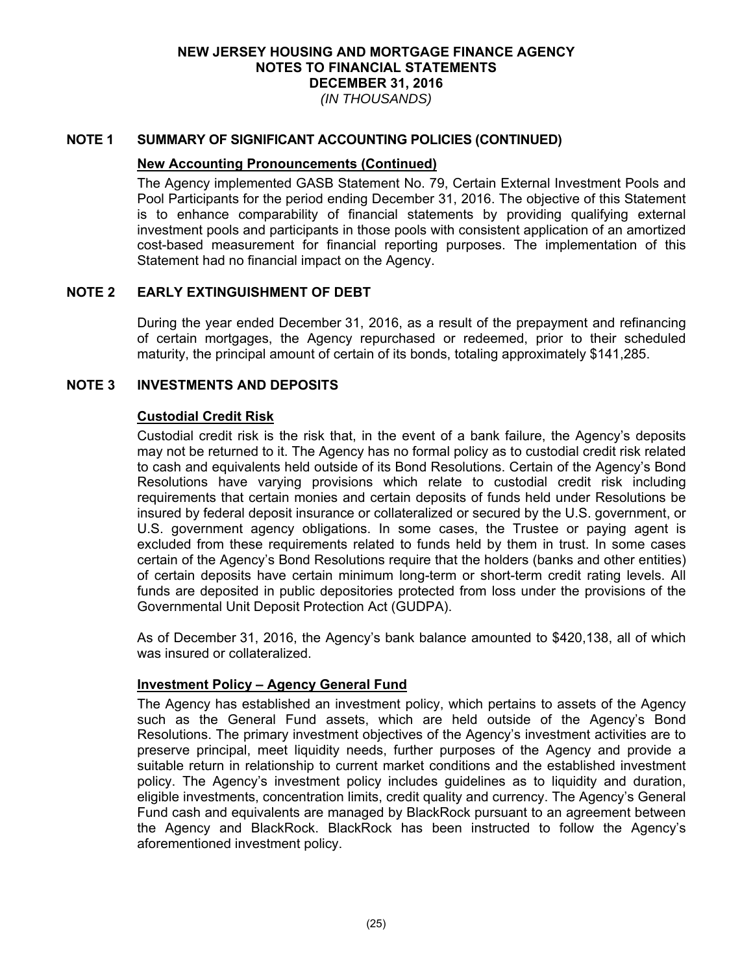*(IN THOUSANDS)*

### **NOTE 1 SUMMARY OF SIGNIFICANT ACCOUNTING POLICIES (CONTINUED)**

#### **New Accounting Pronouncements (Continued)**

The Agency implemented GASB Statement No. 79, Certain External Investment Pools and Pool Participants for the period ending December 31, 2016. The objective of this Statement is to enhance comparability of financial statements by providing qualifying external investment pools and participants in those pools with consistent application of an amortized cost-based measurement for financial reporting purposes. The implementation of this Statement had no financial impact on the Agency.

### **NOTE 2 EARLY EXTINGUISHMENT OF DEBT**

During the year ended December 31, 2016, as a result of the prepayment and refinancing of certain mortgages, the Agency repurchased or redeemed, prior to their scheduled maturity, the principal amount of certain of its bonds, totaling approximately \$141,285.

### **NOTE 3 INVESTMENTS AND DEPOSITS**

#### **Custodial Credit Risk**

Custodial credit risk is the risk that, in the event of a bank failure, the Agency's deposits may not be returned to it. The Agency has no formal policy as to custodial credit risk related to cash and equivalents held outside of its Bond Resolutions. Certain of the Agency's Bond Resolutions have varying provisions which relate to custodial credit risk including requirements that certain monies and certain deposits of funds held under Resolutions be insured by federal deposit insurance or collateralized or secured by the U.S. government, or U.S. government agency obligations. In some cases, the Trustee or paying agent is excluded from these requirements related to funds held by them in trust. In some cases certain of the Agency's Bond Resolutions require that the holders (banks and other entities) of certain deposits have certain minimum long-term or short-term credit rating levels. All funds are deposited in public depositories protected from loss under the provisions of the Governmental Unit Deposit Protection Act (GUDPA).

As of December 31, 2016, the Agency's bank balance amounted to \$420,138, all of which was insured or collateralized.

### **Investment Policy – Agency General Fund**

The Agency has established an investment policy, which pertains to assets of the Agency such as the General Fund assets, which are held outside of the Agency's Bond Resolutions. The primary investment objectives of the Agency's investment activities are to preserve principal, meet liquidity needs, further purposes of the Agency and provide a suitable return in relationship to current market conditions and the established investment policy. The Agency's investment policy includes guidelines as to liquidity and duration, eligible investments, concentration limits, credit quality and currency. The Agency's General Fund cash and equivalents are managed by BlackRock pursuant to an agreement between the Agency and BlackRock. BlackRock has been instructed to follow the Agency's aforementioned investment policy.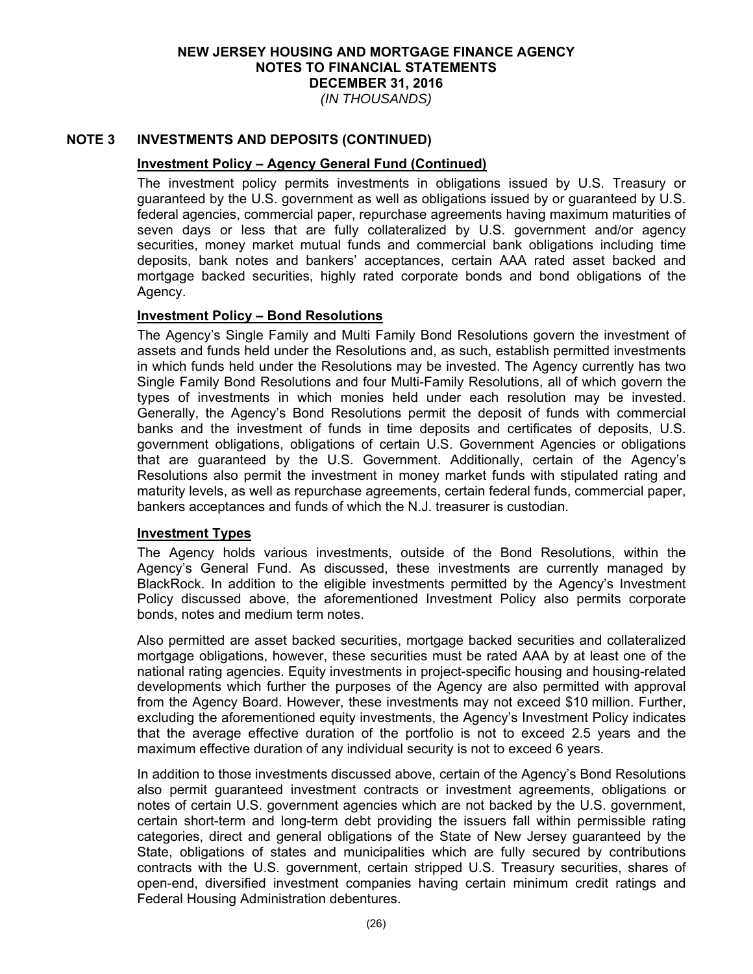*(IN THOUSANDS)*

### **NOTE 3 INVESTMENTS AND DEPOSITS (CONTINUED)**

### **Investment Policy – Agency General Fund (Continued)**

The investment policy permits investments in obligations issued by U.S. Treasury or guaranteed by the U.S. government as well as obligations issued by or guaranteed by U.S. federal agencies, commercial paper, repurchase agreements having maximum maturities of seven days or less that are fully collateralized by U.S. government and/or agency securities, money market mutual funds and commercial bank obligations including time deposits, bank notes and bankers' acceptances, certain AAA rated asset backed and mortgage backed securities, highly rated corporate bonds and bond obligations of the Agency.

#### **Investment Policy – Bond Resolutions**

The Agency's Single Family and Multi Family Bond Resolutions govern the investment of assets and funds held under the Resolutions and, as such, establish permitted investments in which funds held under the Resolutions may be invested. The Agency currently has two Single Family Bond Resolutions and four Multi-Family Resolutions, all of which govern the types of investments in which monies held under each resolution may be invested. Generally, the Agency's Bond Resolutions permit the deposit of funds with commercial banks and the investment of funds in time deposits and certificates of deposits, U.S. government obligations, obligations of certain U.S. Government Agencies or obligations that are guaranteed by the U.S. Government. Additionally, certain of the Agency's Resolutions also permit the investment in money market funds with stipulated rating and maturity levels, as well as repurchase agreements, certain federal funds, commercial paper, bankers acceptances and funds of which the N.J. treasurer is custodian.

### **Investment Types**

The Agency holds various investments, outside of the Bond Resolutions, within the Agency's General Fund. As discussed, these investments are currently managed by BlackRock. In addition to the eligible investments permitted by the Agency's Investment Policy discussed above, the aforementioned Investment Policy also permits corporate bonds, notes and medium term notes.

Also permitted are asset backed securities, mortgage backed securities and collateralized mortgage obligations, however, these securities must be rated AAA by at least one of the national rating agencies. Equity investments in project-specific housing and housing-related developments which further the purposes of the Agency are also permitted with approval from the Agency Board. However, these investments may not exceed \$10 million. Further, excluding the aforementioned equity investments, the Agency's Investment Policy indicates that the average effective duration of the portfolio is not to exceed 2.5 years and the maximum effective duration of any individual security is not to exceed 6 years.

In addition to those investments discussed above, certain of the Agency's Bond Resolutions also permit guaranteed investment contracts or investment agreements, obligations or notes of certain U.S. government agencies which are not backed by the U.S. government, certain short-term and long-term debt providing the issuers fall within permissible rating categories, direct and general obligations of the State of New Jersey guaranteed by the State, obligations of states and municipalities which are fully secured by contributions contracts with the U.S. government, certain stripped U.S. Treasury securities, shares of open-end, diversified investment companies having certain minimum credit ratings and Federal Housing Administration debentures.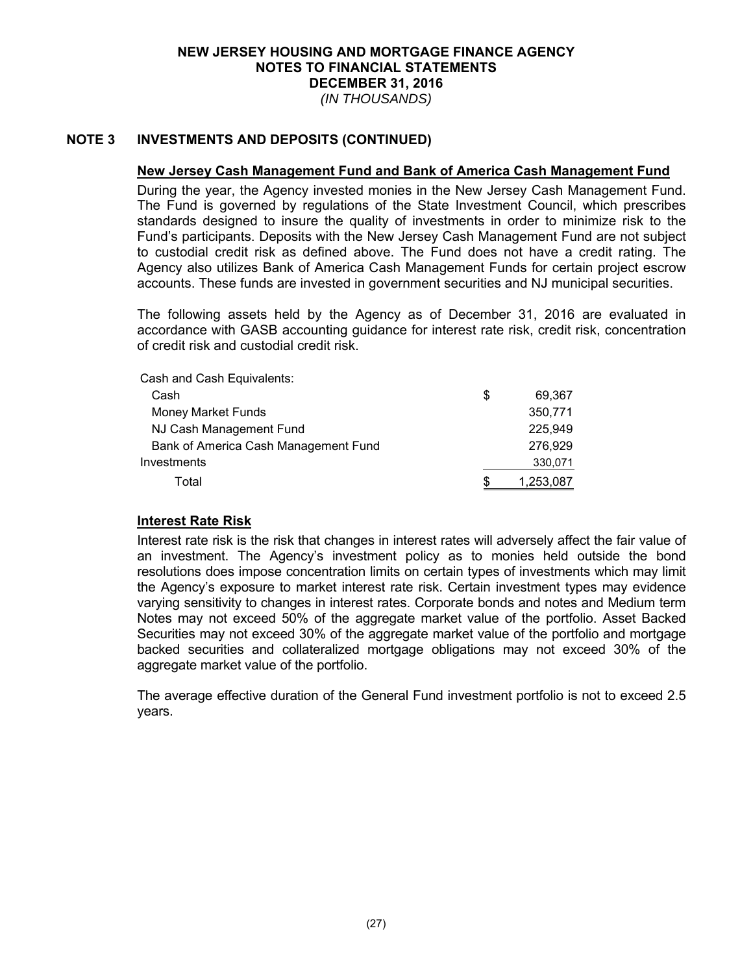### *(IN THOUSANDS)*

### **NOTE 3 INVESTMENTS AND DEPOSITS (CONTINUED)**

### **New Jersey Cash Management Fund and Bank of America Cash Management Fund**

During the year, the Agency invested monies in the New Jersey Cash Management Fund. The Fund is governed by regulations of the State Investment Council, which prescribes standards designed to insure the quality of investments in order to minimize risk to the Fund's participants. Deposits with the New Jersey Cash Management Fund are not subject to custodial credit risk as defined above. The Fund does not have a credit rating. The Agency also utilizes Bank of America Cash Management Funds for certain project escrow accounts. These funds are invested in government securities and NJ municipal securities.

The following assets held by the Agency as of December 31, 2016 are evaluated in accordance with GASB accounting guidance for interest rate risk, credit risk, concentration of credit risk and custodial credit risk.

| Cash and Cash Equivalents:           |              |
|--------------------------------------|--------------|
| Cash                                 | \$<br>69,367 |
| Money Market Funds                   | 350,771      |
| NJ Cash Management Fund              | 225,949      |
| Bank of America Cash Management Fund | 276,929      |
| Investments                          | 330,071      |
| Total                                | 1,253,087    |

### **Interest Rate Risk**

Interest rate risk is the risk that changes in interest rates will adversely affect the fair value of an investment. The Agency's investment policy as to monies held outside the bond resolutions does impose concentration limits on certain types of investments which may limit the Agency's exposure to market interest rate risk. Certain investment types may evidence varying sensitivity to changes in interest rates. Corporate bonds and notes and Medium term Notes may not exceed 50% of the aggregate market value of the portfolio. Asset Backed Securities may not exceed 30% of the aggregate market value of the portfolio and mortgage backed securities and collateralized mortgage obligations may not exceed 30% of the aggregate market value of the portfolio.

The average effective duration of the General Fund investment portfolio is not to exceed 2.5 years.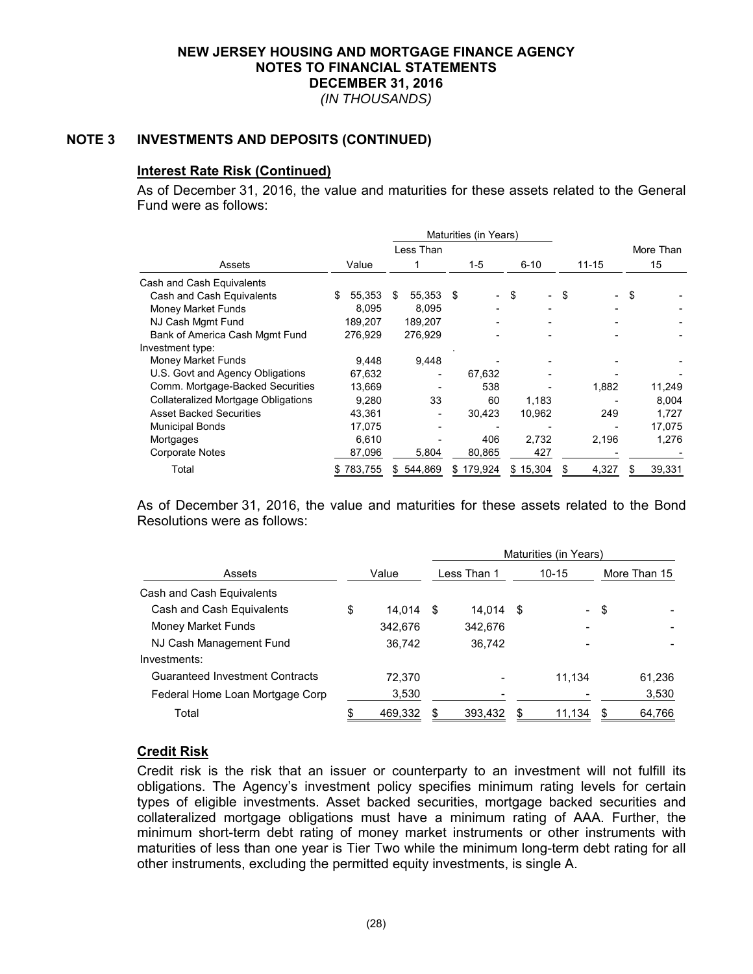*(IN THOUSANDS)*

### **NOTE 3 INVESTMENTS AND DEPOSITS (CONTINUED)**

### **Interest Rate Risk (Continued)**

As of December 31, 2016, the value and maturities for these assets related to the General Fund were as follows:

|                                            |   |           |   |           |   | Maturities (in Years) |          |    |                          |           |
|--------------------------------------------|---|-----------|---|-----------|---|-----------------------|----------|----|--------------------------|-----------|
|                                            |   |           |   | Less Than |   |                       |          |    |                          | More Than |
| Assets                                     |   | Value     |   |           |   | $1-5$                 | $6 - 10$ |    | $11 - 15$                | 15        |
| Cash and Cash Equivalents                  |   |           |   |           |   |                       |          |    |                          |           |
| Cash and Cash Equivalents                  | S | 55,353    | S | 55,353    | S | $\sim$                | \$       | \$ | $\overline{\phantom{0}}$ | \$        |
| <b>Money Market Funds</b>                  |   | 8,095     |   | 8,095     |   |                       |          |    |                          |           |
| NJ Cash Mgmt Fund                          |   | 189,207   |   | 189,207   |   |                       |          |    |                          |           |
| Bank of America Cash Mgmt Fund             |   | 276,929   |   | 276,929   |   |                       |          |    |                          |           |
| Investment type:                           |   |           |   |           |   |                       |          |    |                          |           |
| <b>Money Market Funds</b>                  |   | 9,448     |   | 9,448     |   |                       |          |    |                          |           |
| U.S. Govt and Agency Obligations           |   | 67,632    |   |           |   | 67,632                |          |    |                          |           |
| Comm. Mortgage-Backed Securities           |   | 13.669    |   |           |   | 538                   |          |    | 1,882                    | 11,249    |
| <b>Collateralized Mortgage Obligations</b> |   | 9.280     |   | 33        |   | 60                    | 1,183    |    |                          | 8,004     |
| <b>Asset Backed Securities</b>             |   | 43,361    |   |           |   | 30,423                | 10,962   |    | 249                      | 1,727     |
| <b>Municipal Bonds</b>                     |   | 17,075    |   |           |   |                       |          |    |                          | 17,075    |
| Mortgages                                  |   | 6.610     |   |           |   | 406                   | 2.732    |    | 2,196                    | 1,276     |
| <b>Corporate Notes</b>                     |   | 87,096    |   | 5,804     |   | 80,865                | 427      |    |                          |           |
| Total                                      |   | \$783,755 |   | \$544,869 |   | \$179,924             | \$15,304 | S  | 4,327                    | 39,331    |

As of December 31, 2016, the value and maturities for these assets related to the Bond Resolutions were as follows:

|                                        |    |         | Maturities (in Years) |             |    |                          |    |              |  |
|----------------------------------------|----|---------|-----------------------|-------------|----|--------------------------|----|--------------|--|
| Assets                                 |    | Value   |                       | Less Than 1 |    | $10 - 15$                |    | More Than 15 |  |
| Cash and Cash Equivalents              |    |         |                       |             |    |                          |    |              |  |
| Cash and Cash Equivalents              | \$ | 14.014  | S                     | 14.014      | -S | $\overline{\phantom{a}}$ | \$ |              |  |
| Money Market Funds                     |    | 342,676 |                       | 342,676     |    |                          |    |              |  |
| NJ Cash Management Fund                |    | 36,742  |                       | 36,742      |    |                          |    |              |  |
| Investments:                           |    |         |                       |             |    |                          |    |              |  |
| <b>Guaranteed Investment Contracts</b> |    | 72,370  |                       |             |    | 11,134                   |    | 61,236       |  |
| Federal Home Loan Mortgage Corp        |    | 3,530   |                       |             |    |                          |    | 3,530        |  |
| Total                                  |    | 469,332 |                       | 393,432     |    | 11,134                   |    | 64,766       |  |

### **Credit Risk**

Credit risk is the risk that an issuer or counterparty to an investment will not fulfill its obligations. The Agency's investment policy specifies minimum rating levels for certain types of eligible investments. Asset backed securities, mortgage backed securities and collateralized mortgage obligations must have a minimum rating of AAA. Further, the minimum short-term debt rating of money market instruments or other instruments with maturities of less than one year is Tier Two while the minimum long-term debt rating for all other instruments, excluding the permitted equity investments, is single A.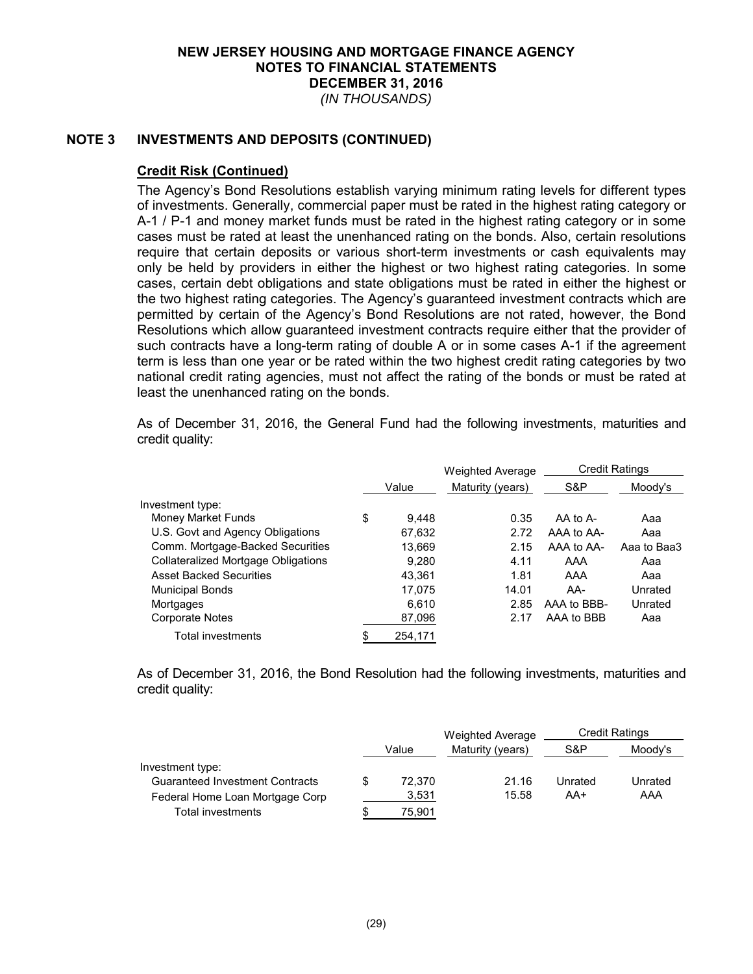*(IN THOUSANDS)*

### **NOTE 3 INVESTMENTS AND DEPOSITS (CONTINUED)**

### **Credit Risk (Continued)**

The Agency's Bond Resolutions establish varying minimum rating levels for different types of investments. Generally, commercial paper must be rated in the highest rating category or A-1 / P-1 and money market funds must be rated in the highest rating category or in some cases must be rated at least the unenhanced rating on the bonds. Also, certain resolutions require that certain deposits or various short-term investments or cash equivalents may only be held by providers in either the highest or two highest rating categories. In some cases, certain debt obligations and state obligations must be rated in either the highest or the two highest rating categories. The Agency's guaranteed investment contracts which are permitted by certain of the Agency's Bond Resolutions are not rated, however, the Bond Resolutions which allow guaranteed investment contracts require either that the provider of such contracts have a long-term rating of double A or in some cases A-1 if the agreement term is less than one year or be rated within the two highest credit rating categories by two national credit rating agencies, must not affect the rating of the bonds or must be rated at least the unenhanced rating on the bonds.

As of December 31, 2016, the General Fund had the following investments, maturities and credit quality:

|                                            |             | <b>Weighted Average</b> |              | <b>Credit Ratings</b> |
|--------------------------------------------|-------------|-------------------------|--------------|-----------------------|
|                                            | Value       | Maturity (years)        | S&P          | Moody's               |
| Investment type:                           |             |                         |              |                       |
| Money Market Funds                         | \$<br>9.448 | 0.35                    | $AA$ to $A-$ | Aaa                   |
| U.S. Govt and Agency Obligations           | 67,632      | 2.72                    | AAA to AA-   | Aaa                   |
| Comm. Mortgage-Backed Securities           | 13,669      | 2.15                    | AAA to AA-   | Aaa to Baa3           |
| <b>Collateralized Mortgage Obligations</b> | 9.280       | 4.11                    | AAA          | Aaa                   |
| <b>Asset Backed Securities</b>             | 43.361      | 1.81                    | AAA          | Aaa                   |
| <b>Municipal Bonds</b>                     | 17,075      | 14.01                   | AA-          | Unrated               |
| Mortgages                                  | 6.610       | 2.85                    | AAA to BBB-  | Unrated               |
| <b>Corporate Notes</b>                     | 87,096      | 2.17                    | AAA to BBB   | Aaa                   |
| <b>Total investments</b>                   | 254,171     |                         |              |                       |

As of December 31, 2016, the Bond Resolution had the following investments, maturities and credit quality:

|                                        |        | <b>Weighted Average</b> | <b>Credit Ratings</b> |         |  |
|----------------------------------------|--------|-------------------------|-----------------------|---------|--|
|                                        | Value  | Maturity (years)        | S&P                   | Moody's |  |
| Investment type:                       |        |                         |                       |         |  |
| <b>Guaranteed Investment Contracts</b> | 72.370 | 21.16                   | Unrated               | Unrated |  |
| Federal Home Loan Mortgage Corp        | 3,531  | 15.58                   | AA+                   | AAA     |  |
| Total investments                      | 75.901 |                         |                       |         |  |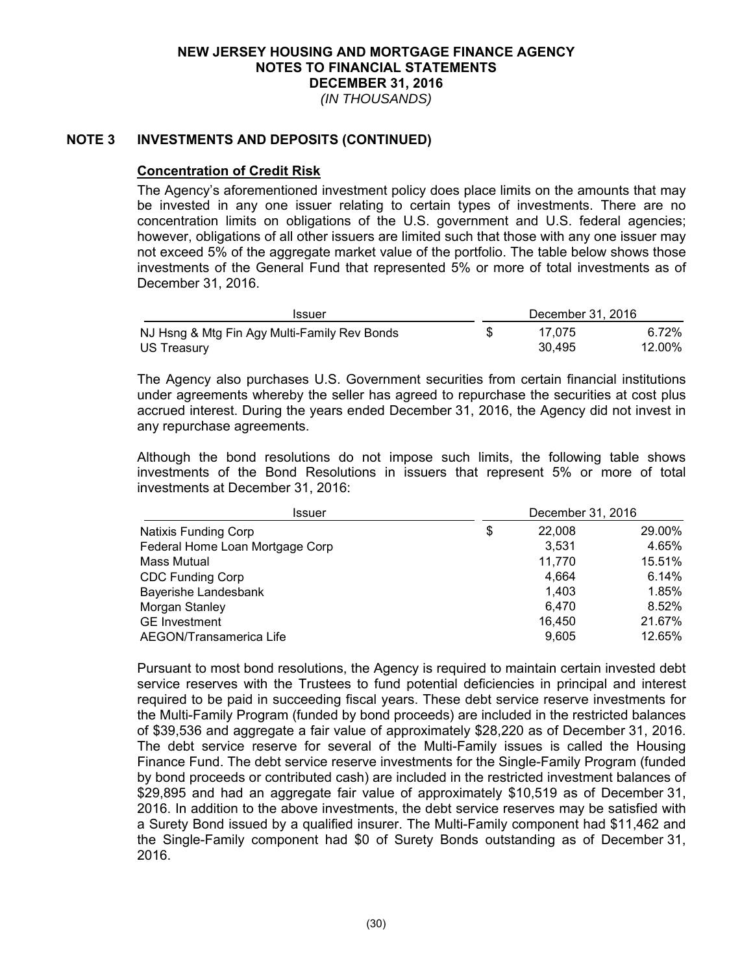*(IN THOUSANDS)*

### **NOTE 3 INVESTMENTS AND DEPOSITS (CONTINUED)**

### **Concentration of Credit Risk**

The Agency's aforementioned investment policy does place limits on the amounts that may be invested in any one issuer relating to certain types of investments. There are no concentration limits on obligations of the U.S. government and U.S. federal agencies; however, obligations of all other issuers are limited such that those with any one issuer may not exceed 5% of the aggregate market value of the portfolio. The table below shows those investments of the General Fund that represented 5% or more of total investments as of December 31, 2016.

| Issuer                                       | December 31, 2016 |        |  |  |  |  |
|----------------------------------------------|-------------------|--------|--|--|--|--|
| NJ Hsng & Mtg Fin Agy Multi-Family Rev Bonds | 17.075            | 6.72%  |  |  |  |  |
| US Treasury                                  | 30.495            | 12.00% |  |  |  |  |

The Agency also purchases U.S. Government securities from certain financial institutions under agreements whereby the seller has agreed to repurchase the securities at cost plus accrued interest. During the years ended December 31, 2016, the Agency did not invest in any repurchase agreements.

Although the bond resolutions do not impose such limits, the following table shows investments of the Bond Resolutions in issuers that represent 5% or more of total investments at December 31, 2016:

| <b>Issuer</b>                   | December 31, 2016 |        |        |  |  |
|---------------------------------|-------------------|--------|--------|--|--|
| <b>Natixis Funding Corp</b>     | \$                | 22,008 | 29.00% |  |  |
| Federal Home Loan Mortgage Corp |                   | 3.531  | 4.65%  |  |  |
| <b>Mass Mutual</b>              |                   | 11.770 | 15.51% |  |  |
| <b>CDC Funding Corp</b>         |                   | 4.664  | 6.14%  |  |  |
| Bayerishe Landesbank            |                   | 1.403  | 1.85%  |  |  |
| Morgan Stanley                  |                   | 6.470  | 8.52%  |  |  |
| <b>GE</b> Investment            |                   | 16,450 | 21.67% |  |  |
| AEGON/Transamerica Life         |                   | 9,605  | 12.65% |  |  |

Pursuant to most bond resolutions, the Agency is required to maintain certain invested debt service reserves with the Trustees to fund potential deficiencies in principal and interest required to be paid in succeeding fiscal years. These debt service reserve investments for the Multi-Family Program (funded by bond proceeds) are included in the restricted balances of \$39,536 and aggregate a fair value of approximately \$28,220 as of December 31, 2016. The debt service reserve for several of the Multi-Family issues is called the Housing Finance Fund. The debt service reserve investments for the Single-Family Program (funded by bond proceeds or contributed cash) are included in the restricted investment balances of \$29,895 and had an aggregate fair value of approximately \$10,519 as of December 31, 2016. In addition to the above investments, the debt service reserves may be satisfied with a Surety Bond issued by a qualified insurer. The Multi-Family component had \$11,462 and the Single-Family component had \$0 of Surety Bonds outstanding as of December 31, 2016.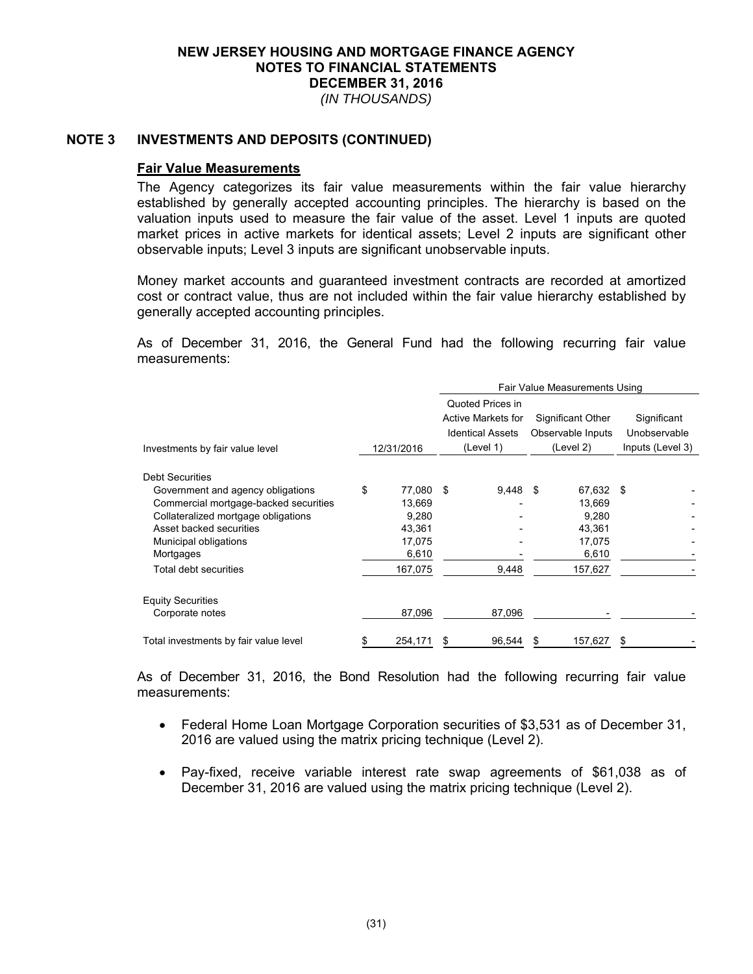*(IN THOUSANDS)*

### **NOTE 3 INVESTMENTS AND DEPOSITS (CONTINUED)**

#### **Fair Value Measurements**

The Agency categorizes its fair value measurements within the fair value hierarchy established by generally accepted accounting principles. The hierarchy is based on the valuation inputs used to measure the fair value of the asset. Level 1 inputs are quoted market prices in active markets for identical assets; Level 2 inputs are significant other observable inputs; Level 3 inputs are significant unobservable inputs.

Money market accounts and guaranteed investment contracts are recorded at amortized cost or contract value, thus are not included within the fair value hierarchy established by generally accepted accounting principles.

As of December 31, 2016, the General Fund had the following recurring fair value measurements:

|                                       |                 | Fair Value Measurements Using |                                        |  |                   |      |                  |
|---------------------------------------|-----------------|-------------------------------|----------------------------------------|--|-------------------|------|------------------|
|                                       |                 |                               | Quoted Prices in<br>Active Markets for |  | Significant Other |      | Significant      |
|                                       |                 |                               | <b>Identical Assets</b>                |  | Observable Inputs |      | Unobservable     |
| Investments by fair value level       | 12/31/2016      |                               | (Level 1)                              |  | (Level 2)         |      | Inputs (Level 3) |
| <b>Debt Securities</b>                |                 |                               |                                        |  |                   |      |                  |
| Government and agency obligations     | \$<br>77,080 \$ |                               | $9,448$ \$                             |  | 67,632            | - \$ |                  |
| Commercial mortgage-backed securities | 13,669          |                               |                                        |  | 13,669            |      |                  |
| Collateralized mortgage obligations   | 9,280           |                               |                                        |  | 9.280             |      |                  |
| Asset backed securities               | 43,361          |                               |                                        |  | 43,361            |      |                  |
| Municipal obligations                 | 17,075          |                               |                                        |  | 17,075            |      |                  |
| Mortgages                             | 6,610           |                               |                                        |  | 6,610             |      |                  |
| Total debt securities                 | 167,075         |                               | 9,448                                  |  | 157,627           |      |                  |
| <b>Equity Securities</b>              |                 |                               |                                        |  |                   |      |                  |
| Corporate notes                       | 87,096          |                               | 87,096                                 |  |                   |      |                  |
| Total investments by fair value level | 254,171         |                               | 96,544                                 |  | 157,627           |      |                  |

As of December 31, 2016, the Bond Resolution had the following recurring fair value measurements:

- Federal Home Loan Mortgage Corporation securities of \$3,531 as of December 31, 2016 are valued using the matrix pricing technique (Level 2).
- Pay-fixed, receive variable interest rate swap agreements of \$61,038 as of December 31, 2016 are valued using the matrix pricing technique (Level 2).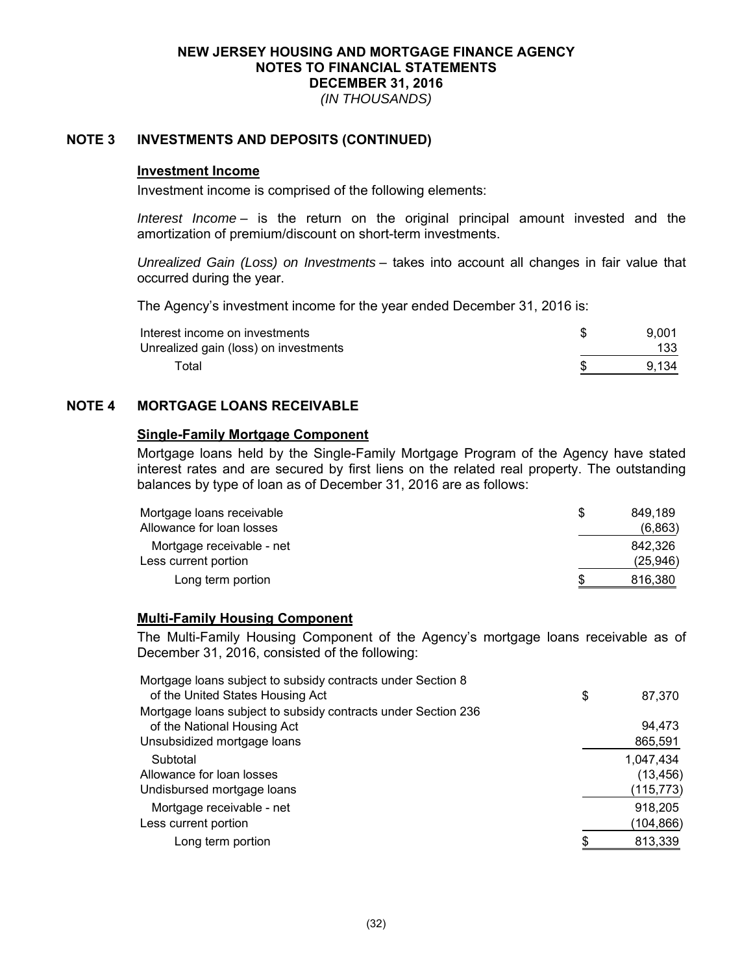#### **NEW JERSEY HOUSING AND MORTGAGE FINANCE AGENCY NOTES TO FINANCIAL STATEMENTS DECEMBER 31, 2016**  *(IN THOUSANDS)*

### **NOTE 3 INVESTMENTS AND DEPOSITS (CONTINUED)**

#### **Investment Income**

Investment income is comprised of the following elements:

*Interest Income* – is the return on the original principal amount invested and the amortization of premium/discount on short-term investments.

*Unrealized Gain (Loss) on Investments* – takes into account all changes in fair value that occurred during the year.

The Agency's investment income for the year ended December 31, 2016 is:

| Interest income on investments        | 9.001 |
|---------------------------------------|-------|
| Unrealized gain (loss) on investments | 133   |
| ™otal                                 | 9.134 |

### **NOTE 4 MORTGAGE LOANS RECEIVABLE**

#### **Single-Family Mortgage Component**

Mortgage loans held by the Single-Family Mortgage Program of the Agency have stated interest rates and are secured by first liens on the related real property. The outstanding balances by type of loan as of December 31, 2016 are as follows:

| Mortgage loans receivable |   | 849.189  |
|---------------------------|---|----------|
| Allowance for loan losses |   | (6,863)  |
| Mortgage receivable - net |   | 842.326  |
| Less current portion      |   | (25,946) |
| Long term portion         | S | 816,380  |

### **Multi-Family Housing Component**

The Multi-Family Housing Component of the Agency's mortgage loans receivable as of December 31, 2016, consisted of the following:

| Mortgage loans subject to subsidy contracts under Section 8<br>of the United States Housing Act | \$<br>87,370 |
|-------------------------------------------------------------------------------------------------|--------------|
| Mortgage loans subject to subsidy contracts under Section 236                                   |              |
| of the National Housing Act                                                                     | 94,473       |
| Unsubsidized mortgage loans                                                                     | 865,591      |
| Subtotal                                                                                        | 1,047,434    |
| Allowance for loan losses                                                                       | (13, 456)    |
| Undisbursed mortgage loans                                                                      | (115, 773)   |
| Mortgage receivable - net                                                                       | 918,205      |
| Less current portion                                                                            | (104,866)    |
| Long term portion                                                                               | 813,339      |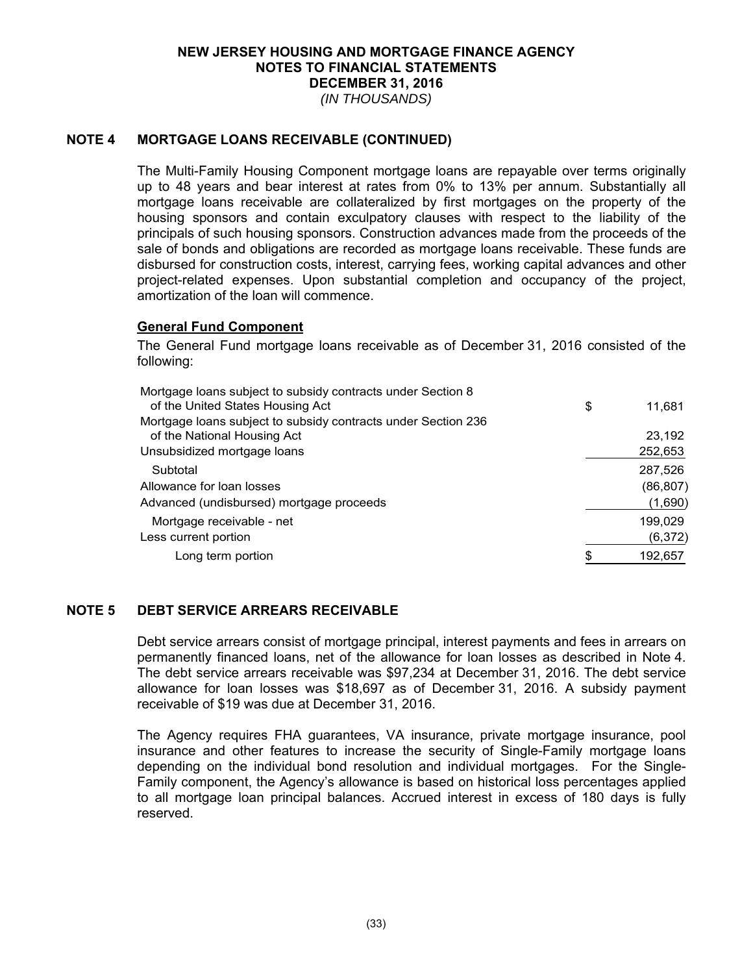*(IN THOUSANDS)*

### **NOTE 4 MORTGAGE LOANS RECEIVABLE (CONTINUED)**

The Multi-Family Housing Component mortgage loans are repayable over terms originally up to 48 years and bear interest at rates from 0% to 13% per annum. Substantially all mortgage loans receivable are collateralized by first mortgages on the property of the housing sponsors and contain exculpatory clauses with respect to the liability of the principals of such housing sponsors. Construction advances made from the proceeds of the sale of bonds and obligations are recorded as mortgage loans receivable. These funds are disbursed for construction costs, interest, carrying fees, working capital advances and other project-related expenses. Upon substantial completion and occupancy of the project, amortization of the loan will commence.

### **General Fund Component**

The General Fund mortgage loans receivable as of December 31, 2016 consisted of the following:

| Mortgage loans subject to subsidy contracts under Section 8<br>of the United States Housing Act | \$<br>11,681 |
|-------------------------------------------------------------------------------------------------|--------------|
| Mortgage loans subject to subsidy contracts under Section 236                                   |              |
| of the National Housing Act                                                                     | 23.192       |
| Unsubsidized mortgage loans                                                                     | 252,653      |
| Subtotal                                                                                        | 287,526      |
| Allowance for loan losses                                                                       | (86, 807)    |
| Advanced (undisbursed) mortgage proceeds                                                        | (1,690)      |
| Mortgage receivable - net                                                                       | 199,029      |
| Less current portion                                                                            | (6, 372)     |
| Long term portion                                                                               | 192,657      |
|                                                                                                 |              |

### **NOTE 5 DEBT SERVICE ARREARS RECEIVABLE**

Debt service arrears consist of mortgage principal, interest payments and fees in arrears on permanently financed loans, net of the allowance for loan losses as described in Note 4. The debt service arrears receivable was \$97,234 at December 31, 2016. The debt service allowance for loan losses was \$18,697 as of December 31, 2016. A subsidy payment receivable of \$19 was due at December 31, 2016.

The Agency requires FHA guarantees, VA insurance, private mortgage insurance, pool insurance and other features to increase the security of Single-Family mortgage loans depending on the individual bond resolution and individual mortgages. For the Single-Family component, the Agency's allowance is based on historical loss percentages applied to all mortgage loan principal balances. Accrued interest in excess of 180 days is fully reserved.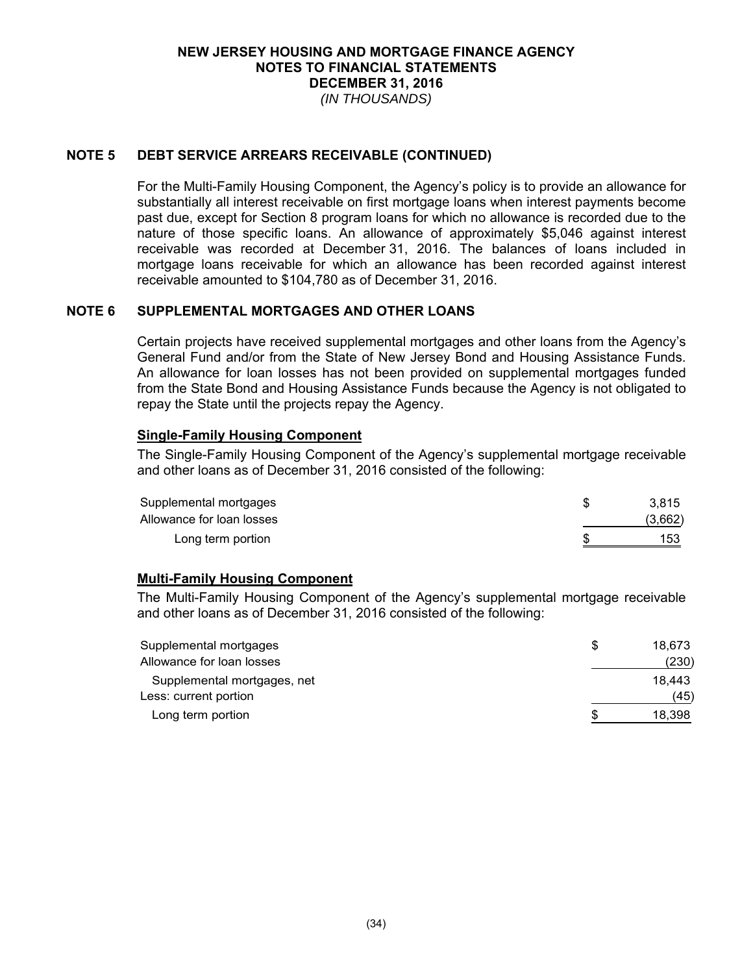### *(IN THOUSANDS)*

### **NOTE 5 DEBT SERVICE ARREARS RECEIVABLE (CONTINUED)**

For the Multi-Family Housing Component, the Agency's policy is to provide an allowance for substantially all interest receivable on first mortgage loans when interest payments become past due, except for Section 8 program loans for which no allowance is recorded due to the nature of those specific loans. An allowance of approximately \$5,046 against interest receivable was recorded at December 31, 2016. The balances of loans included in mortgage loans receivable for which an allowance has been recorded against interest receivable amounted to \$104,780 as of December 31, 2016.

### **NOTE 6 SUPPLEMENTAL MORTGAGES AND OTHER LOANS**

Certain projects have received supplemental mortgages and other loans from the Agency's General Fund and/or from the State of New Jersey Bond and Housing Assistance Funds. An allowance for loan losses has not been provided on supplemental mortgages funded from the State Bond and Housing Assistance Funds because the Agency is not obligated to repay the State until the projects repay the Agency.

### **Single-Family Housing Component**

The Single-Family Housing Component of the Agency's supplemental mortgage receivable and other loans as of December 31, 2016 consisted of the following:

| Supplemental mortgages    | 3.815   |
|---------------------------|---------|
| Allowance for loan losses | (3,662) |
| Long term portion         | 153     |

### **Multi-Family Housing Component**

The Multi-Family Housing Component of the Agency's supplemental mortgage receivable and other loans as of December 31, 2016 consisted of the following:

| Supplemental mortgages      | 18.673 |
|-----------------------------|--------|
| Allowance for loan losses   | (230)  |
| Supplemental mortgages, net | 18.443 |
| Less: current portion       | (45)   |
| Long term portion           | 18,398 |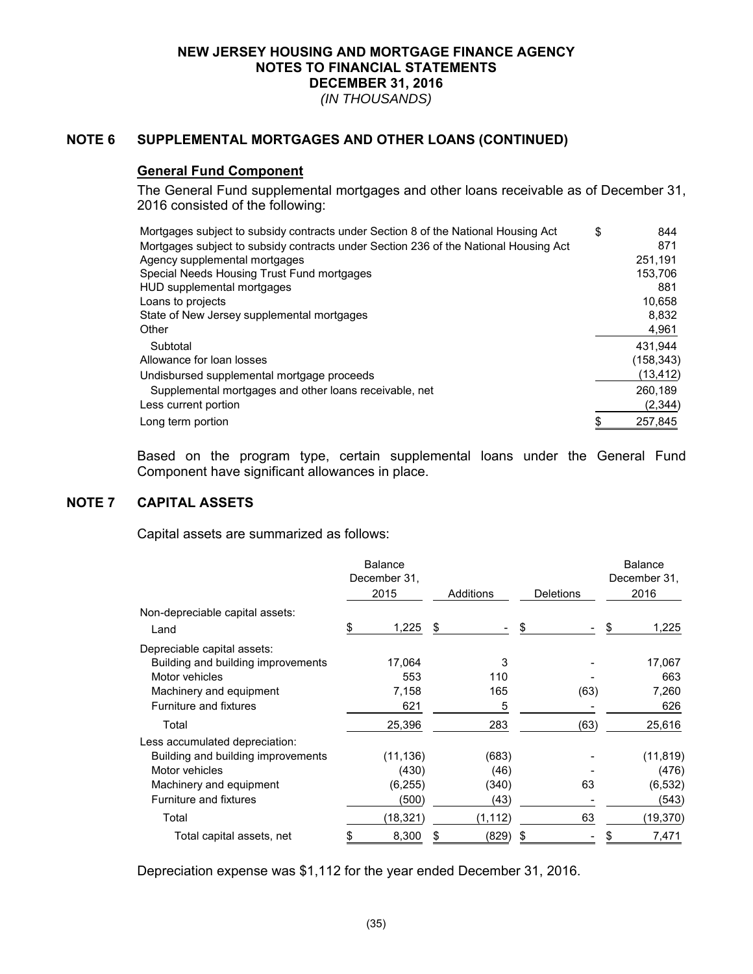#### **NEW JERSEY HOUSING AND MORTGAGE FINANCE AGENCY NOTES TO FINANCIAL STATEMENTS DECEMBER 31, 2016**  *(IN THOUSANDS)*

### **NOTE 6 SUPPLEMENTAL MORTGAGES AND OTHER LOANS (CONTINUED)**

### **General Fund Component**

The General Fund supplemental mortgages and other loans receivable as of December 31, 2016 consisted of the following:

| Mortgages subject to subsidy contracts under Section 8 of the National Housing Act   | \$<br>844  |
|--------------------------------------------------------------------------------------|------------|
| Mortgages subject to subsidy contracts under Section 236 of the National Housing Act | 871        |
| Agency supplemental mortgages                                                        | 251.191    |
| Special Needs Housing Trust Fund mortgages                                           | 153,706    |
| HUD supplemental mortgages                                                           | 881        |
| Loans to projects                                                                    | 10,658     |
| State of New Jersey supplemental mortgages                                           | 8,832      |
| Other                                                                                | 4.961      |
| Subtotal                                                                             | 431.944    |
| Allowance for loan losses                                                            | (158, 343) |
| Undisbursed supplemental mortgage proceeds                                           | (13, 412)  |
| Supplemental mortgages and other loans receivable, net                               | 260.189    |
| Less current portion                                                                 | (2,344)    |
| Long term portion                                                                    | 257.845    |
|                                                                                      |            |

Based on the program type, certain supplemental loans under the General Fund Component have significant allowances in place.

### **NOTE 7 CAPITAL ASSETS**

Capital assets are summarized as follows:

|                                    | <b>Balance</b><br>December 31, |      |           |           | <b>Balance</b><br>December 31. |
|------------------------------------|--------------------------------|------|-----------|-----------|--------------------------------|
|                                    | 2015                           |      | Additions | Deletions | 2016                           |
| Non-depreciable capital assets:    |                                |      |           |           |                                |
| Land                               | \$<br>1,225                    | - \$ |           | \$        | \$<br>1,225                    |
| Depreciable capital assets:        |                                |      |           |           |                                |
| Building and building improvements | 17,064                         |      | 3         |           | 17,067                         |
| Motor vehicles                     | 553                            |      | 110       |           | 663                            |
| Machinery and equipment            | 7,158                          |      | 165       | (63)      | 7,260                          |
| Furniture and fixtures             | 621                            |      | 5         |           | 626                            |
| Total                              | 25,396                         |      | 283       | (63)      | 25,616                         |
| Less accumulated depreciation:     |                                |      |           |           |                                |
| Building and building improvements | (11, 136)                      |      | (683)     |           | (11, 819)                      |
| Motor vehicles                     | (430)                          |      | (46)      |           | (476)                          |
| Machinery and equipment            | (6, 255)                       |      | (340)     | 63        | (6, 532)                       |
| Furniture and fixtures             | (500)                          |      | (43)      |           | (543)                          |
| Total                              | (18, 321)                      |      | (1, 112)  | 63        | (19,370)                       |
| Total capital assets, net          | 8,300                          | æ.   | (829)     | \$        | \$<br>7,471                    |

Depreciation expense was \$1,112 for the year ended December 31, 2016.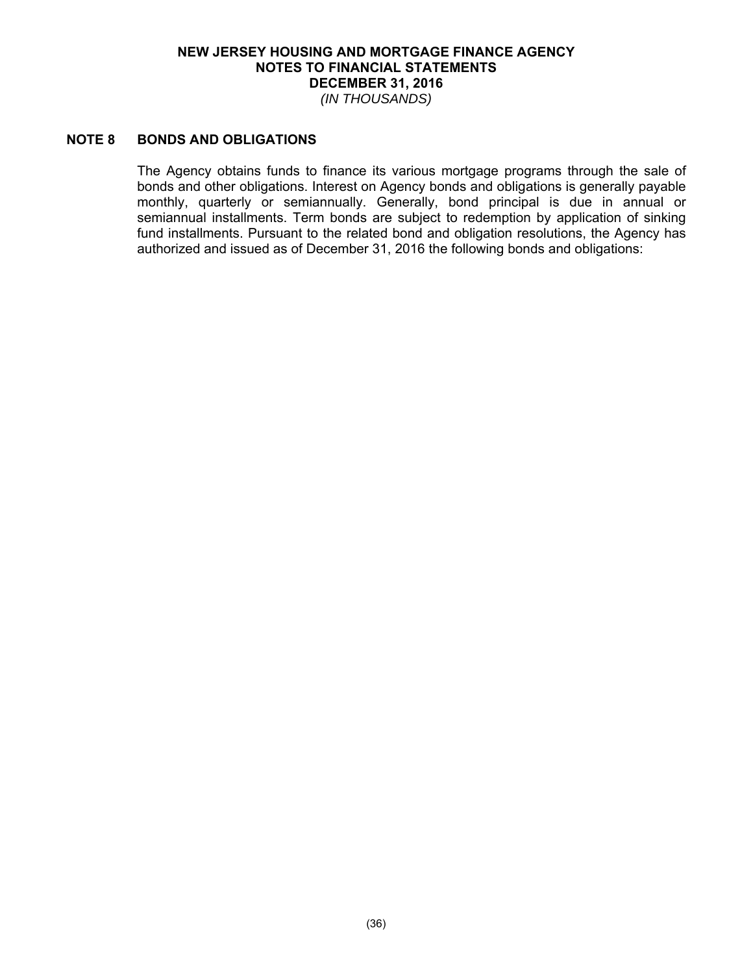#### **NEW JERSEY HOUSING AND MORTGAGE FINANCE AGENCY NOTES TO FINANCIAL STATEMENTS DECEMBER 31, 2016**  *(IN THOUSANDS)*

### **NOTE 8 BONDS AND OBLIGATIONS**

The Agency obtains funds to finance its various mortgage programs through the sale of bonds and other obligations. Interest on Agency bonds and obligations is generally payable monthly, quarterly or semiannually. Generally, bond principal is due in annual or semiannual installments. Term bonds are subject to redemption by application of sinking fund installments. Pursuant to the related bond and obligation resolutions, the Agency has authorized and issued as of December 31, 2016 the following bonds and obligations: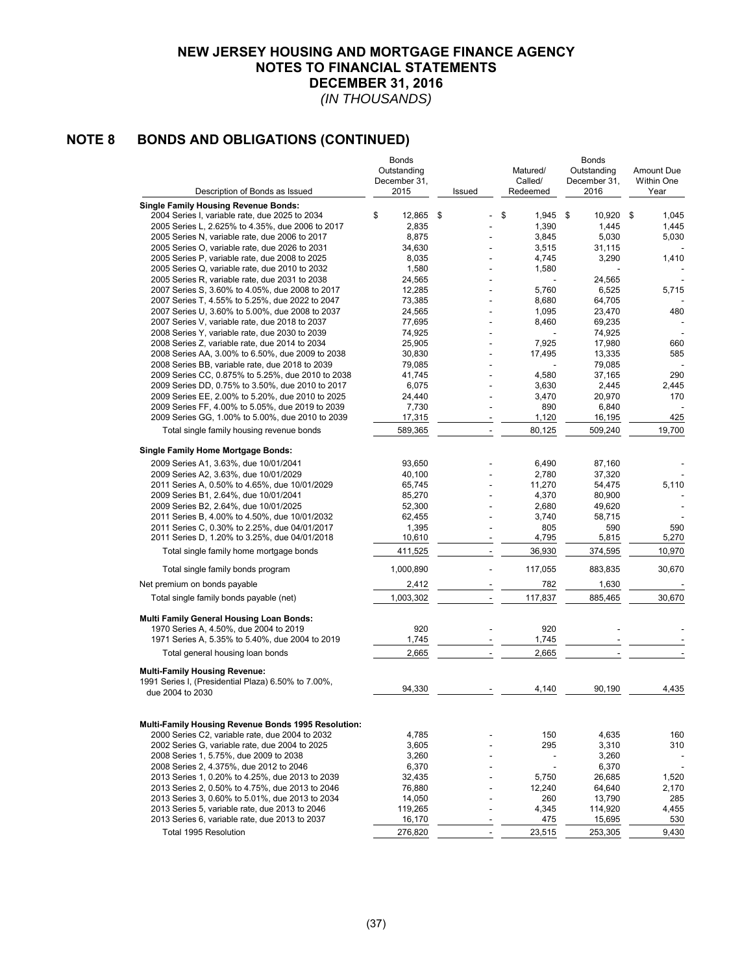*(IN THOUSANDS)*

### **NOTE 8 BONDS AND OBLIGATIONS (CONTINUED)**

|                                                            | <b>Bonds</b> |        |                          |                |     | <b>Bonds</b> |                   |
|------------------------------------------------------------|--------------|--------|--------------------------|----------------|-----|--------------|-------------------|
|                                                            | Outstanding  |        |                          | Matured/       |     | Outstanding  | Amount Due        |
|                                                            | December 31, |        |                          | Called/        |     | December 31, | <b>Within One</b> |
| Description of Bonds as Issued                             | 2015         |        | Issued                   | Redeemed       |     | 2016         | Year              |
| <b>Single Family Housing Revenue Bonds:</b>                |              |        |                          |                |     |              |                   |
| 2004 Series I, variable rate, due 2025 to 2034             | \$           | 12,865 | \$                       | \$<br>1,945    | -\$ | 10,920       | \$<br>1,045       |
| 2005 Series L, 2.625% to 4.35%, due 2006 to 2017           |              | 2,835  |                          | 1,390          |     | 1,445        | 1,445             |
| 2005 Series N, variable rate, due 2006 to 2017             |              | 8,875  |                          | 3,845          |     | 5,030        | 5,030             |
| 2005 Series O, variable rate, due 2026 to 2031             | 34,630       |        |                          | 3,515          |     | 31,115       |                   |
| 2005 Series P, variable rate, due 2008 to 2025             |              | 8,035  |                          | 4,745          |     | 3,290        | 1,410             |
| 2005 Series Q, variable rate, due 2010 to 2032             |              | 1,580  |                          | 1,580          |     |              |                   |
| 2005 Series R, variable rate, due 2031 to 2038             | 24,565       |        |                          |                |     | 24,565       |                   |
| 2007 Series S, 3.60% to 4.05%, due 2008 to 2017            | 12,285       |        |                          | 5,760          |     | 6,525        | 5,715             |
| 2007 Series T, 4.55% to 5.25%, due 2022 to 2047            | 73,385       |        |                          | 8,680          |     | 64,705       |                   |
| 2007 Series U, 3.60% to 5.00%, due 2008 to 2037            | 24,565       |        |                          | 1,095          |     | 23,470       | 480               |
| 2007 Series V, variable rate, due 2018 to 2037             | 77,695       |        |                          | 8,460          |     | 69,235       |                   |
| 2008 Series Y, variable rate, due 2030 to 2039             | 74,925       |        |                          |                |     | 74,925       |                   |
| 2008 Series Z, variable rate, due 2014 to 2034             | 25,905       |        |                          | 7,925          |     | 17,980       | 660               |
| 2008 Series AA, 3.00% to 6.50%, due 2009 to 2038           | 30,830       |        |                          | 17,495         |     | 13,335       | 585               |
|                                                            | 79,085       |        |                          |                |     | 79,085       |                   |
| 2008 Series BB, variable rate, due 2018 to 2039            |              |        |                          |                |     |              |                   |
| 2009 Series CC, 0.875% to 5.25%, due 2010 to 2038          | 41,745       |        |                          | 4,580          |     | 37,165       | 290               |
| 2009 Series DD, 0.75% to 3.50%, due 2010 to 2017           |              | 6,075  | ÷.                       | 3,630          |     | 2,445        | 2,445             |
| 2009 Series EE, 2.00% to 5.20%, due 2010 to 2025           | 24,440       |        |                          | 3,470          |     | 20,970       | 170               |
| 2009 Series FF, 4.00% to 5.05%, due 2019 to 2039           |              | 7,730  |                          | 890            |     | 6,840        |                   |
| 2009 Series GG, 1.00% to 5.00%, due 2010 to 2039           | 17,315       |        | $\overline{a}$           | 1,120          |     | 16,195       | 425               |
| Total single family housing revenue bonds                  | 589,365      |        | $\overline{\phantom{a}}$ | 80,125         |     | 509,240      | 19,700            |
| <b>Single Family Home Mortgage Bonds:</b>                  |              |        |                          |                |     |              |                   |
|                                                            |              |        |                          |                |     |              |                   |
| 2009 Series A1, 3.63%, due 10/01/2041                      | 93,650       |        |                          | 6,490          |     | 87,160       |                   |
| 2009 Series A2, 3.63%, due 10/01/2029                      | 40,100       |        |                          | 2,780          |     | 37,320       |                   |
| 2011 Series A, 0.50% to 4.65%, due 10/01/2029              | 65,745       |        |                          | 11,270         |     | 54,475       | 5,110             |
| 2009 Series B1, 2.64%, due 10/01/2041                      | 85,270       |        |                          | 4,370          |     | 80,900       |                   |
| 2009 Series B2, 2.64%, due 10/01/2025                      | 52,300       |        |                          | 2,680          |     | 49,620       |                   |
| 2011 Series B, 4.00% to 4.50%, due 10/01/2032              | 62,455       |        |                          | 3,740          |     | 58,715       |                   |
| 2011 Series C, 0.30% to 2.25%, due 04/01/2017              |              | 1,395  | ٠                        | 805            |     | 590          | 590               |
| 2011 Series D, 1.20% to 3.25%, due 04/01/2018              | 10,610       |        |                          | 4,795          |     | 5,815        | 5,270             |
| Total single family home mortgage bonds                    | 411,525      |        | $\overline{\phantom{a}}$ | 36,930         |     | 374,595      | 10,970            |
| Total single family bonds program                          | 1,000,890    |        |                          | 117,055        |     | 883,835      | 30,670            |
| Net premium on bonds payable                               |              | 2,412  |                          | 782            |     | 1,630        |                   |
| Total single family bonds payable (net)                    | 1,003,302    |        | $\overline{a}$           | 117,837        |     | 885,465      | 30,670            |
|                                                            |              |        |                          |                |     |              |                   |
| <b>Multi Family General Housing Loan Bonds:</b>            |              |        |                          |                |     |              |                   |
| 1970 Series A, 4.50%, due 2004 to 2019                     |              | 920    |                          | 920            |     |              |                   |
| 1971 Series A, 5.35% to 5.40%, due 2004 to 2019            |              | 1,745  |                          | 1,745          |     |              |                   |
| Total general housing loan bonds                           |              | 2,665  | $\sim$                   | 2,665          |     |              |                   |
| <b>Multi-Family Housing Revenue:</b>                       |              |        |                          |                |     |              |                   |
| 1991 Series I, (Presidential Plaza) 6.50% to 7.00%,        |              |        |                          |                |     |              |                   |
| due 2004 to 2030                                           | 94,330       |        |                          | 4,140          |     | 90,190       | 4,435             |
|                                                            |              |        |                          |                |     |              |                   |
| <b>Multi-Family Housing Revenue Bonds 1995 Resolution:</b> |              |        |                          |                |     |              |                   |
| 2000 Series C2, variable rate, due 2004 to 2032            |              | 4,785  |                          | 150            |     | 4,635        | 160               |
| 2002 Series G, variable rate, due 2004 to 2025             |              | 3,605  |                          | 295            |     | 3,310        | 310               |
| 2008 Series 1, 5.75%, due 2009 to 2038                     |              | 3,260  |                          | $\overline{a}$ |     | 3,260        |                   |
| 2008 Series 2, 4.375%, due 2012 to 2046                    |              | 6,370  |                          |                |     | 6,370        |                   |
| 2013 Series 1, 0.20% to 4.25%, due 2013 to 2039            | 32,435       |        |                          | 5,750          |     | 26,685       | 1,520             |
| 2013 Series 2, 0.50% to 4.75%, due 2013 to 2046            | 76,880       |        |                          | 12,240         |     | 64,640       | 2,170             |
| 2013 Series 3, 0.60% to 5.01%, due 2013 to 2034            | 14,050       |        |                          |                |     | 13,790       | 285               |
| 2013 Series 5, variable rate, due 2013 to 2046             |              |        |                          | 260            |     |              |                   |
| 2013 Series 6, variable rate, due 2013 to 2037             | 119,265      |        | $\overline{a}$           | 4,345          |     | 114,920      | 4,455             |
|                                                            | 16,170       |        |                          | 475            |     | 15,695       | 530               |
| Total 1995 Resolution                                      | 276,820      |        |                          | 23,515         |     | 253,305      | 9,430             |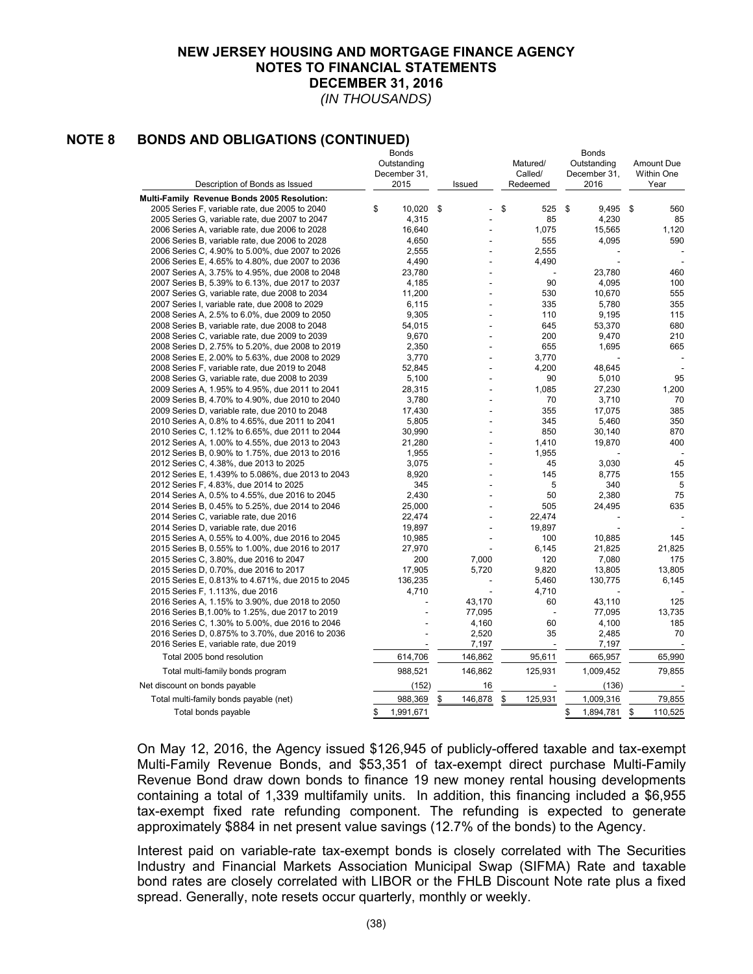*(IN THOUSANDS)*

### **NOTE 8 BONDS AND OBLIGATIONS (CONTINUED)**

|                                                                                                    | <b>Bonds</b><br>Outstanding<br>December 31, |               | Matured/<br>Called/<br>Redeemed |    | <b>Bonds</b><br>Outstanding<br>December 31, |     | <b>Amount Due</b><br><b>Within One</b> |
|----------------------------------------------------------------------------------------------------|---------------------------------------------|---------------|---------------------------------|----|---------------------------------------------|-----|----------------------------------------|
| Description of Bonds as Issued                                                                     | 2015                                        | Issued        |                                 |    | 2016                                        |     | Year                                   |
| Multi-Family Revenue Bonds 2005 Resolution:                                                        |                                             |               |                                 |    |                                             |     |                                        |
| 2005 Series F, variable rate, due 2005 to 2040                                                     | \$<br>10,020                                | \$            | \$<br>525                       | \$ | 9,495                                       | -\$ | 560                                    |
| 2005 Series G, variable rate, due 2007 to 2047                                                     | 4,315                                       |               | 85                              |    | 4,230                                       |     | 85                                     |
| 2006 Series A, variable rate, due 2006 to 2028                                                     | 16,640                                      |               | 1,075                           |    | 15,565                                      |     | 1,120                                  |
| 2006 Series B, variable rate, due 2006 to 2028                                                     | 4,650                                       |               | 555                             |    | 4,095                                       |     | 590                                    |
| 2006 Series C, 4.90% to 5.00%, due 2007 to 2026                                                    | 2,555                                       |               | 2,555                           |    |                                             |     |                                        |
| 2006 Series E, 4.65% to 4.80%, due 2007 to 2036                                                    | 4,490                                       |               | 4,490                           |    |                                             |     |                                        |
| 2007 Series A, 3.75% to 4.95%, due 2008 to 2048                                                    | 23,780                                      |               |                                 |    | 23,780                                      |     | 460                                    |
| 2007 Series B, 5.39% to 6.13%, due 2017 to 2037                                                    | 4,185                                       |               | 90                              |    | 4,095                                       |     | 100                                    |
| 2007 Series G, variable rate, due 2008 to 2034                                                     | 11,200                                      |               | 530                             |    | 10,670                                      |     | 555                                    |
| 2007 Series I, variable rate, due 2008 to 2029                                                     | 6,115                                       |               | 335                             |    | 5,780                                       |     | 355                                    |
| 2008 Series A, 2.5% to 6.0%, due 2009 to 2050                                                      | 9,305                                       |               | 110                             |    | 9,195                                       |     | 115                                    |
| 2008 Series B, variable rate, due 2008 to 2048                                                     | 54,015                                      |               | 645                             |    | 53,370                                      |     | 680                                    |
| 2008 Series C, variable rate, due 2009 to 2039                                                     | 9,670                                       |               | 200                             |    | 9,470                                       |     | 210                                    |
| 2008 Series D, 2.75% to 5.20%, due 2008 to 2019                                                    | 2,350                                       |               | 655                             |    | 1,695                                       |     | 665                                    |
| 2008 Series E, 2.00% to 5.63%, due 2008 to 2029                                                    | 3,770                                       |               | 3,770                           |    |                                             |     |                                        |
| 2008 Series F, variable rate, due 2019 to 2048                                                     | 52,845                                      |               | 4,200                           |    | 48,645                                      |     |                                        |
| 2008 Series G, variable rate, due 2008 to 2039                                                     | 5,100                                       |               | 90                              |    | 5,010                                       |     | 95                                     |
| 2009 Series A, 1.95% to 4.95%, due 2011 to 2041                                                    | 28,315                                      |               | 1,085                           |    | 27,230                                      |     | 1,200                                  |
| 2009 Series B, 4.70% to 4.90%, due 2010 to 2040                                                    | 3,780                                       |               | 70                              |    | 3,710                                       |     | 70                                     |
| 2009 Series D, variable rate, due 2010 to 2048                                                     | 17,430                                      |               | 355                             |    | 17,075                                      |     | 385                                    |
| 2010 Series A, 0.8% to 4.65%, due 2011 to 2041                                                     | 5,805                                       |               | 345                             |    | 5,460                                       |     | 350                                    |
| 2010 Series C, 1.12% to 6.65%, due 2011 to 2044                                                    | 30,990                                      |               | 850                             |    | 30,140                                      |     | 870                                    |
| 2012 Series A, 1.00% to 4.55%, due 2013 to 2043                                                    | 21,280                                      |               | 1,410                           |    | 19,870                                      |     | 400                                    |
| 2012 Series B, 0.90% to 1.75%, due 2013 to 2016                                                    | 1,955                                       |               | 1,955                           |    |                                             |     |                                        |
| 2012 Series C, 4.38%, due 2013 to 2025                                                             | 3,075                                       |               | 45                              |    | 3,030                                       |     | 45                                     |
| 2012 Series E, 1.439% to 5.086%, due 2013 to 2043                                                  | 8,920                                       |               | 145                             |    | 8,775                                       |     | 155                                    |
| 2012 Series F, 4.83%, due 2014 to 2025                                                             | 345                                         |               | 5                               |    | 340                                         |     | 5                                      |
| 2014 Series A, 0.5% to 4.55%, due 2016 to 2045                                                     | 2,430                                       |               | 50                              |    | 2,380                                       |     | 75                                     |
| 2014 Series B, 0.45% to 5.25%, due 2014 to 2046                                                    | 25,000                                      |               | 505                             |    | 24,495                                      |     | 635                                    |
| 2014 Series C, variable rate, due 2016                                                             | 22,474                                      |               | 22,474                          |    |                                             |     |                                        |
| 2014 Series D, variable rate, due 2016                                                             | 19,897                                      |               | 19,897                          |    |                                             |     |                                        |
| 2015 Series A, 0.55% to 4.00%, due 2016 to 2045                                                    | 10,985                                      |               | 100                             |    | 10,885                                      |     | 145                                    |
| 2015 Series B, 0.55% to 1.00%, due 2016 to 2017                                                    | 27,970                                      |               | 6,145                           |    | 21,825                                      |     | 21,825                                 |
| 2015 Series C, 3.80%, due 2016 to 2047                                                             | 200                                         | 7,000         | 120                             |    | 7,080                                       |     | 175                                    |
| 2015 Series D, 0.70%, due 2016 to 2017                                                             | 17,905                                      | 5,720         | 9,820                           |    | 13,805                                      |     | 13,805                                 |
| 2015 Series E, 0.813% to 4.671%, due 2015 to 2045                                                  | 136,235                                     |               | 5,460                           |    | 130,775                                     |     | 6,145                                  |
| 2015 Series F, 1.113%, due 2016                                                                    | 4,710                                       |               | 4,710                           |    |                                             |     |                                        |
|                                                                                                    |                                             | 43,170        | 60                              |    | 43,110                                      |     | 125                                    |
| 2016 Series A, 1.15% to 3.90%, due 2018 to 2050<br>2016 Series B, 1.00% to 1.25%, due 2017 to 2019 |                                             | 77,095        | $\overline{\phantom{a}}$        |    | 77,095                                      |     | 13,735                                 |
|                                                                                                    |                                             |               |                                 |    | 4,100                                       |     | 185                                    |
| 2016 Series C, 1.30% to 5.00%, due 2016 to 2046                                                    |                                             | 4,160         | 60<br>35                        |    |                                             |     |                                        |
| 2016 Series D, 0.875% to 3.70%, due 2016 to 2036<br>2016 Series E, variable rate, due 2019         |                                             | 2,520         |                                 |    | 2,485                                       |     | 70                                     |
|                                                                                                    |                                             | 7,197         |                                 |    | 7,197                                       |     |                                        |
| Total 2005 bond resolution                                                                         | 614,706                                     | 146,862       | 95,611                          |    | 665,957                                     |     | 65,990                                 |
| Total multi-family bonds program                                                                   | 988,521                                     | 146,862       | 125,931                         |    | 1,009,452                                   |     | 79,855                                 |
| Net discount on bonds payable                                                                      | (152)                                       | 16            |                                 |    | (136)                                       |     |                                        |
| Total multi-family bonds payable (net)                                                             | 988,369                                     | \$<br>146,878 | \$<br>125,931                   |    | 1,009,316                                   |     | 79,855                                 |
| Total bonds payable                                                                                | \$<br>1,991,671                             |               |                                 | \$ | 1,894,781                                   | \$  | 110,525                                |

On May 12, 2016, the Agency issued \$126,945 of publicly-offered taxable and tax-exempt Multi-Family Revenue Bonds, and \$53,351 of tax-exempt direct purchase Multi-Family Revenue Bond draw down bonds to finance 19 new money rental housing developments containing a total of 1,339 multifamily units. In addition, this financing included a \$6,955 tax-exempt fixed rate refunding component. The refunding is expected to generate approximately \$884 in net present value savings (12.7% of the bonds) to the Agency.

Interest paid on variable-rate tax-exempt bonds is closely correlated with The Securities Industry and Financial Markets Association Municipal Swap (SIFMA) Rate and taxable bond rates are closely correlated with LIBOR or the FHLB Discount Note rate plus a fixed spread. Generally, note resets occur quarterly, monthly or weekly.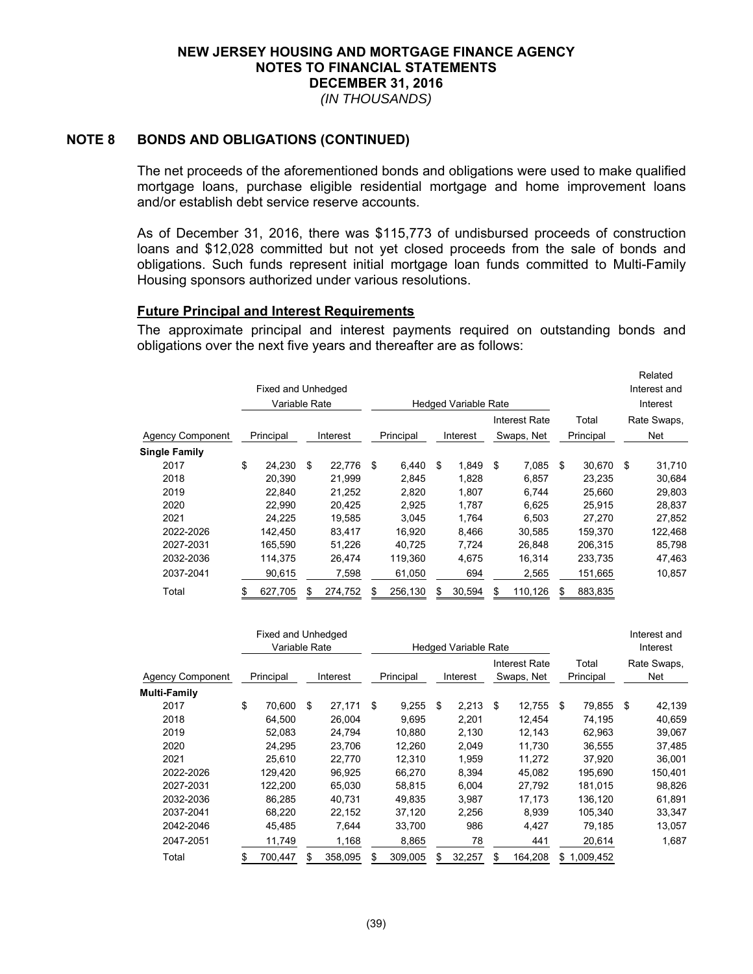### *(IN THOUSANDS)*

#### **NOTE 8 BONDS AND OBLIGATIONS (CONTINUED)**

The net proceeds of the aforementioned bonds and obligations were used to make qualified mortgage loans, purchase eligible residential mortgage and home improvement loans and/or establish debt service reserve accounts.

As of December 31, 2016, there was \$115,773 of undisbursed proceeds of construction loans and \$12,028 committed but not yet closed proceeds from the sale of bonds and obligations. Such funds represent initial mortgage loan funds committed to Multi-Family Housing sponsors authorized under various resolutions.

#### **Future Principal and Interest Requirements**

The approximate principal and interest payments required on outstanding bonds and obligations over the next five years and thereafter are as follows:

|                         | Fixed and Unhedged |    |          |             |                             |    |               |              | Related<br>Interest and |
|-------------------------|--------------------|----|----------|-------------|-----------------------------|----|---------------|--------------|-------------------------|
|                         | Variable Rate      |    |          |             | <b>Hedged Variable Rate</b> |    |               |              | Interest                |
|                         |                    |    |          |             |                             |    | Interest Rate | Total        | Rate Swaps,             |
| <b>Agency Component</b> | Principal          |    | Interest | Principal   | Interest                    |    | Swaps, Net    | Principal    | Net                     |
| Single Family           |                    |    |          |             |                             |    |               |              |                         |
| 2017                    | \$<br>24.230       | \$ | 22.776   | \$<br>6.440 | \$<br>1.849                 | \$ | 7.085         | \$<br>30.670 | \$<br>31,710            |
| 2018                    | 20.390             |    | 21.999   | 2.845       | 1,828                       |    | 6.857         | 23.235       | 30,684                  |
| 2019                    | 22.840             |    | 21,252   | 2,820       | 1,807                       |    | 6.744         | 25,660       | 29,803                  |
| 2020                    | 22.990             |    | 20.425   | 2,925       | 1,787                       |    | 6.625         | 25.915       | 28,837                  |
| 2021                    | 24.225             |    | 19.585   | 3,045       | 1.764                       |    | 6.503         | 27.270       | 27,852                  |
| 2022-2026               | 142.450            |    | 83.417   | 16.920      | 8.466                       |    | 30,585        | 159,370      | 122,468                 |
| 2027-2031               | 165.590            |    | 51,226   | 40.725      | 7,724                       |    | 26,848        | 206,315      | 85,798                  |
| 2032-2036               | 114,375            |    | 26,474   | 119,360     | 4,675                       |    | 16,314        | 233,735      | 47,463                  |
| 2037-2041               | 90,615             |    | 7,598    | 61.050      | 694                         |    | 2,565         | 151,665      | 10,857                  |
| Total                   | \$<br>627,705      | S  | 274,752  | 256.130     | 30.594                      | S  | 110,126       | 883.835      |                         |

|                         | Fixed and Unhedged<br>Variable Rate |    |          |    |           |     | <b>Hedged Variable Rate</b> |                             |         |    |                    | Interest and<br>Interest |
|-------------------------|-------------------------------------|----|----------|----|-----------|-----|-----------------------------|-----------------------------|---------|----|--------------------|--------------------------|
| <b>Agency Component</b> | Principal                           |    | Interest |    | Principal |     | Interest                    | Interest Rate<br>Swaps, Net |         |    | Total<br>Principal | Rate Swaps,<br>Net       |
| Multi-Family            |                                     |    |          |    |           |     |                             |                             |         |    |                    |                          |
| 2017                    | \$<br>70,600                        | \$ | 27,171   | \$ | 9,255     | \$  | 2,213                       | \$                          | 12.755  | \$ | 79.855             | \$<br>42,139             |
| 2018                    | 64.500                              |    | 26.004   |    | 9.695     |     | 2,201                       |                             | 12.454  |    | 74.195             | 40,659                   |
| 2019                    | 52,083                              |    | 24,794   |    | 10,880    |     | 2,130                       |                             | 12,143  |    | 62,963             | 39,067                   |
| 2020                    | 24.295                              |    | 23.706   |    | 12.260    |     | 2,049                       |                             | 11,730  |    | 36,555             | 37,485                   |
| 2021                    | 25.610                              |    | 22.770   |    | 12.310    |     | 1.959                       |                             | 11.272  |    | 37.920             | 36,001                   |
| 2022-2026               | 129.420                             |    | 96.925   |    | 66,270    |     | 8,394                       |                             | 45,082  |    | 195,690            | 150,401                  |
| 2027-2031               | 122,200                             |    | 65.030   |    | 58,815    |     | 6,004                       |                             | 27.792  |    | 181.015            | 98,826                   |
| 2032-2036               | 86.285                              |    | 40.731   |    | 49.835    |     | 3.987                       |                             | 17.173  |    | 136.120            | 61.891                   |
| 2037-2041               | 68,220                              |    | 22.152   |    | 37,120    |     | 2,256                       |                             | 8.939   |    | 105.340            | 33,347                   |
| 2042-2046               | 45.485                              |    | 7.644    |    | 33.700    |     | 986                         |                             | 4.427   |    | 79.185             | 13,057                   |
| 2047-2051               | 11,749                              |    | 1,168    |    | 8,865     |     | 78                          |                             | 441     |    | 20,614             | 1,687                    |
| Total                   | \$<br>700,447                       | S  | 358.095  | S  | 309.005   | \$. | 32,257                      | S                           | 164,208 | S  | 1.009.452          |                          |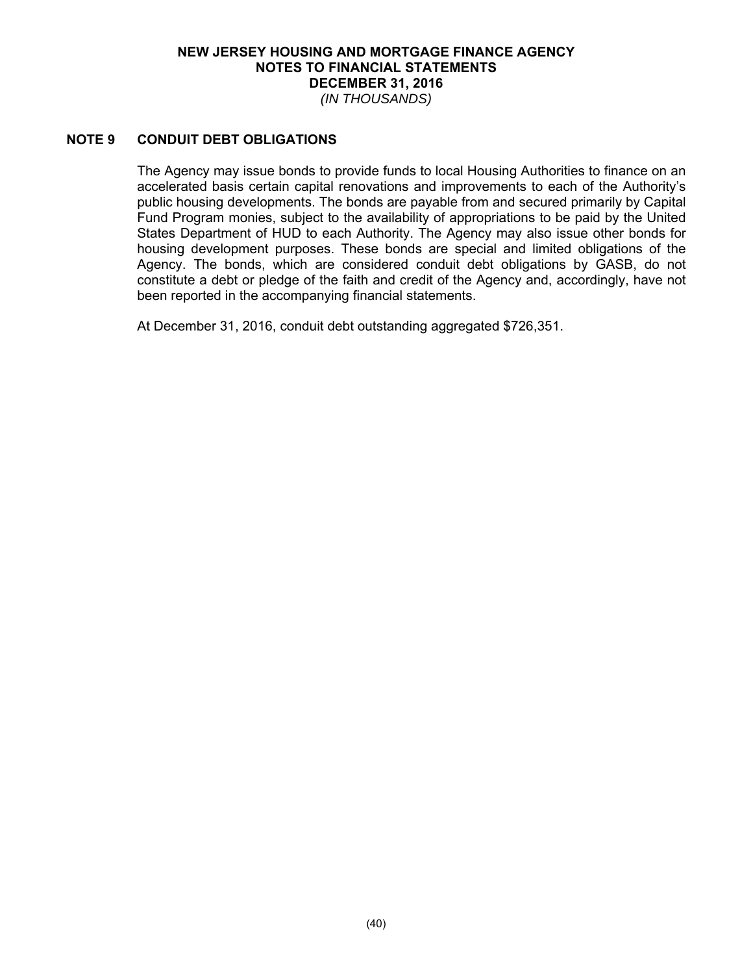### *(IN THOUSANDS)*

### **NOTE 9 CONDUIT DEBT OBLIGATIONS**

The Agency may issue bonds to provide funds to local Housing Authorities to finance on an accelerated basis certain capital renovations and improvements to each of the Authority's public housing developments. The bonds are payable from and secured primarily by Capital Fund Program monies, subject to the availability of appropriations to be paid by the United States Department of HUD to each Authority. The Agency may also issue other bonds for housing development purposes. These bonds are special and limited obligations of the Agency. The bonds, which are considered conduit debt obligations by GASB, do not constitute a debt or pledge of the faith and credit of the Agency and, accordingly, have not been reported in the accompanying financial statements.

At December 31, 2016, conduit debt outstanding aggregated \$726,351.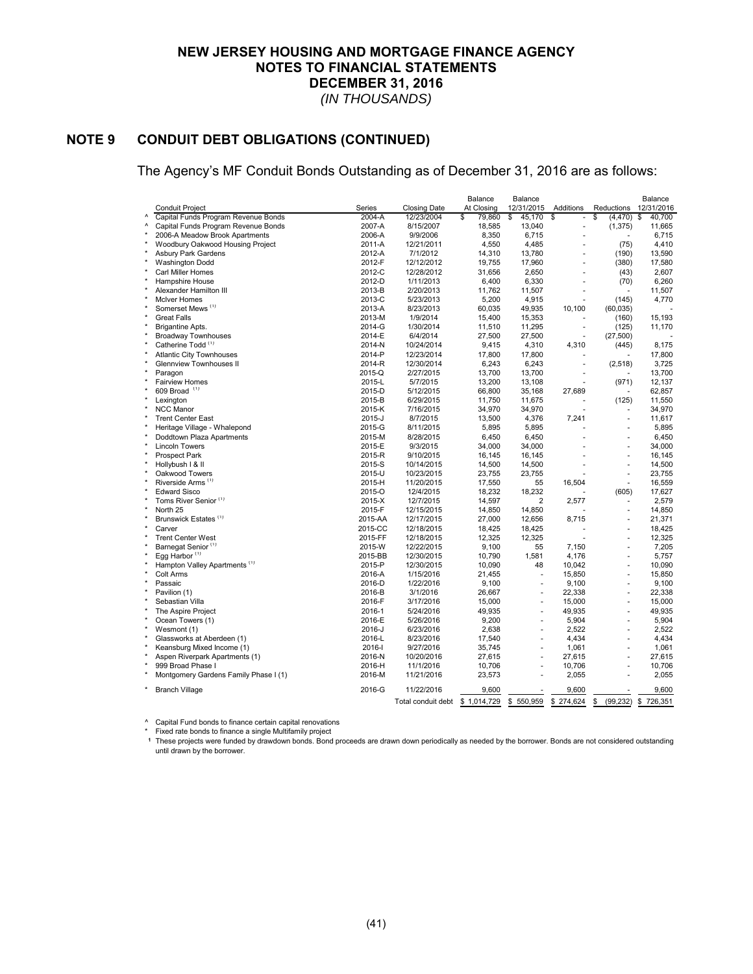*(IN THOUSANDS)*

### **NOTE 9 CONDUIT DEBT OBLIGATIONS (CONTINUED)**

The Agency's MF Conduit Bonds Outstanding as of December 31, 2016 are as follows:

|          |                                                            |                    |                          | Balance          | Balance          |                 |                | Balance               |
|----------|------------------------------------------------------------|--------------------|--------------------------|------------------|------------------|-----------------|----------------|-----------------------|
|          | <b>Conduit Project</b>                                     | Series             | <b>Closing Date</b>      | At Closing       | 12/31/2015       | Additions       |                | Reductions 12/31/2016 |
| Λ        | Capital Funds Program Revenue Bonds                        | $2004 - A$         | 12/23/2004               | 79,860<br>S      | \$<br>45,170     | \$              | \$<br>(4, 470) | \$<br>40,700          |
| ۸        | Capital Funds Program Revenue Bonds                        | 2007-A             | 8/15/2007                | 18,585           | 13,040           |                 | (1, 375)       | 11,665                |
| $\star$  | 2006-A Meadow Brook Apartments                             | 2006-A             | 9/9/2006                 | 8,350            | 6,715            |                 |                | 6,715                 |
| $\star$  | Woodbury Oakwood Housing Project                           | 2011-A             | 12/21/2011               | 4,550            | 4,485            |                 | (75)           | 4,410                 |
|          | Asbury Park Gardens                                        | 2012-A             | 7/1/2012                 | 14,310           | 13,780           |                 | (190)          | 13,590                |
| $\star$  | <b>Washington Dodd</b>                                     | 2012-F             | 12/12/2012               | 19,755           | 17,960           |                 | (380)          | 17,580                |
| $\star$  | Carl Miller Homes                                          | 2012-C             | 12/28/2012               | 31,656           | 2,650            |                 | (43)           | 2,607                 |
|          | Hampshire House                                            | 2012-D             | 1/11/2013                | 6,400            | 6,330            |                 | (70)           | 6,260                 |
|          | Alexander Hamilton III                                     | 2013-B             | 2/20/2013                | 11,762           | 11,507           |                 |                | 11,507                |
|          | <b>McIver Homes</b>                                        | 2013-C             | 5/23/2013                | 5,200            | 4,915            |                 | (145)          | 4,770                 |
|          | Somerset Mews <sup>(1)</sup>                               | 2013-A             | 8/23/2013                | 60,035           | 49,935           | 10,100          | (60, 035)      |                       |
| $^\star$ | <b>Great Falls</b>                                         | 2013-M             | 1/9/2014                 | 15,400           | 15,353           |                 | (160)          | 15,193                |
| $\star$  | Brigantine Apts.                                           | 2014-G             | 1/30/2014                | 11,510           | 11,295           |                 | (125)          | 11,170                |
|          | <b>Broadway Townhouses</b>                                 | 2014-E             | 6/4/2014                 | 27,500           | 27,500           |                 | (27, 500)      |                       |
| $\star$  | Catherine Todd <sup>(1)</sup>                              | 2014-N             | 10/24/2014               | 9,415            | 4,310            | 4,310           | (445)          | 8,175                 |
|          | <b>Atlantic City Townhouses</b>                            | 2014-P             | 12/23/2014               | 17,800           | 17,800           |                 |                | 17,800                |
|          | <b>Glennview Townhouses II</b>                             | 2014-R             | 12/30/2014               | 6,243            | 6,243            | ä,              | (2,518)        | 3,725                 |
| $\star$  | Paragon                                                    | 2015-Q             | 2/27/2015                | 13,700           | 13,700           |                 |                | 13,700                |
| $\star$  | <b>Fairview Homes</b>                                      | 2015-L             | 5/7/2015                 | 13,200           | 13,108           |                 | (971)          | 12,137                |
|          | 609 Broad <sup>(1)</sup>                                   | 2015-D             | 5/12/2015                | 66,800           | 35,168           | 27,689          |                | 62,857                |
| $^\star$ | Lexington                                                  | 2015-B             | 6/29/2015                | 11,750           | 11,675           |                 | (125)          | 11,550                |
| $\star$  | <b>NCC Manor</b>                                           | 2015-K             | 7/16/2015                | 34,970           | 34,970           |                 | ٠              | 34,970                |
|          | <b>Trent Center East</b>                                   | $2015 - J$         | 8/7/2015                 | 13,500           | 4,376            | 7,241           | ÷,             | 11,617                |
|          | Heritage Village - Whalepond                               | 2015-G             | 8/11/2015                | 5,895            | 5,895            |                 | ÷,             | 5,895                 |
|          | Doddtown Plaza Apartments                                  | 2015-M             | 8/28/2015                | 6,450            | 6,450            |                 |                | 6,450                 |
|          | <b>Lincoln Towers</b>                                      | 2015-E             | 9/3/2015                 | 34,000           | 34,000           |                 | ä,             | 34,000                |
| $^\star$ | <b>Prospect Park</b>                                       | 2015-R             | 9/10/2015                | 16,145           | 16,145           |                 | ÷,             | 16,145                |
|          | Hollybush I & II                                           | 2015-S             | 10/14/2015               | 14,500           | 14,500           |                 | ÷.             | 14,500                |
|          | Oakwood Towers                                             | 2015-U             | 10/23/2015               | 23,755           | 23,755           |                 | ä,             | 23,755                |
|          | Riverside Arms <sup>(1)</sup>                              | 2015-H             | 11/20/2015               | 17,550           | 55               | 16,504          | ÷,             | 16,559                |
|          | <b>Edward Sisco</b>                                        | 2015-O             | 12/4/2015                | 18,232           | 18,232           |                 | (605)          | 17,627                |
|          | Toms River Senior <sup>(1)</sup>                           | 2015-X             |                          | 14,597           | $\overline{2}$   | 2,577           | ٠              | 2,579                 |
| $\star$  | North 25                                                   | 2015-F             | 12/7/2015                | 14,850           | 14,850           |                 | ٠              | 14,850                |
| $\star$  |                                                            |                    | 12/15/2015               |                  |                  |                 | ÷,             |                       |
|          | Brunswick Estates <sup>(1)</sup><br>Carver                 | 2015-AA<br>2015-CC | 12/17/2015               | 27,000<br>18,425 | 12,656<br>18,425 | 8,715           | ä,             | 21,371<br>18,425      |
|          |                                                            |                    | 12/18/2015               |                  |                  |                 |                |                       |
| $\star$  | <b>Trent Center West</b><br>Barnegat Senior <sup>(1)</sup> | 2015-FF            | 12/18/2015               | 12,325           | 12,325           |                 | ÷,             | 12,325                |
|          | Egg Harbor <sup>(1)</sup>                                  | 2015-W             | 12/22/2015               | 9,100            | 55               | 7,150           | ÷              | 7,205                 |
|          | Hampton Valley Apartments <sup>(1)</sup>                   | 2015-BB<br>2015-P  | 12/30/2015<br>12/30/2015 | 10,790<br>10,090 | 1,581<br>48      | 4,176<br>10,042 | ÷,<br>ä,       | 5,757<br>10,090       |
| $^\star$ |                                                            |                    |                          |                  | ÷,               |                 | ÷              |                       |
|          | Colt Arms                                                  | 2016-A             | 1/15/2016                | 21,455           |                  | 15,850          |                | 15,850                |
|          | Passaic                                                    | 2016-D             | 1/22/2016                | 9,100            | ä,               | 9,100           | ÷,             | 9,100                 |
| $\star$  | Pavilion (1)                                               | 2016-B             | 3/1/2016                 | 26,667           | $\blacksquare$   | 22,338          | ä,             | 22,338                |
|          | Sebastian Villa                                            | 2016-F             | 3/17/2016                | 15,000           | $\overline{a}$   | 15,000          | ä,             | 15,000                |
| $\star$  | The Aspire Project                                         | 2016-1             | 5/24/2016                | 49,935           |                  | 49,935          | L,             | 49,935                |
| $^\star$ | Ocean Towers (1)                                           | 2016-E             | 5/26/2016                | 9,200            | ٠                | 5,904           | ٠              | 5,904                 |
|          | Wesmont (1)                                                | 2016-J             | 6/23/2016                | 2,638            | ÷,               | 2,522           | ÷              | 2,522                 |
|          | Glassworks at Aberdeen (1)                                 | 2016-L             | 8/23/2016                | 17,540           | ä,               | 4,434           |                | 4,434                 |
| $\star$  | Keansburg Mixed Income (1)                                 | 2016-l             | 9/27/2016                | 35,745           | ÷,               | 1,061           | ä,             | 1,061                 |
| ×        | Aspen Riverpark Apartments (1)                             | 2016-N             | 10/20/2016               | 27,615           | $\overline{a}$   | 27,615          | ä,             | 27,615                |
|          | 999 Broad Phase I                                          | 2016-H             | 11/1/2016                | 10,706           |                  | 10,706          | L,             | 10,706                |
|          | Montgomery Gardens Family Phase I (1)                      | 2016-M             | 11/21/2016               | 23,573           | ٠                | 2,055           | ٠              | 2,055                 |
|          | <b>Branch Village</b>                                      | 2016-G             | 11/22/2016               | 9,600            |                  | 9,600           |                | 9,600                 |
|          |                                                            |                    | Total conduit debt       | \$1,014,729      | \$550,959        | \$274,624       | \$             | (99,232) \$726,351    |

^ Capital Fund bonds to finance certain capital renovations \* Fixed rate bonds to finance a single Multifamily project

**<sup>1</sup>** These projects were funded by drawdown bonds. Bond proceeds are drawn down periodically as needed by the borrower. Bonds are not considered outstanding until drawn by the borrower.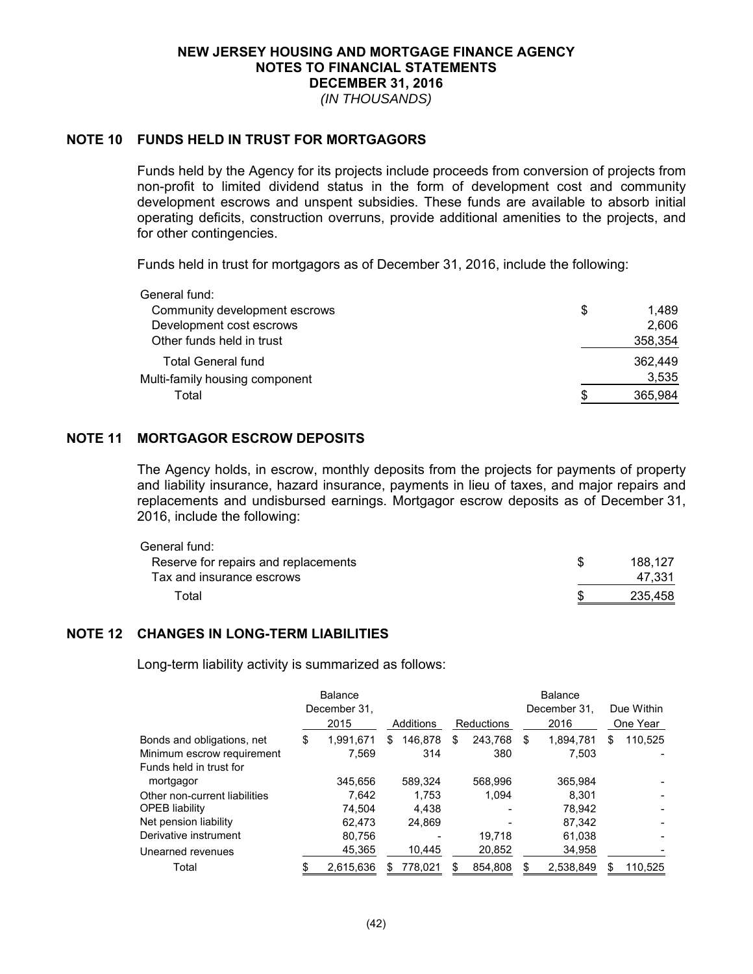### *(IN THOUSANDS)*

#### **NOTE 10 FUNDS HELD IN TRUST FOR MORTGAGORS**

Funds held by the Agency for its projects include proceeds from conversion of projects from non-profit to limited dividend status in the form of development cost and community development escrows and unspent subsidies. These funds are available to absorb initial operating deficits, construction overruns, provide additional amenities to the projects, and for other contingencies.

Funds held in trust for mortgagors as of December 31, 2016, include the following:

| General fund:                  |             |
|--------------------------------|-------------|
| Community development escrows  | \$<br>1.489 |
| Development cost escrows       | 2,606       |
| Other funds held in trust      | 358,354     |
| <b>Total General fund</b>      | 362.449     |
| Multi-family housing component | 3,535       |
| Total                          | 365,984     |

### **NOTE 11 MORTGAGOR ESCROW DEPOSITS**

The Agency holds, in escrow, monthly deposits from the projects for payments of property and liability insurance, hazard insurance, payments in lieu of taxes, and major repairs and replacements and undisbursed earnings. Mortgagor escrow deposits as of December 31, 2016, include the following:

| General fund:                        |         |
|--------------------------------------|---------|
| Reserve for repairs and replacements | 188.127 |
| Tax and insurance escrows            | 47.331  |
| Total                                | 235.458 |

### **NOTE 12 CHANGES IN LONG-TERM LIABILITIES**

Long-term liability activity is summarized as follows:

|                               | <b>Balance</b>                  |   |         |      |         |          | <b>Balance</b> |   |            |
|-------------------------------|---------------------------------|---|---------|------|---------|----------|----------------|---|------------|
|                               | December 31.                    |   |         |      |         |          | December 31.   |   | Due Within |
|                               | 2015<br>Additions<br>Reductions |   |         | 2016 |         | One Year |                |   |            |
| Bonds and obligations, net    | \$<br>1.991.671                 | S | 146.878 | S    | 243,768 | S        | 1.894.781      | S | 110.525    |
| Minimum escrow requirement    | 7.569                           |   | 314     |      | 380     |          | 7.503          |   |            |
| Funds held in trust for       |                                 |   |         |      |         |          |                |   |            |
| mortgagor                     | 345.656                         |   | 589.324 |      | 568.996 |          | 365.984        |   |            |
| Other non-current liabilities | 7.642                           |   | 1.753   |      | 1.094   |          | 8.301          |   |            |
| <b>OPEB</b> liability         | 74.504                          |   | 4.438   |      |         |          | 78.942         |   |            |
| Net pension liability         | 62.473                          |   | 24.869  |      |         |          | 87,342         |   |            |
| Derivative instrument         | 80.756                          |   |         |      | 19.718  |          | 61,038         |   |            |
| Unearned revenues             | 45,365                          |   | 10,445  |      | 20,852  |          | 34,958         |   |            |
| Total                         | 2,615,636                       | Ъ | 778,021 |      | 854,808 |          | 2,538,849      |   | 110,525    |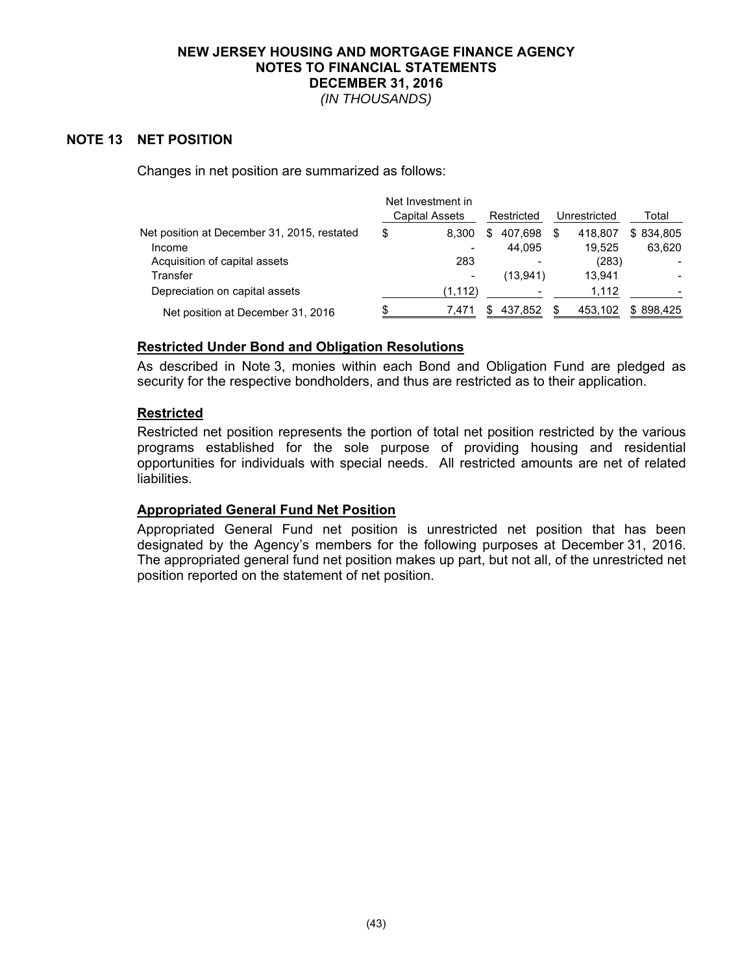### *(IN THOUSANDS)*

### **NOTE 13 NET POSITION**

Changes in net position are summarized as follows:

|                                             | Net Investment in |   |            |              |           |
|---------------------------------------------|-------------------|---|------------|--------------|-----------|
|                                             | Capital Assets    |   | Restricted | Unrestricted | Total     |
| Net position at December 31, 2015, restated | \$<br>8.300       | S | 407.698    | 418.807      | \$834.805 |
| Income                                      |                   |   | 44.095     | 19.525       | 63.620    |
| Acquisition of capital assets               | 283               |   |            | (283)        |           |
| Transfer                                    |                   |   | (13.941)   | 13.941       |           |
| Depreciation on capital assets              | (1, 112)          |   |            | 1.112        |           |
| Net position at December 31, 2016           | 7.471             |   | 437.852    | 453,102      | \$898.425 |

### **Restricted Under Bond and Obligation Resolutions**

As described in Note 3, monies within each Bond and Obligation Fund are pledged as security for the respective bondholders, and thus are restricted as to their application.

### **Restricted**

Restricted net position represents the portion of total net position restricted by the various programs established for the sole purpose of providing housing and residential opportunities for individuals with special needs. All restricted amounts are net of related liabilities.

### **Appropriated General Fund Net Position**

Appropriated General Fund net position is unrestricted net position that has been designated by the Agency's members for the following purposes at December 31, 2016. The appropriated general fund net position makes up part, but not all, of the unrestricted net position reported on the statement of net position.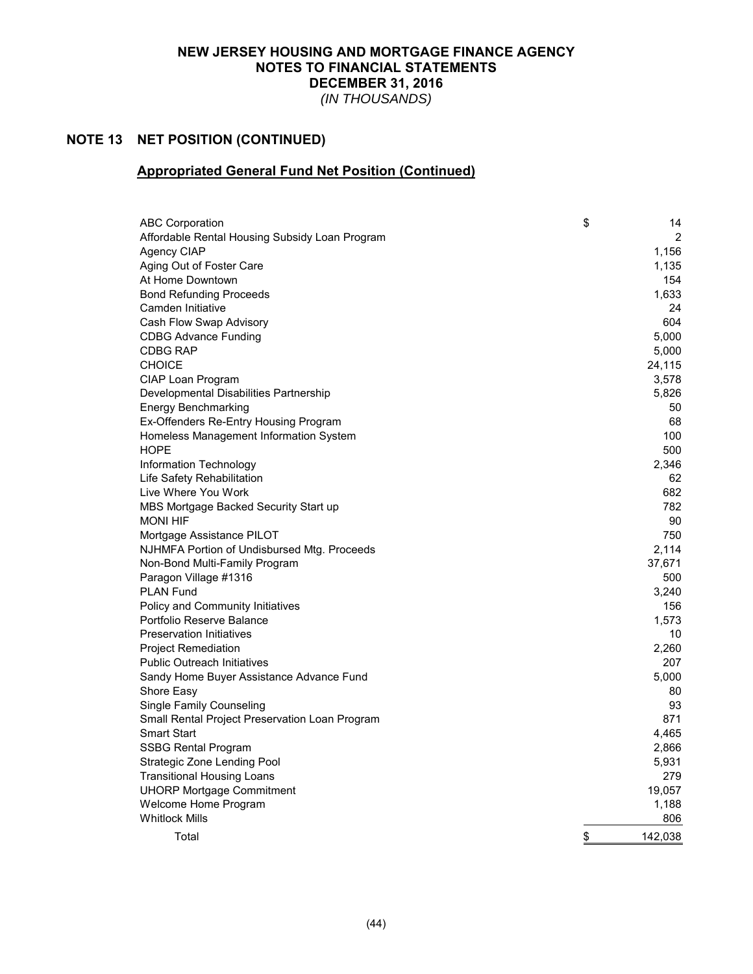### **NOTE 13 NET POSITION (CONTINUED)**

### **Appropriated General Fund Net Position (Continued)**

| <b>ABC Corporation</b>                         | \$<br>14      |
|------------------------------------------------|---------------|
| Affordable Rental Housing Subsidy Loan Program | 2             |
| Agency CIAP                                    | 1,156         |
| Aging Out of Foster Care                       | 1,135         |
| At Home Downtown                               | 154           |
| <b>Bond Refunding Proceeds</b>                 | 1,633         |
| Camden Initiative                              | 24            |
| Cash Flow Swap Advisory                        | 604           |
| <b>CDBG Advance Funding</b>                    | 5,000         |
| <b>CDBG RAP</b>                                | 5,000         |
| <b>CHOICE</b>                                  | 24,115        |
| CIAP Loan Program                              | 3,578         |
| Developmental Disabilities Partnership         | 5,826         |
| <b>Energy Benchmarking</b>                     | 50            |
| Ex-Offenders Re-Entry Housing Program          | 68            |
| Homeless Management Information System         | 100           |
| <b>HOPE</b>                                    | 500           |
| Information Technology                         | 2,346         |
| Life Safety Rehabilitation                     | 62            |
| Live Where You Work                            | 682           |
| MBS Mortgage Backed Security Start up          | 782           |
| <b>MONI HIF</b>                                | 90            |
| Mortgage Assistance PILOT                      | 750           |
| NJHMFA Portion of Undisbursed Mtg. Proceeds    | 2.114         |
| Non-Bond Multi-Family Program                  | 37,671        |
| Paragon Village #1316                          | 500           |
| <b>PLAN Fund</b>                               | 3.240         |
| Policy and Community Initiatives               | 156           |
| Portfolio Reserve Balance                      | 1,573         |
| <b>Preservation Initiatives</b>                | 10            |
| <b>Project Remediation</b>                     | 2.260         |
| <b>Public Outreach Initiatives</b>             | 207           |
| Sandy Home Buyer Assistance Advance Fund       | 5,000         |
| Shore Easy                                     | 80            |
| Single Family Counseling                       | 93            |
| Small Rental Project Preservation Loan Program | 871           |
| <b>Smart Start</b>                             | 4,465         |
| <b>SSBG Rental Program</b>                     | 2,866         |
| Strategic Zone Lending Pool                    | 5,931         |
| <b>Transitional Housing Loans</b>              | 279           |
| <b>UHORP Mortgage Commitment</b>               | 19,057        |
| Welcome Home Program                           | 1,188         |
| <b>Whitlock Mills</b>                          | 806           |
| Total                                          | \$<br>142,038 |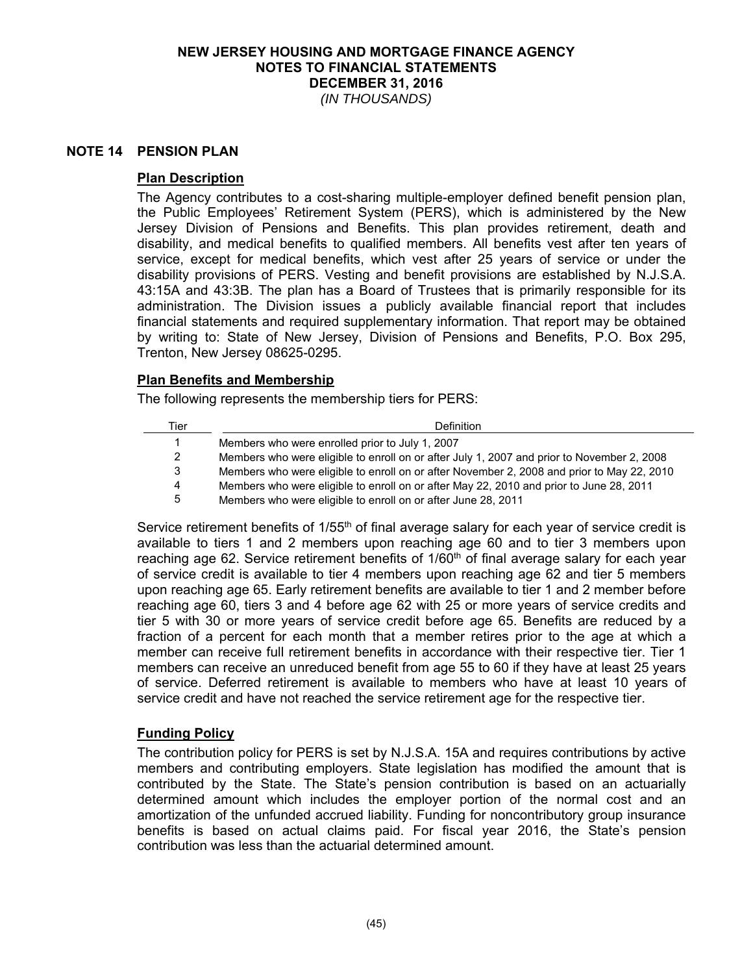*(IN THOUSANDS)*

### **NOTE 14 PENSION PLAN**

### **Plan Description**

The Agency contributes to a cost-sharing multiple-employer defined benefit pension plan, the Public Employees' Retirement System (PERS), which is administered by the New Jersey Division of Pensions and Benefits. This plan provides retirement, death and disability, and medical benefits to qualified members. All benefits vest after ten years of service, except for medical benefits, which vest after 25 years of service or under the disability provisions of PERS. Vesting and benefit provisions are established by N.J.S.A. 43:15A and 43:3B. The plan has a Board of Trustees that is primarily responsible for its administration. The Division issues a publicly available financial report that includes financial statements and required supplementary information. That report may be obtained by writing to: State of New Jersey, Division of Pensions and Benefits, P.O. Box 295, Trenton, New Jersey 08625-0295.

### **Plan Benefits and Membership**

The following represents the membership tiers for PERS:

| Tier | <b>Definition</b>                                                                          |
|------|--------------------------------------------------------------------------------------------|
|      | Members who were enrolled prior to July 1, 2007                                            |
| 2    | Members who were eligible to enroll on or after July 1, 2007 and prior to November 2, 2008 |
| 3    | Members who were eligible to enroll on or after November 2, 2008 and prior to May 22, 2010 |
| 4    | Members who were eligible to enroll on or after May 22, 2010 and prior to June 28, 2011    |
| 5    | Members who were eligible to enroll on or after June 28, 2011                              |

Service retirement benefits of 1/55<sup>th</sup> of final average salary for each year of service credit is available to tiers 1 and 2 members upon reaching age 60 and to tier 3 members upon reaching age 62. Service retirement benefits of  $1/60<sup>th</sup>$  of final average salary for each year of service credit is available to tier 4 members upon reaching age 62 and tier 5 members upon reaching age 65. Early retirement benefits are available to tier 1 and 2 member before reaching age 60, tiers 3 and 4 before age 62 with 25 or more years of service credits and tier 5 with 30 or more years of service credit before age 65. Benefits are reduced by a fraction of a percent for each month that a member retires prior to the age at which a member can receive full retirement benefits in accordance with their respective tier. Tier 1 members can receive an unreduced benefit from age 55 to 60 if they have at least 25 years of service. Deferred retirement is available to members who have at least 10 years of service credit and have not reached the service retirement age for the respective tier.

### **Funding Policy**

The contribution policy for PERS is set by N.J.S.A. 15A and requires contributions by active members and contributing employers. State legislation has modified the amount that is contributed by the State. The State's pension contribution is based on an actuarially determined amount which includes the employer portion of the normal cost and an amortization of the unfunded accrued liability. Funding for noncontributory group insurance benefits is based on actual claims paid. For fiscal year 2016, the State's pension contribution was less than the actuarial determined amount.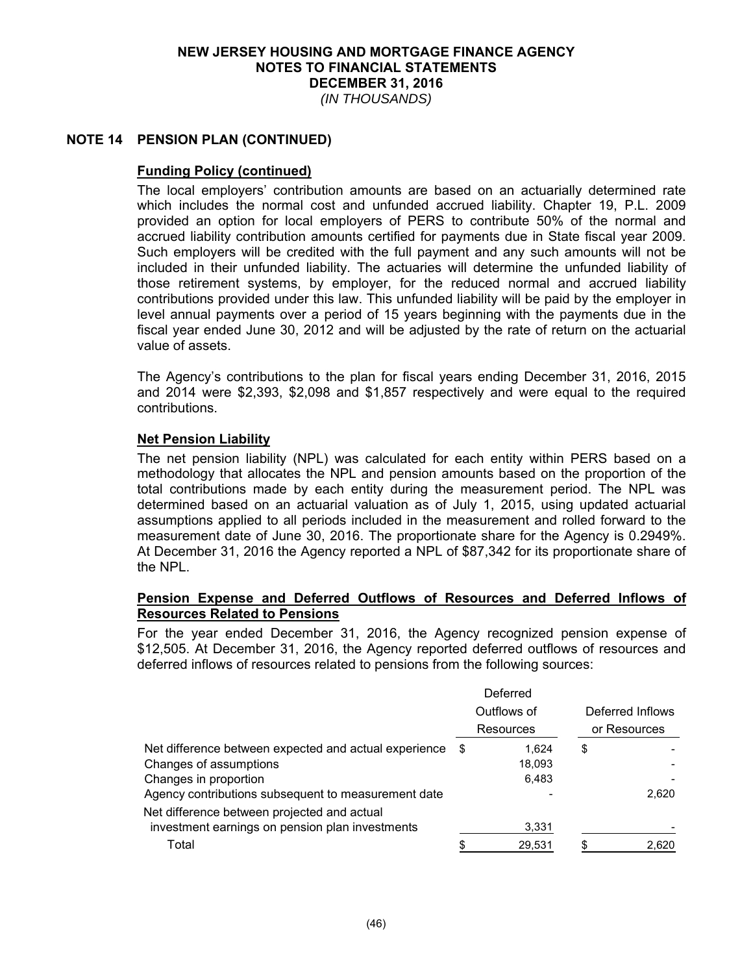*(IN THOUSANDS)*

### **NOTE 14 PENSION PLAN (CONTINUED)**

### **Funding Policy (continued)**

The local employers' contribution amounts are based on an actuarially determined rate which includes the normal cost and unfunded accrued liability. Chapter 19, P.L. 2009 provided an option for local employers of PERS to contribute 50% of the normal and accrued liability contribution amounts certified for payments due in State fiscal year 2009. Such employers will be credited with the full payment and any such amounts will not be included in their unfunded liability. The actuaries will determine the unfunded liability of those retirement systems, by employer, for the reduced normal and accrued liability contributions provided under this law. This unfunded liability will be paid by the employer in level annual payments over a period of 15 years beginning with the payments due in the fiscal year ended June 30, 2012 and will be adjusted by the rate of return on the actuarial value of assets.

The Agency's contributions to the plan for fiscal years ending December 31, 2016, 2015 and 2014 were \$2,393, \$2,098 and \$1,857 respectively and were equal to the required contributions.

### **Net Pension Liability**

The net pension liability (NPL) was calculated for each entity within PERS based on a methodology that allocates the NPL and pension amounts based on the proportion of the total contributions made by each entity during the measurement period. The NPL was determined based on an actuarial valuation as of July 1, 2015, using updated actuarial assumptions applied to all periods included in the measurement and rolled forward to the measurement date of June 30, 2016. The proportionate share for the Agency is 0.2949%. At December 31, 2016 the Agency reported a NPL of \$87,342 for its proportionate share of the NPL.

### **Pension Expense and Deferred Outflows of Resources and Deferred Inflows of Resources Related to Pensions**

For the year ended December 31, 2016, the Agency recognized pension expense of \$12,505. At December 31, 2016, the Agency reported deferred outflows of resources and deferred inflows of resources related to pensions from the following sources:

|                                                       |      | Deferred    |                  |       |  |
|-------------------------------------------------------|------|-------------|------------------|-------|--|
|                                                       |      | Outflows of | Deferred Inflows |       |  |
|                                                       |      | Resources   | or Resources     |       |  |
| Net difference between expected and actual experience | - \$ | 1.624       | \$               |       |  |
| Changes of assumptions                                |      | 18,093      |                  |       |  |
| Changes in proportion                                 |      | 6.483       |                  |       |  |
| Agency contributions subsequent to measurement date   |      |             |                  | 2,620 |  |
| Net difference between projected and actual           |      |             |                  |       |  |
| investment earnings on pension plan investments       |      | 3,331       |                  |       |  |
| Total                                                 |      | 29,531      |                  | 2,620 |  |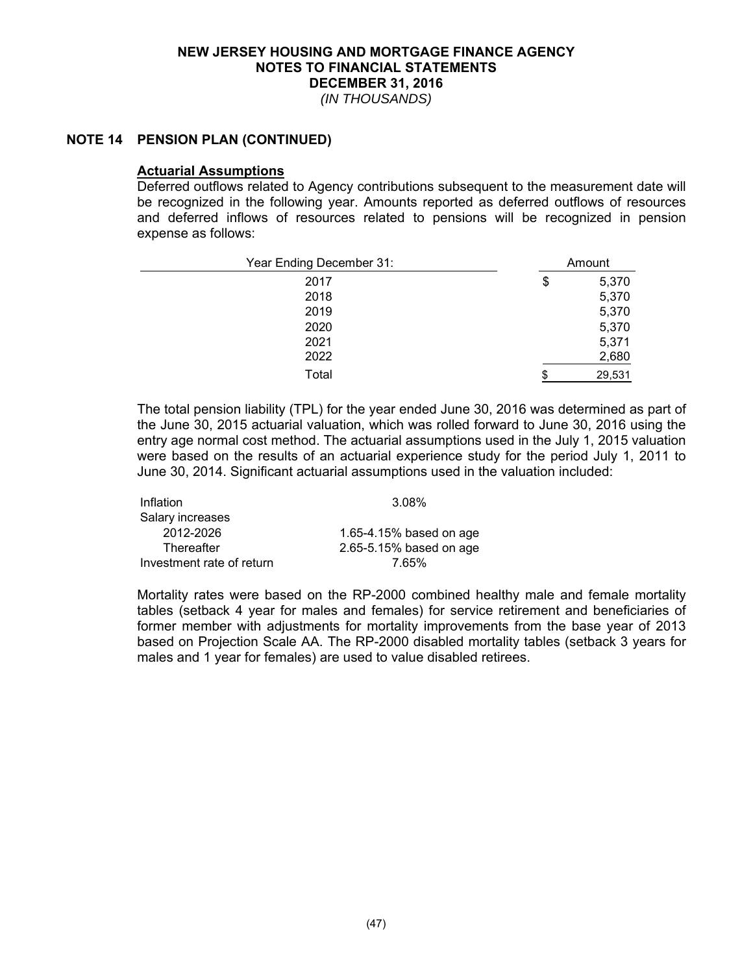### *(IN THOUSANDS)*

### **NOTE 14 PENSION PLAN (CONTINUED)**

### **Actuarial Assumptions**

Deferred outflows related to Agency contributions subsequent to the measurement date will be recognized in the following year. Amounts reported as deferred outflows of resources and deferred inflows of resources related to pensions will be recognized in pension expense as follows:

| Year Ending December 31: | Amount |        |  |
|--------------------------|--------|--------|--|
| 2017                     | \$     | 5,370  |  |
| 2018                     |        | 5,370  |  |
| 2019                     |        | 5,370  |  |
| 2020                     |        | 5,370  |  |
| 2021                     |        | 5,371  |  |
| 2022                     |        | 2,680  |  |
| Total                    |        | 29,531 |  |

The total pension liability (TPL) for the year ended June 30, 2016 was determined as part of the June 30, 2015 actuarial valuation, which was rolled forward to June 30, 2016 using the entry age normal cost method. The actuarial assumptions used in the July 1, 2015 valuation were based on the results of an actuarial experience study for the period July 1, 2011 to June 30, 2014. Significant actuarial assumptions used in the valuation included:

| Inflation                 | 3.08%                   |
|---------------------------|-------------------------|
| Salary increases          |                         |
| 2012-2026                 | 1.65-4.15% based on age |
| Thereafter                | 2.65-5.15% based on age |
| Investment rate of return | 7.65%                   |

Mortality rates were based on the RP-2000 combined healthy male and female mortality tables (setback 4 year for males and females) for service retirement and beneficiaries of former member with adjustments for mortality improvements from the base year of 2013 based on Projection Scale AA. The RP-2000 disabled mortality tables (setback 3 years for males and 1 year for females) are used to value disabled retirees.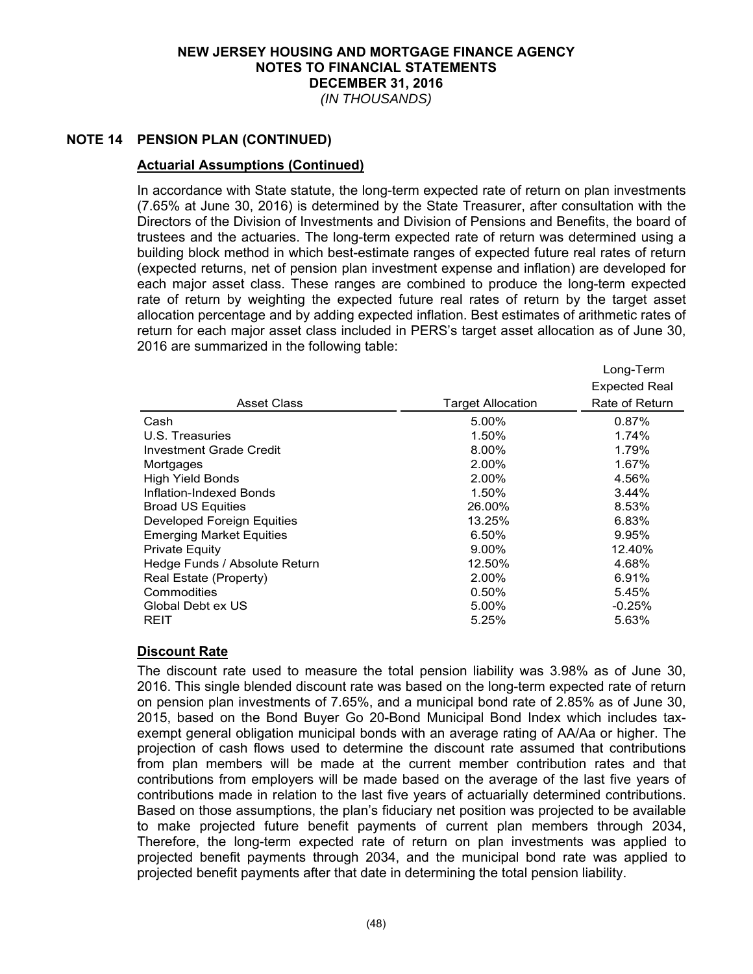### *(IN THOUSANDS)*

### **NOTE 14 PENSION PLAN (CONTINUED)**

### **Actuarial Assumptions (Continued)**

In accordance with State statute, the long-term expected rate of return on plan investments (7.65% at June 30, 2016) is determined by the State Treasurer, after consultation with the Directors of the Division of Investments and Division of Pensions and Benefits, the board of trustees and the actuaries. The long-term expected rate of return was determined using a building block method in which best-estimate ranges of expected future real rates of return (expected returns, net of pension plan investment expense and inflation) are developed for each major asset class. These ranges are combined to produce the long-term expected rate of return by weighting the expected future real rates of return by the target asset allocation percentage and by adding expected inflation. Best estimates of arithmetic rates of return for each major asset class included in PERS's target asset allocation as of June 30, 2016 are summarized in the following table:

|                                 |                          | Long-Term            |
|---------------------------------|--------------------------|----------------------|
|                                 |                          | <b>Expected Real</b> |
| <b>Asset Class</b>              | <b>Target Allocation</b> | Rate of Return       |
| Cash                            | 5.00%                    | 0.87%                |
| U.S. Treasuries                 | 1.50%                    | 1.74%                |
| Investment Grade Credit         | 8.00%                    | 1.79%                |
| Mortgages                       | 2.00%                    | 1.67%                |
| <b>High Yield Bonds</b>         | 2.00%                    | 4.56%                |
| Inflation-Indexed Bonds         | 1.50%                    | 3.44%                |
| <b>Broad US Equities</b>        | 26.00%                   | 8.53%                |
| Developed Foreign Equities      | 13.25%                   | 6.83%                |
| <b>Emerging Market Equities</b> | 6.50%                    | 9.95%                |
| <b>Private Equity</b>           | $9.00\%$                 | 12.40%               |
| Hedge Funds / Absolute Return   | 12.50%                   | 4.68%                |
| Real Estate (Property)          | 2.00%                    | 6.91%                |
| Commodities                     | 0.50%                    | 5.45%                |
| Global Debt ex US               | 5.00%                    | $-0.25%$             |
| REIT                            | 5.25%                    | 5.63%                |

### **Discount Rate**

The discount rate used to measure the total pension liability was 3.98% as of June 30, 2016. This single blended discount rate was based on the long-term expected rate of return on pension plan investments of 7.65%, and a municipal bond rate of 2.85% as of June 30, 2015, based on the Bond Buyer Go 20-Bond Municipal Bond Index which includes taxexempt general obligation municipal bonds with an average rating of AA/Aa or higher. The projection of cash flows used to determine the discount rate assumed that contributions from plan members will be made at the current member contribution rates and that contributions from employers will be made based on the average of the last five years of contributions made in relation to the last five years of actuarially determined contributions. Based on those assumptions, the plan's fiduciary net position was projected to be available to make projected future benefit payments of current plan members through 2034, Therefore, the long-term expected rate of return on plan investments was applied to projected benefit payments through 2034, and the municipal bond rate was applied to projected benefit payments after that date in determining the total pension liability.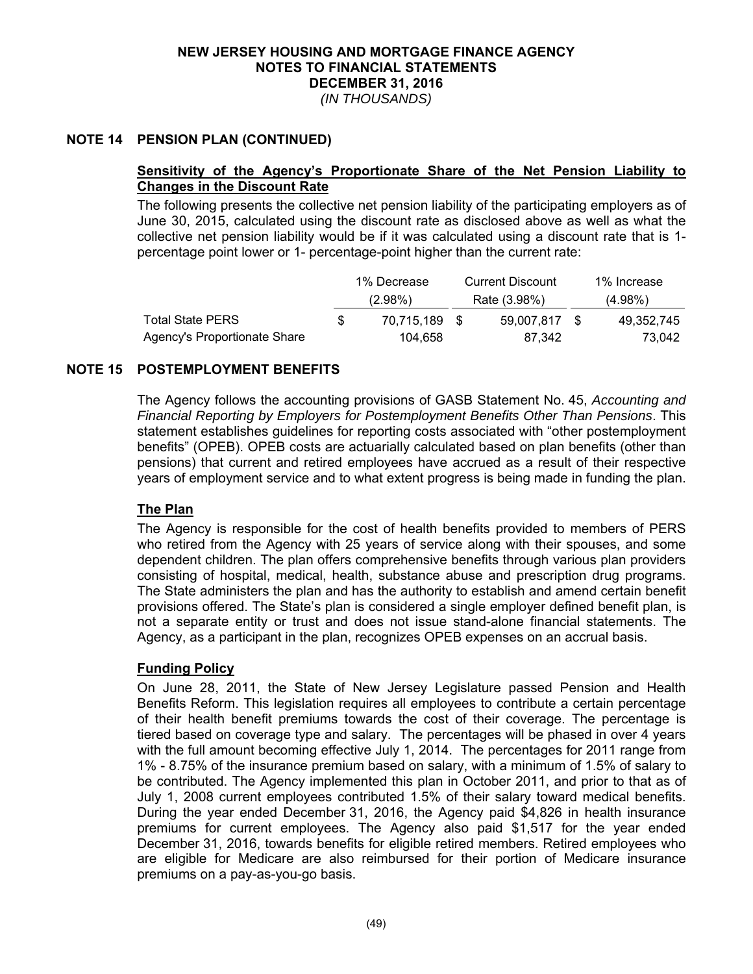### *(IN THOUSANDS)*

### **NOTE 14 PENSION PLAN (CONTINUED)**

### **Sensitivity of the Agency's Proportionate Share of the Net Pension Liability to Changes in the Discount Rate**

The following presents the collective net pension liability of the participating employers as of June 30, 2015, calculated using the discount rate as disclosed above as well as what the collective net pension liability would be if it was calculated using a discount rate that is 1 percentage point lower or 1- percentage-point higher than the current rate:

|                              | 1% Decrease   |              | <b>Current Discount</b> | 1% Increase |            |  |
|------------------------------|---------------|--------------|-------------------------|-------------|------------|--|
|                              | $(2.98\%)$    | Rate (3.98%) |                         |             | $(4.98\%)$ |  |
| <b>Total State PERS</b>      | 70.715.189 \$ |              | 59.007.817 \$           |             | 49.352.745 |  |
| Agency's Proportionate Share | 104.658       |              | 87.342                  |             | 73.042     |  |

### **NOTE 15 POSTEMPLOYMENT BENEFITS**

The Agency follows the accounting provisions of GASB Statement No. 45, *Accounting and Financial Reporting by Employers for Postemployment Benefits Other Than Pensions*. This statement establishes guidelines for reporting costs associated with "other postemployment benefits" (OPEB). OPEB costs are actuarially calculated based on plan benefits (other than pensions) that current and retired employees have accrued as a result of their respective years of employment service and to what extent progress is being made in funding the plan.

### **The Plan**

The Agency is responsible for the cost of health benefits provided to members of PERS who retired from the Agency with 25 years of service along with their spouses, and some dependent children. The plan offers comprehensive benefits through various plan providers consisting of hospital, medical, health, substance abuse and prescription drug programs. The State administers the plan and has the authority to establish and amend certain benefit provisions offered. The State's plan is considered a single employer defined benefit plan, is not a separate entity or trust and does not issue stand-alone financial statements. The Agency, as a participant in the plan, recognizes OPEB expenses on an accrual basis.

### **Funding Policy**

On June 28, 2011, the State of New Jersey Legislature passed Pension and Health Benefits Reform. This legislation requires all employees to contribute a certain percentage of their health benefit premiums towards the cost of their coverage. The percentage is tiered based on coverage type and salary. The percentages will be phased in over 4 years with the full amount becoming effective July 1, 2014. The percentages for 2011 range from 1% - 8.75% of the insurance premium based on salary, with a minimum of 1.5% of salary to be contributed. The Agency implemented this plan in October 2011, and prior to that as of July 1, 2008 current employees contributed 1.5% of their salary toward medical benefits. During the year ended December 31, 2016, the Agency paid \$4,826 in health insurance premiums for current employees. The Agency also paid \$1,517 for the year ended December 31, 2016, towards benefits for eligible retired members. Retired employees who are eligible for Medicare are also reimbursed for their portion of Medicare insurance premiums on a pay-as-you-go basis.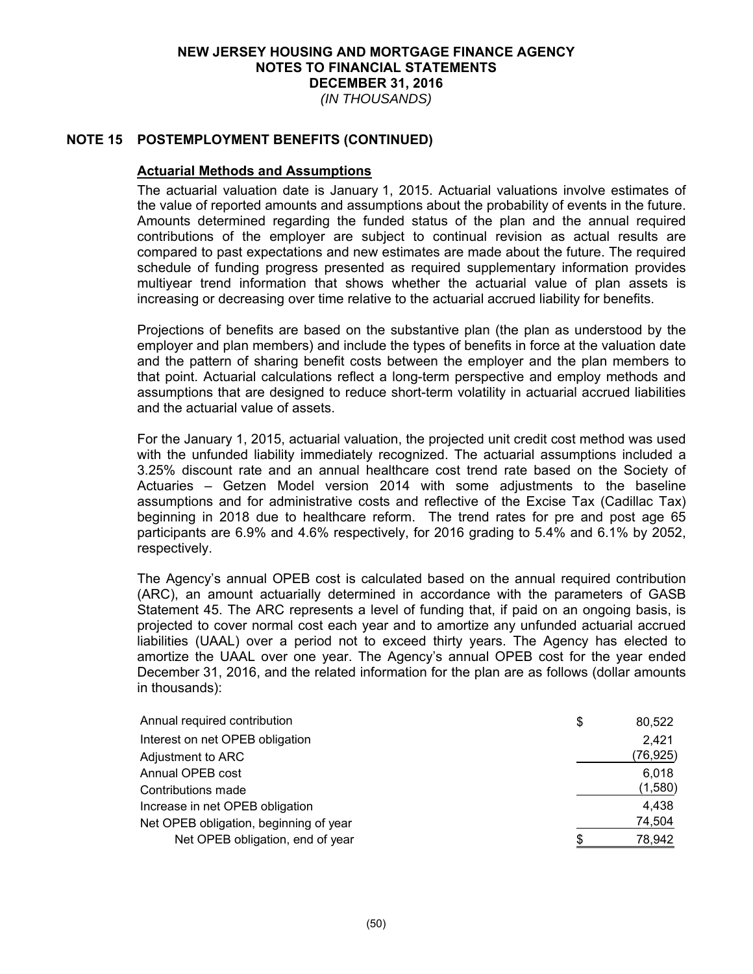*(IN THOUSANDS)*

### **NOTE 15 POSTEMPLOYMENT BENEFITS (CONTINUED)**

#### **Actuarial Methods and Assumptions**

The actuarial valuation date is January 1, 2015. Actuarial valuations involve estimates of the value of reported amounts and assumptions about the probability of events in the future. Amounts determined regarding the funded status of the plan and the annual required contributions of the employer are subject to continual revision as actual results are compared to past expectations and new estimates are made about the future. The required schedule of funding progress presented as required supplementary information provides multiyear trend information that shows whether the actuarial value of plan assets is increasing or decreasing over time relative to the actuarial accrued liability for benefits.

Projections of benefits are based on the substantive plan (the plan as understood by the employer and plan members) and include the types of benefits in force at the valuation date and the pattern of sharing benefit costs between the employer and the plan members to that point. Actuarial calculations reflect a long-term perspective and employ methods and assumptions that are designed to reduce short-term volatility in actuarial accrued liabilities and the actuarial value of assets.

For the January 1, 2015, actuarial valuation, the projected unit credit cost method was used with the unfunded liability immediately recognized. The actuarial assumptions included a 3.25% discount rate and an annual healthcare cost trend rate based on the Society of Actuaries – Getzen Model version 2014 with some adjustments to the baseline assumptions and for administrative costs and reflective of the Excise Tax (Cadillac Tax) beginning in 2018 due to healthcare reform. The trend rates for pre and post age 65 participants are 6.9% and 4.6% respectively, for 2016 grading to 5.4% and 6.1% by 2052, respectively.

The Agency's annual OPEB cost is calculated based on the annual required contribution (ARC), an amount actuarially determined in accordance with the parameters of GASB Statement 45. The ARC represents a level of funding that, if paid on an ongoing basis, is projected to cover normal cost each year and to amortize any unfunded actuarial accrued liabilities (UAAL) over a period not to exceed thirty years. The Agency has elected to amortize the UAAL over one year. The Agency's annual OPEB cost for the year ended December 31, 2016, and the related information for the plan are as follows (dollar amounts in thousands):

| Annual required contribution           | S  | 80,522   |
|----------------------------------------|----|----------|
| Interest on net OPEB obligation        |    | 2,421    |
| Adjustment to ARC                      |    | (76,925) |
| Annual OPEB cost                       |    | 6,018    |
| Contributions made                     |    | (1,580)  |
| Increase in net OPEB obligation        |    | 4,438    |
| Net OPEB obligation, beginning of year |    | 74,504   |
| Net OPEB obligation, end of year       | \$ | 78,942   |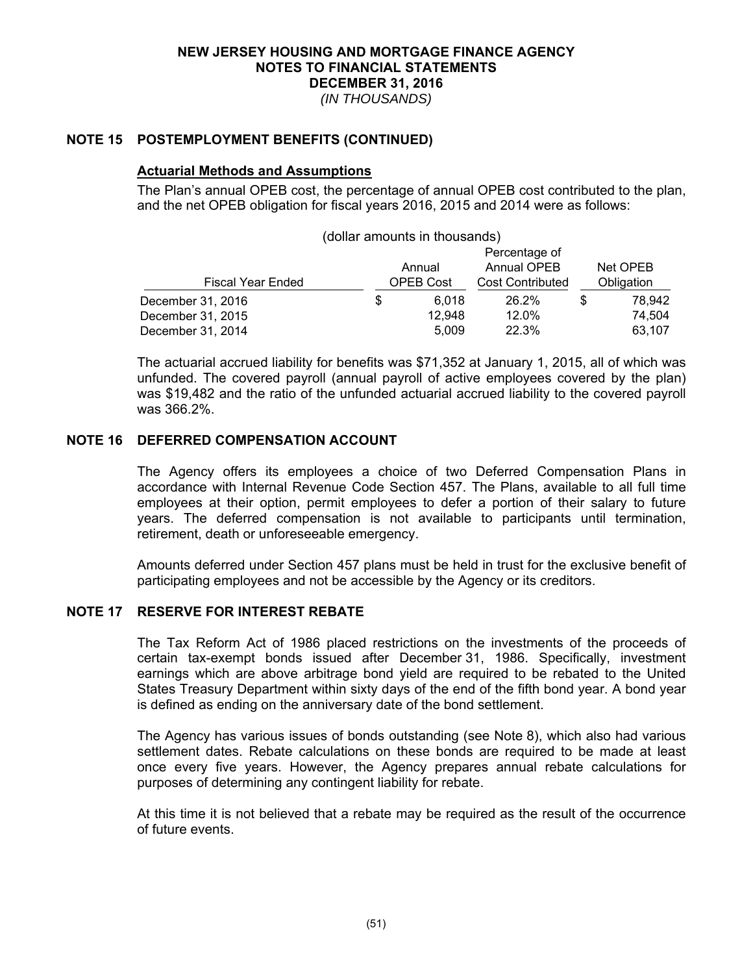### *(IN THOUSANDS)*

### **NOTE 15 POSTEMPLOYMENT BENEFITS (CONTINUED)**

### **Actuarial Methods and Assumptions**

The Plan's annual OPEB cost, the percentage of annual OPEB cost contributed to the plan, and the net OPEB obligation for fiscal years 2016, 2015 and 2014 were as follows:

| (dollar amounts in thousands) |        |                            |   |            |  |  |  |  |  |
|-------------------------------|--------|----------------------------|---|------------|--|--|--|--|--|
|                               |        | Percentage of              |   |            |  |  |  |  |  |
|                               |        | <b>Annual OPEB</b>         |   | Net OPEB   |  |  |  |  |  |
|                               |        | <b>Cost Contributed</b>    |   | Obligation |  |  |  |  |  |
| \$                            | 6.018  | 26.2%                      | S | 78,942     |  |  |  |  |  |
|                               | 12.948 | 12.0%                      |   | 74,504     |  |  |  |  |  |
|                               | 5.009  | 22.3%                      |   | 63,107     |  |  |  |  |  |
|                               |        | Annual<br><b>OPEB Cost</b> |   |            |  |  |  |  |  |

The actuarial accrued liability for benefits was \$71,352 at January 1, 2015, all of which was unfunded. The covered payroll (annual payroll of active employees covered by the plan) was \$19,482 and the ratio of the unfunded actuarial accrued liability to the covered payroll was 366.2%.

### **NOTE 16 DEFERRED COMPENSATION ACCOUNT**

The Agency offers its employees a choice of two Deferred Compensation Plans in accordance with Internal Revenue Code Section 457. The Plans, available to all full time employees at their option, permit employees to defer a portion of their salary to future years. The deferred compensation is not available to participants until termination, retirement, death or unforeseeable emergency.

Amounts deferred under Section 457 plans must be held in trust for the exclusive benefit of participating employees and not be accessible by the Agency or its creditors.

### **NOTE 17 RESERVE FOR INTEREST REBATE**

The Tax Reform Act of 1986 placed restrictions on the investments of the proceeds of certain tax-exempt bonds issued after December 31, 1986. Specifically, investment earnings which are above arbitrage bond yield are required to be rebated to the United States Treasury Department within sixty days of the end of the fifth bond year. A bond year is defined as ending on the anniversary date of the bond settlement.

The Agency has various issues of bonds outstanding (see Note 8), which also had various settlement dates. Rebate calculations on these bonds are required to be made at least once every five years. However, the Agency prepares annual rebate calculations for purposes of determining any contingent liability for rebate.

At this time it is not believed that a rebate may be required as the result of the occurrence of future events.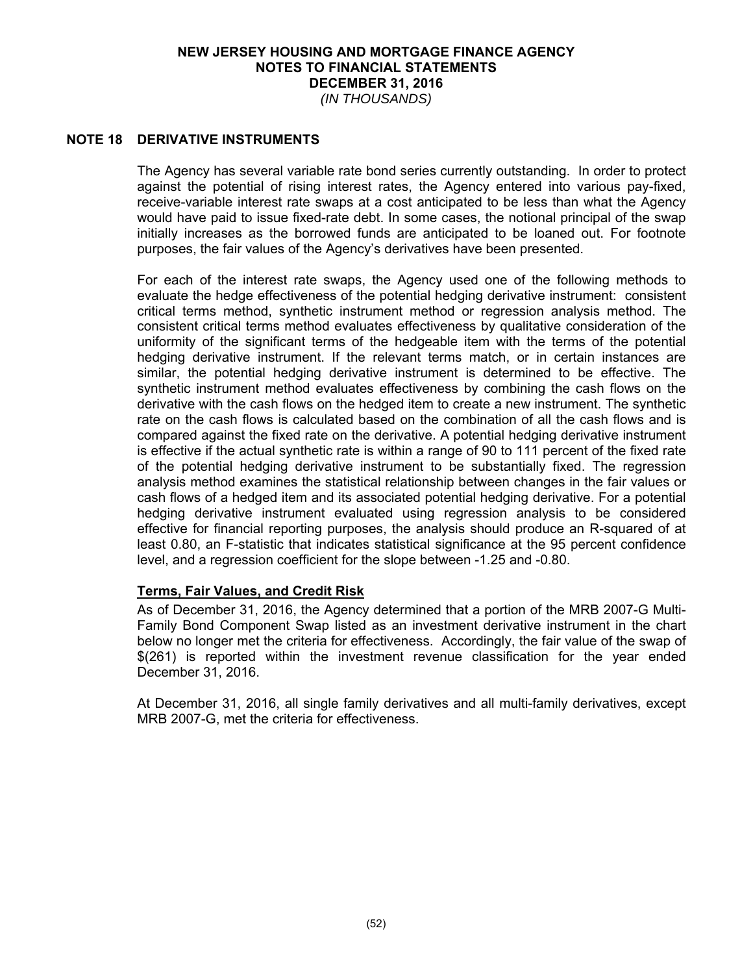### *(IN THOUSANDS)*

### **NOTE 18 DERIVATIVE INSTRUMENTS**

The Agency has several variable rate bond series currently outstanding. In order to protect against the potential of rising interest rates, the Agency entered into various pay-fixed, receive-variable interest rate swaps at a cost anticipated to be less than what the Agency would have paid to issue fixed-rate debt. In some cases, the notional principal of the swap initially increases as the borrowed funds are anticipated to be loaned out. For footnote purposes, the fair values of the Agency's derivatives have been presented.

For each of the interest rate swaps, the Agency used one of the following methods to evaluate the hedge effectiveness of the potential hedging derivative instrument: consistent critical terms method, synthetic instrument method or regression analysis method. The consistent critical terms method evaluates effectiveness by qualitative consideration of the uniformity of the significant terms of the hedgeable item with the terms of the potential hedging derivative instrument. If the relevant terms match, or in certain instances are similar, the potential hedging derivative instrument is determined to be effective. The synthetic instrument method evaluates effectiveness by combining the cash flows on the derivative with the cash flows on the hedged item to create a new instrument. The synthetic rate on the cash flows is calculated based on the combination of all the cash flows and is compared against the fixed rate on the derivative. A potential hedging derivative instrument is effective if the actual synthetic rate is within a range of 90 to 111 percent of the fixed rate of the potential hedging derivative instrument to be substantially fixed. The regression analysis method examines the statistical relationship between changes in the fair values or cash flows of a hedged item and its associated potential hedging derivative. For a potential hedging derivative instrument evaluated using regression analysis to be considered effective for financial reporting purposes, the analysis should produce an R-squared of at least 0.80, an F-statistic that indicates statistical significance at the 95 percent confidence level, and a regression coefficient for the slope between -1.25 and -0.80.

### **Terms, Fair Values, and Credit Risk**

As of December 31, 2016, the Agency determined that a portion of the MRB 2007-G Multi-Family Bond Component Swap listed as an investment derivative instrument in the chart below no longer met the criteria for effectiveness. Accordingly, the fair value of the swap of \$(261) is reported within the investment revenue classification for the year ended December 31, 2016.

At December 31, 2016, all single family derivatives and all multi-family derivatives, except MRB 2007-G, met the criteria for effectiveness.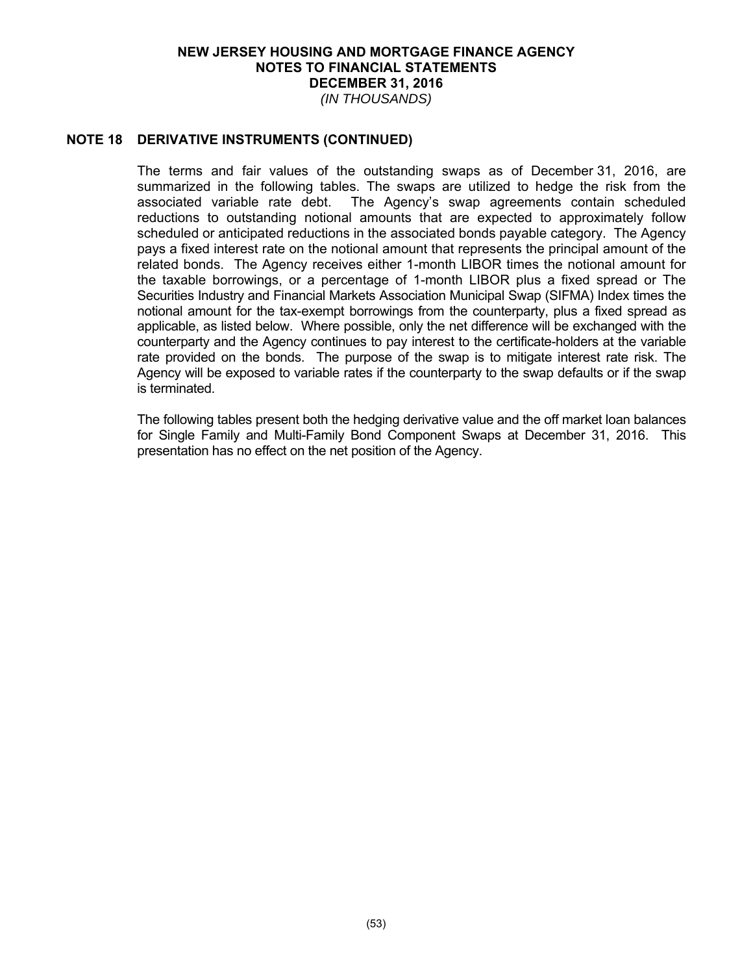*(IN THOUSANDS)*

### **NOTE 18 DERIVATIVE INSTRUMENTS (CONTINUED)**

The terms and fair values of the outstanding swaps as of December 31, 2016, are summarized in the following tables. The swaps are utilized to hedge the risk from the associated variable rate debt. The Agency's swap agreements contain scheduled reductions to outstanding notional amounts that are expected to approximately follow scheduled or anticipated reductions in the associated bonds payable category. The Agency pays a fixed interest rate on the notional amount that represents the principal amount of the related bonds. The Agency receives either 1-month LIBOR times the notional amount for the taxable borrowings, or a percentage of 1-month LIBOR plus a fixed spread or The Securities Industry and Financial Markets Association Municipal Swap (SIFMA) Index times the notional amount for the tax-exempt borrowings from the counterparty, plus a fixed spread as applicable, as listed below. Where possible, only the net difference will be exchanged with the counterparty and the Agency continues to pay interest to the certificate-holders at the variable rate provided on the bonds. The purpose of the swap is to mitigate interest rate risk. The Agency will be exposed to variable rates if the counterparty to the swap defaults or if the swap is terminated.

The following tables present both the hedging derivative value and the off market loan balances for Single Family and Multi-Family Bond Component Swaps at December 31, 2016. This presentation has no effect on the net position of the Agency.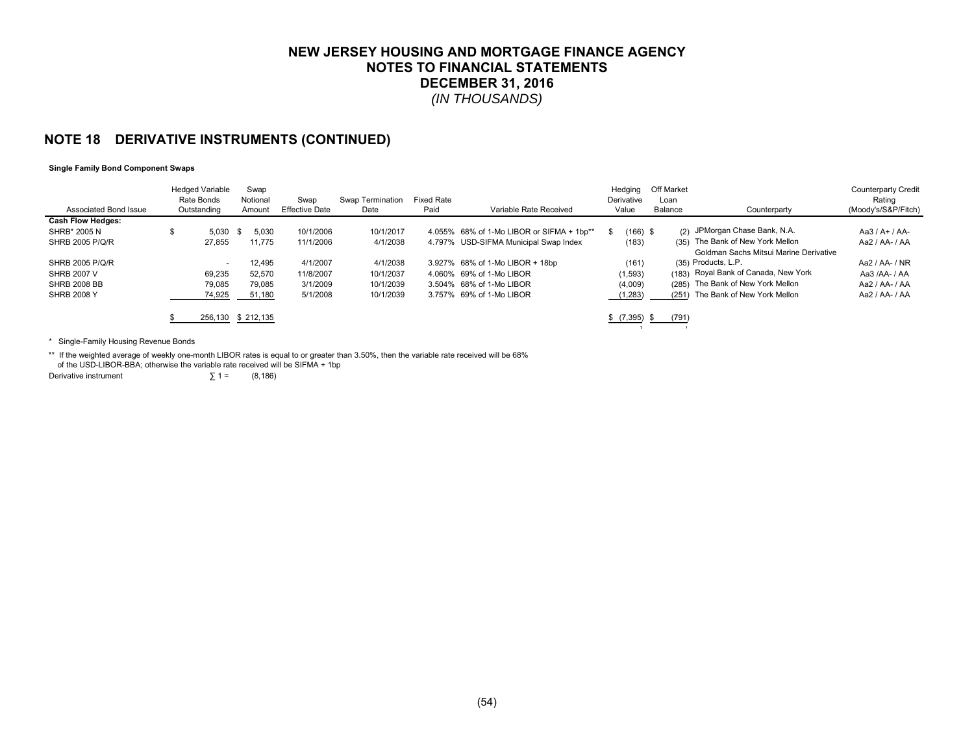### **NEW JERSEY HOUSING AND MORTGAGE FINANCE AGENCY NOTES TO FINANCIAL STATEMENTS DECEMBER 31, 2016**  *(IN THOUSANDS)*

### **NOTE 18 DERIVATIVE INSTRUMENTS (CONTINUED)**

#### **Single Family Bond Component Swaps**

| Associated Bond Issue    | <b>Hedged Variable</b><br>Rate Bonds<br>Outstanding | Swap<br>Notional<br>Amount | Swap<br><b>Effective Date</b> | Swap Termination<br>Date | <b>Fixed Rate</b><br>Paid | Variable Rate Received                    | Hedging<br>Derivative<br>Value | Off Market<br>Loan<br>Balance | Counterparty                           | <b>Counterparty Credit</b><br>Rating<br>(Moody's/S&P/Fitch) |
|--------------------------|-----------------------------------------------------|----------------------------|-------------------------------|--------------------------|---------------------------|-------------------------------------------|--------------------------------|-------------------------------|----------------------------------------|-------------------------------------------------------------|
| <b>Cash Flow Hedges:</b> |                                                     |                            |                               |                          |                           |                                           |                                |                               |                                        |                                                             |
| SHRB* 2005 N             | 5.030                                               | 5.030                      | 10/1/2006                     | 10/1/2017                |                           | 4.055% 68% of 1-Mo LIBOR or SIFMA + 1bp** | $(166)$ \$                     |                               | (2) JPMorgan Chase Bank, N.A.          | Aa3 / $A+$ / $AA-$                                          |
| SHRB 2005 P/Q/R          | 27,855                                              | 11,775                     | 11/1/2006                     | 4/1/2038                 |                           | 4.797% USD-SIFMA Municipal Swap Index     | (183)                          |                               | (35) The Bank of New York Mellon       | Aa2 / AA- / AA                                              |
|                          |                                                     |                            |                               |                          |                           |                                           |                                |                               | Goldman Sachs Mitsui Marine Derivative |                                                             |
| SHRB 2005 P/O/R          |                                                     | 12,495                     | 4/1/2007                      | 4/1/2038                 |                           | 3.927% 68% of 1-Mo LIBOR + 18bp           | (161)                          |                               | (35) Products, L.P.                    | Aa2 / AA- / NR                                              |
| <b>SHRB 2007 V</b>       | 69.235                                              | 52.570                     | 11/8/2007                     | 10/1/2037                |                           | 4.060% 69% of 1-Mo LIBOR                  | (1,593)                        |                               | (183) Royal Bank of Canada, New York   | Aa3 /AA- / AA                                               |
| <b>SHRB 2008 BB</b>      | 79.085                                              | 79.085                     | 3/1/2009                      | 10/1/2039                |                           | 3.504% 68% of 1-Mo LIBOR                  | (4,009)                        |                               | (285) The Bank of New York Mellon      | Aa2 / AA- / AA                                              |
| <b>SHRB 2008 Y</b>       | 74,925                                              | 51,180                     | 5/1/2008                      | 10/1/2039                |                           | 3.757% 69% of 1-Mo LIBOR                  | (1,283)                        | (251)                         | The Bank of New York Mellon            | Aa2 / AA- / AA                                              |
|                          |                                                     | 256.130 \$ 212.135         |                               |                          |                           |                                           | \$ (7,395)                     | (791                          |                                        |                                                             |

1 1

\* Single-Family Housing Revenue Bonds

\*\* If the weighted average of weekly one-month LIBOR rates is equal to or greater than 3.50%, then the variable rate received will be 68% of the USD-LIBOR-BBA; otherwise the variable rate received will be SIFMA + 1bp

Derivative instrument  $\sum 1 =$  (8,186)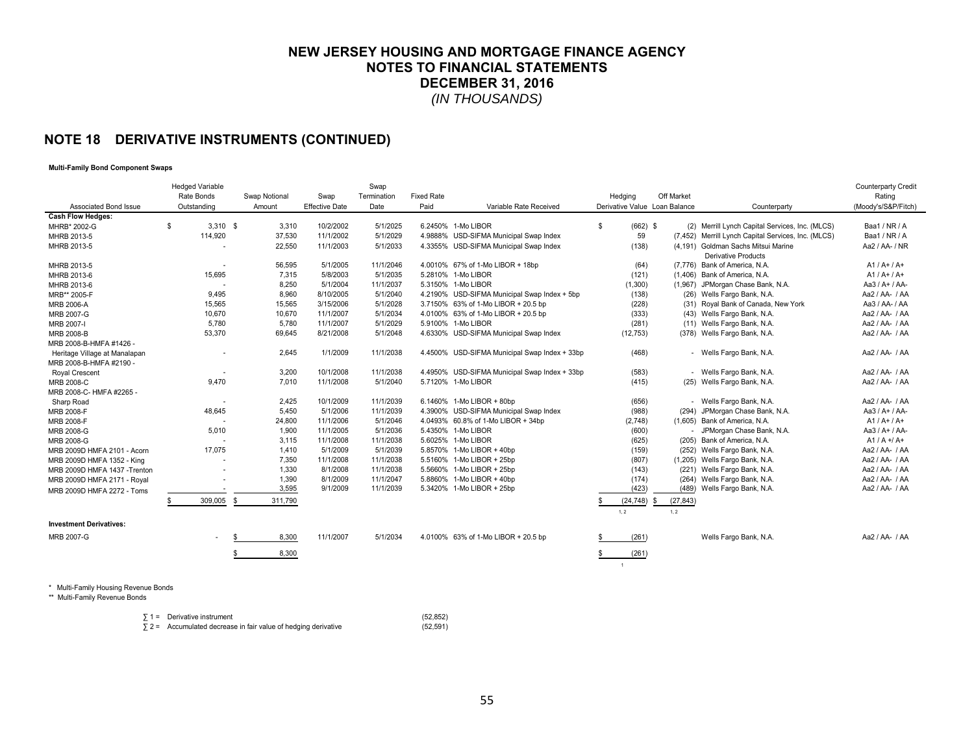#### **NEW JERSEY HOUSING AND MORTGAGE FINANCE AGENCY NOTES TO FINANCIAL STATEMENTS DECEMBER 31, 2016**  *(IN THOUSANDS)*

### **NOTE 18 DERIVATIVE INSTRUMENTS (CONTINUED)**

#### **Multi-Family Bond Component Swaps**

|                                |   | <b>Hedged Variable</b> |               |                       | Swap        |                   |                                               |                               |            |                                                     | <b>Counterparty Credit</b> |
|--------------------------------|---|------------------------|---------------|-----------------------|-------------|-------------------|-----------------------------------------------|-------------------------------|------------|-----------------------------------------------------|----------------------------|
|                                |   | Rate Bonds             | Swap Notional | Swap                  | Termination | <b>Fixed Rate</b> |                                               | Hedging                       | Off Market |                                                     | Rating                     |
| Associated Bond Issue          |   | Outstanding            | Amount        | <b>Effective Date</b> | Date        | Paid              | Variable Rate Received                        | Derivative Value Loan Balance |            | Counterparty                                        | (Moody's/S&P/Fitch)        |
| <b>Cash Flow Hedges:</b>       |   |                        |               |                       |             |                   |                                               |                               |            |                                                     |                            |
| MHRB* 2002-G                   | S | $3,310$ \$             | 3,310         | 10/2/2002             | 5/1/2025    |                   | 6.2450% 1-Mo LIBOR                            | \$<br>$(662)$ \$              |            | (2) Merrill Lynch Capital Services, Inc. (MLCS)     | Baa1 / NR / A              |
| MHRB 2013-5                    |   | 114,920                | 37,530        | 11/1/2002             | 5/1/2029    |                   | 4.9888% USD-SIFMA Municipal Swap Index        | 59                            |            | (7,452) Merrill Lynch Capital Services, Inc. (MLCS) | Baa1 / NR / A              |
| MHRB 2013-5                    |   |                        | 22,550        | 11/1/2003             | 5/1/2033    |                   | 4.3355% USD-SIFMA Municipal Swap Index        | (138)                         |            | (4.191) Goldman Sachs Mitsui Marine                 | Aa2 / AA- / NR             |
|                                |   |                        |               |                       |             |                   |                                               |                               |            | <b>Derivative Products</b>                          |                            |
| MHRB 2013-5                    |   |                        | 56,595        | 5/1/2005              | 11/1/2046   |                   | 4.0010% 67% of 1-Mo LIBOR + 18bp              | (64)                          |            | (7,776) Bank of America, N.A.                       | $A1/A+/A+$                 |
| MHRB 2013-6                    |   | 15,695                 | 7,315         | 5/8/2003              | 5/1/2035    |                   | 5.2810% 1-Mo LIBOR                            | (121)                         | (1,406)    | Bank of America, N.A.                               | $A1/A+/A+$                 |
| MHRB 2013-6                    |   | ٠                      | 8,250         | 5/1/2004              | 11/1/2037   |                   | 5.3150% 1-Mo LIBOR                            | (1,300)                       |            | (1,967) JPMorgan Chase Bank, N.A.                   | Aa3 / A+ / AA-             |
| MRB** 2005-F                   |   | 9,495                  | 8,960         | 8/10/2005             | 5/1/2040    |                   | 4.2190% USD-SIFMA Municipal Swap Index + 5bp  | (138)                         |            | (26) Wells Fargo Bank, N.A.                         | Aa2 / AA- / AA             |
| MRB 2006-A                     |   | 15,565                 | 15,565        | 3/15/2006             | 5/1/2028    |                   | 3.7150% 63% of 1-Mo LIBOR + 20.5 bp           | (228)                         |            | (31) Royal Bank of Canada, New York                 | Aa3 / AA- / AA             |
| MRB 2007-G                     |   | 10,670                 | 10,670        | 11/1/2007             | 5/1/2034    |                   | 4.0100% 63% of 1-Mo LIBOR + 20.5 bp           | (333)                         |            | (43) Wells Fargo Bank, N.A.                         | Aa2 / AA- / AA             |
| MRB 2007-I                     |   | 5,780                  | 5,780         | 11/1/2007             | 5/1/2029    |                   | 5.9100% 1-Mo LIBOR                            | (281)                         |            | (11) Wells Fargo Bank, N.A.                         | Aa2 / AA- / AA             |
| MRB 2008-B                     |   | 53,370                 | 69,645        | 8/21/2008             | 5/1/2048    |                   | 4.6330% USD-SIFMA Municipal Swap Index        | (12,753)                      |            | (378) Wells Fargo Bank, N.A.                        | Aa2 / AA- / AA             |
| MRB 2008-B-HMFA #1426 -        |   |                        |               |                       |             |                   |                                               |                               |            |                                                     |                            |
| Heritage Village at Manalapan  |   |                        | 2,645         | 1/1/2009              | 11/1/2038   |                   | 4.4500% USD-SIFMA Municipal Swap Index + 33bp | (468)                         |            | - Wells Fargo Bank, N.A.                            | Aa2 / AA- / AA             |
| MRB 2008-B-HMFA #2190 -        |   |                        |               |                       |             |                   |                                               |                               |            |                                                     |                            |
| Royal Crescent                 |   |                        | 3,200         | 10/1/2008             | 11/1/2038   |                   | 4.4950% USD-SIFMA Municipal Swap Index + 33bp | (583)                         |            | - Wells Fargo Bank, N.A.                            | Aa2 / AA- / AA             |
| MRB 2008-C                     |   | 9,470                  | 7,010         | 11/1/2008             | 5/1/2040    |                   | 5.7120% 1-Mo LIBOR                            | (415)                         |            | (25) Wells Fargo Bank, N.A.                         | Aa2 / AA- / AA             |
| MRB 2008-C- HMFA #2265 -       |   |                        |               |                       |             |                   |                                               |                               |            |                                                     |                            |
| Sharp Road                     |   | ٠                      | 2,425         | 10/1/2009             | 11/1/2039   |                   | 6.1460% 1-Mo LIBOR + 80bp                     | (656)                         |            | - Wells Fargo Bank, N.A.                            | Aa2 / AA- / AA             |
| MRB 2008-F                     |   | 48,645                 | 5,450         | 5/1/2006              | 11/1/2039   |                   | 4.3900% USD-SIFMA Municipal Swap Index        | (988)                         |            | (294) JPMorgan Chase Bank, N.A.                     | Aa3 / A+ / AA-             |
| MRB 2008-F                     |   |                        | 24,800        | 11/1/2006             | 5/1/2046    |                   | 4.0493% 60.8% of 1-Mo LIBOR + 34bp            | (2,748)                       |            | (1,605) Bank of America, N.A.                       | $A1/A+/A+$                 |
| MRB 2008-G                     |   | 5,010                  | 1,900         | 11/1/2005             | 5/1/2036    |                   | 5.4350% 1-Mo LIBOR                            | (600)                         |            | JPMorgan Chase Bank, N.A.                           | Aa3 / A+ / AA-             |
| MRB 2008-G                     |   |                        | 3,115         | 11/1/2008             | 11/1/2038   |                   | 5.6025% 1-Mo LIBOR                            | (625)                         | (205)      | Bank of America, N.A.                               | $A1 / A + / A+$            |
| MRB 2009D HMFA 2101 - Acorn    |   | 17,075                 | 1,410         | 5/1/2009              | 5/1/2039    |                   | 5.8570% 1-Mo LIBOR + 40bp                     | (159)                         |            | (252) Wells Fargo Bank, N.A.                        | Aa2 / AA- / AA             |
| MRB 2009D HMFA 1352 - King     |   |                        | 7,350         | 11/1/2008             | 11/1/2038   |                   | 5.5160% 1-Mo LIBOR + 25bp                     | (807)                         |            | (1,205) Wells Fargo Bank, N.A.                      | Aa2 / AA- / AA             |
| MRB 2009D HMFA 1437 -Trenton   |   |                        | 1,330         | 8/1/2008              | 11/1/2038   |                   | 5.5660% 1-Mo LIBOR + 25bp                     | (143)                         |            | (221) Wells Fargo Bank, N.A.                        | Aa2 / AA- / AA             |
| MRB 2009D HMFA 2171 - Royal    |   |                        | 1,390         | 8/1/2009              | 11/1/2047   |                   | 5.8860% 1-Mo LIBOR + 40bp                     | (174)                         | (264)      | Wells Fargo Bank, N.A.                              | Aa2 / AA- / AA             |
| MRB 2009D HMFA 2272 - Toms     |   |                        | 3,595         | 9/1/2009              | 11/1/2039   |                   | 5.3420% 1-Mo LIBOR + 25bp                     | (423)                         | (489)      | Wells Fargo Bank, N.A.                              | Aa2 / AA- / AA             |
|                                | S | 309,005<br>- S         | 311,790       |                       |             |                   |                                               | (24, 748)<br>-S               | (27, 843)  |                                                     |                            |
|                                |   |                        |               |                       |             |                   |                                               | 1, 2                          | 1, 2       |                                                     |                            |
| <b>Investment Derivatives:</b> |   |                        |               |                       |             |                   |                                               |                               |            |                                                     |                            |
| MRB 2007-G                     |   |                        | 8,300         | 11/1/2007             | 5/1/2034    |                   | 4.0100% 63% of 1-Mo LIBOR + 20.5 bp           | (261)                         |            | Wells Fargo Bank, N.A.                              | Aa2 / AA- / AA             |
|                                |   |                        | 8,300         |                       |             |                   |                                               | (261)                         |            |                                                     |                            |
|                                |   |                        |               |                       |             |                   |                                               | $\overline{1}$                |            |                                                     |                            |

\* Multi-Family Housing Revenue Bonds

\*\* Multi-Family Revenue Bonds

| $\sum 1$ = Derivative instrument                                    | (52, 852) |
|---------------------------------------------------------------------|-----------|
| $\sum 2$ = Accumulated decrease in fair value of hedging derivative | (52, 591) |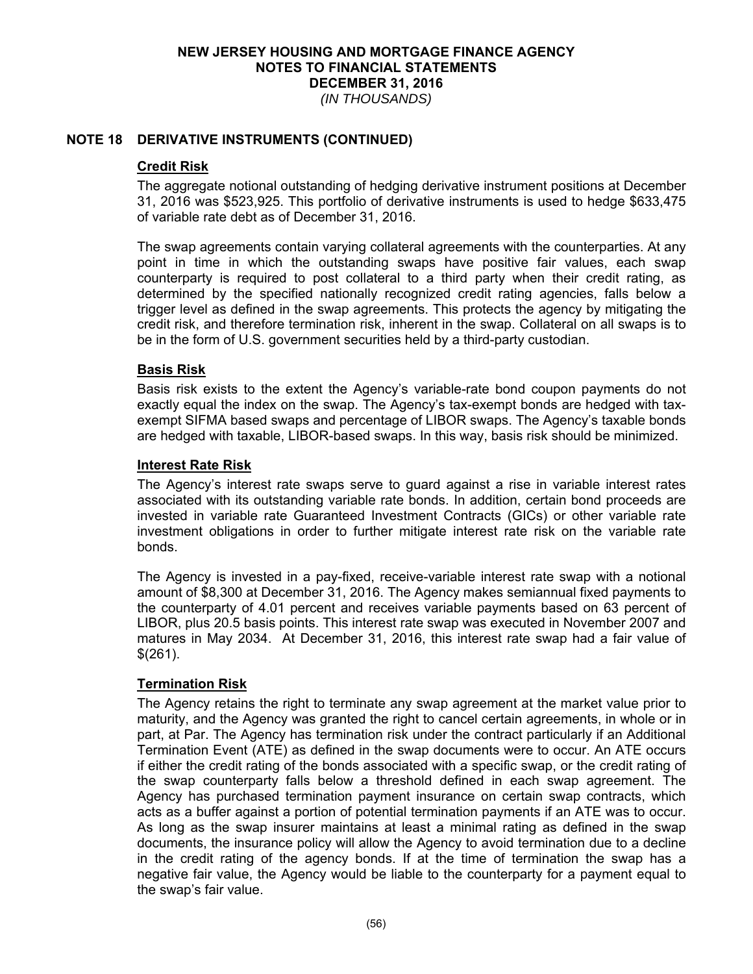### *(IN THOUSANDS)*

### **NOTE 18 DERIVATIVE INSTRUMENTS (CONTINUED)**

### **Credit Risk**

The aggregate notional outstanding of hedging derivative instrument positions at December 31, 2016 was \$523,925. This portfolio of derivative instruments is used to hedge \$633,475 of variable rate debt as of December 31, 2016.

The swap agreements contain varying collateral agreements with the counterparties. At any point in time in which the outstanding swaps have positive fair values, each swap counterparty is required to post collateral to a third party when their credit rating, as determined by the specified nationally recognized credit rating agencies, falls below a trigger level as defined in the swap agreements. This protects the agency by mitigating the credit risk, and therefore termination risk, inherent in the swap. Collateral on all swaps is to be in the form of U.S. government securities held by a third-party custodian.

### **Basis Risk**

Basis risk exists to the extent the Agency's variable-rate bond coupon payments do not exactly equal the index on the swap. The Agency's tax-exempt bonds are hedged with taxexempt SIFMA based swaps and percentage of LIBOR swaps. The Agency's taxable bonds are hedged with taxable, LIBOR-based swaps. In this way, basis risk should be minimized.

### **Interest Rate Risk**

The Agency's interest rate swaps serve to guard against a rise in variable interest rates associated with its outstanding variable rate bonds. In addition, certain bond proceeds are invested in variable rate Guaranteed Investment Contracts (GICs) or other variable rate investment obligations in order to further mitigate interest rate risk on the variable rate bonds.

The Agency is invested in a pay-fixed, receive-variable interest rate swap with a notional amount of \$8,300 at December 31, 2016. The Agency makes semiannual fixed payments to the counterparty of 4.01 percent and receives variable payments based on 63 percent of LIBOR, plus 20.5 basis points. This interest rate swap was executed in November 2007 and matures in May 2034. At December 31, 2016, this interest rate swap had a fair value of \$(261).

### **Termination Risk**

The Agency retains the right to terminate any swap agreement at the market value prior to maturity, and the Agency was granted the right to cancel certain agreements, in whole or in part, at Par. The Agency has termination risk under the contract particularly if an Additional Termination Event (ATE) as defined in the swap documents were to occur. An ATE occurs if either the credit rating of the bonds associated with a specific swap, or the credit rating of the swap counterparty falls below a threshold defined in each swap agreement. The Agency has purchased termination payment insurance on certain swap contracts, which acts as a buffer against a portion of potential termination payments if an ATE was to occur. As long as the swap insurer maintains at least a minimal rating as defined in the swap documents, the insurance policy will allow the Agency to avoid termination due to a decline in the credit rating of the agency bonds. If at the time of termination the swap has a negative fair value, the Agency would be liable to the counterparty for a payment equal to the swap's fair value.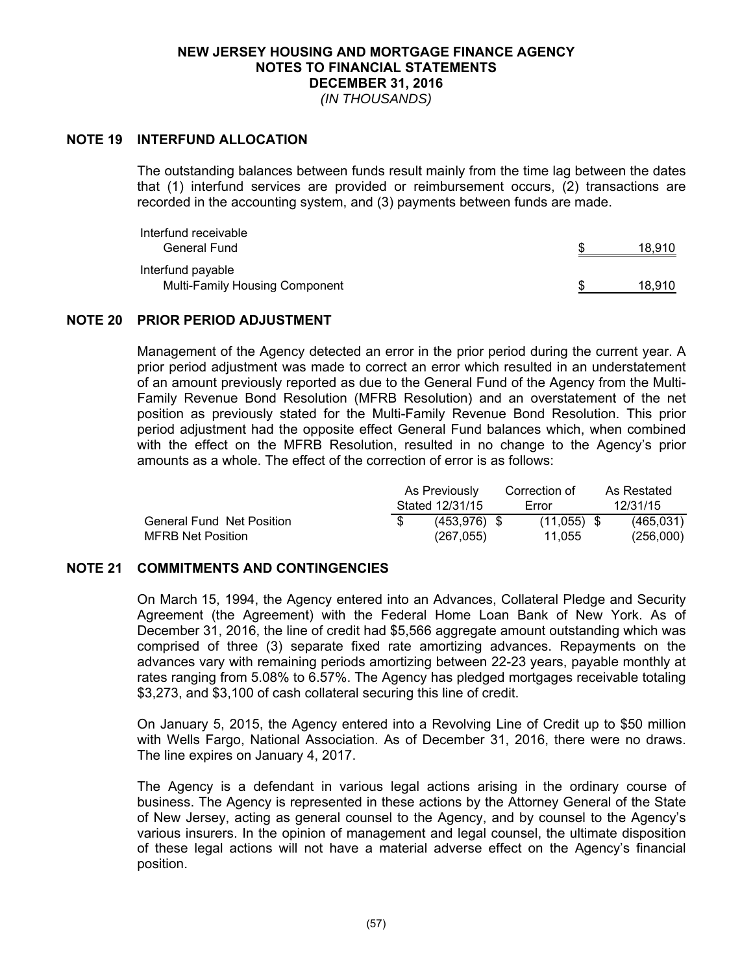#### **NEW JERSEY HOUSING AND MORTGAGE FINANCE AGENCY NOTES TO FINANCIAL STATEMENTS DECEMBER 31, 2016**  *(IN THOUSANDS)*

### **NOTE 19 INTERFUND ALLOCATION**

The outstanding balances between funds result mainly from the time lag between the dates that (1) interfund services are provided or reimbursement occurs, (2) transactions are recorded in the accounting system, and (3) payments between funds are made.

| Interfund receivable           |        |
|--------------------------------|--------|
| General Fund                   | 18.910 |
| Interfund payable              |        |
| Multi-Family Housing Component | 18.910 |

#### **NOTE 20 PRIOR PERIOD ADJUSTMENT**

Management of the Agency detected an error in the prior period during the current year. A prior period adjustment was made to correct an error which resulted in an understatement of an amount previously reported as due to the General Fund of the Agency from the Multi-Family Revenue Bond Resolution (MFRB Resolution) and an overstatement of the net position as previously stated for the Multi-Family Revenue Bond Resolution. This prior period adjustment had the opposite effect General Fund balances which, when combined with the effect on the MFRB Resolution, resulted in no change to the Agency's prior amounts as a whole. The effect of the correction of error is as follows:

|                           | As Previously   | Correction of | As Restated |
|---------------------------|-----------------|---------------|-------------|
|                           | Stated 12/31/15 | Error         | 12/31/15    |
| General Fund Net Position | $(453.976)$ \$  | $(11,055)$ \$ | (465, 031)  |
| <b>MFRB Net Position</b>  | (267.055)       | 11.055        | (256,000)   |

### **NOTE 21 COMMITMENTS AND CONTINGENCIES**

On March 15, 1994, the Agency entered into an Advances, Collateral Pledge and Security Agreement (the Agreement) with the Federal Home Loan Bank of New York. As of December 31, 2016, the line of credit had \$5,566 aggregate amount outstanding which was comprised of three (3) separate fixed rate amortizing advances. Repayments on the advances vary with remaining periods amortizing between 22-23 years, payable monthly at rates ranging from 5.08% to 6.57%. The Agency has pledged mortgages receivable totaling \$3,273, and \$3,100 of cash collateral securing this line of credit.

On January 5, 2015, the Agency entered into a Revolving Line of Credit up to \$50 million with Wells Fargo, National Association. As of December 31, 2016, there were no draws. The line expires on January 4, 2017.

The Agency is a defendant in various legal actions arising in the ordinary course of business. The Agency is represented in these actions by the Attorney General of the State of New Jersey, acting as general counsel to the Agency, and by counsel to the Agency's various insurers. In the opinion of management and legal counsel, the ultimate disposition of these legal actions will not have a material adverse effect on the Agency's financial position.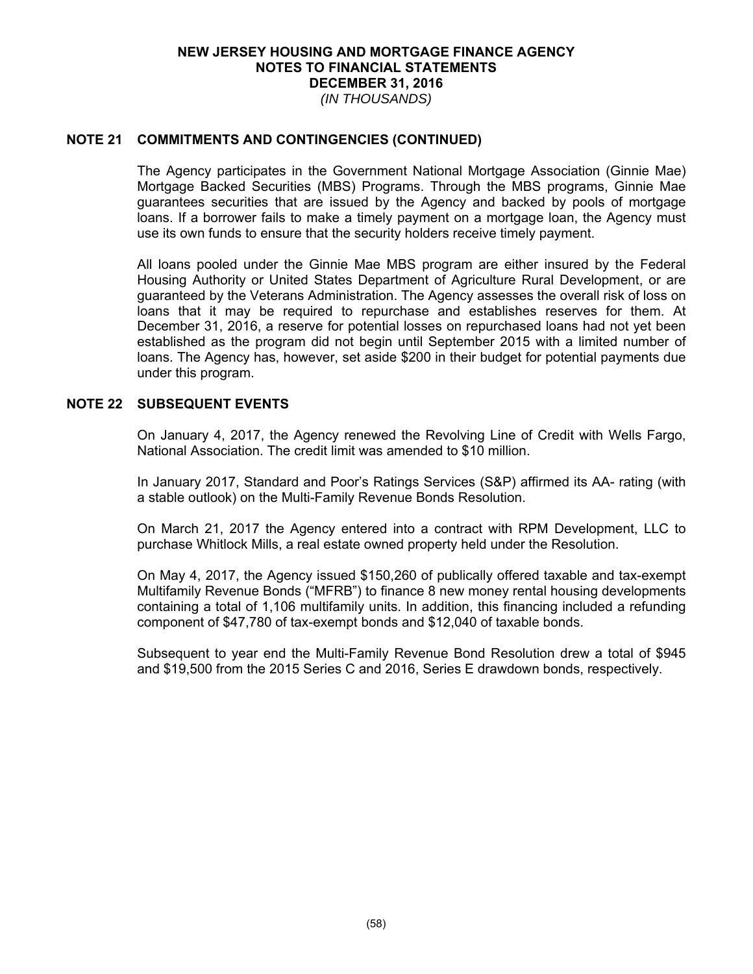### *(IN THOUSANDS)*

### **NOTE 21 COMMITMENTS AND CONTINGENCIES (CONTINUED)**

The Agency participates in the Government National Mortgage Association (Ginnie Mae) Mortgage Backed Securities (MBS) Programs. Through the MBS programs, Ginnie Mae guarantees securities that are issued by the Agency and backed by pools of mortgage loans. If a borrower fails to make a timely payment on a mortgage loan, the Agency must use its own funds to ensure that the security holders receive timely payment.

All loans pooled under the Ginnie Mae MBS program are either insured by the Federal Housing Authority or United States Department of Agriculture Rural Development, or are guaranteed by the Veterans Administration. The Agency assesses the overall risk of loss on loans that it may be required to repurchase and establishes reserves for them. At December 31, 2016, a reserve for potential losses on repurchased loans had not yet been established as the program did not begin until September 2015 with a limited number of loans. The Agency has, however, set aside \$200 in their budget for potential payments due under this program.

### **NOTE 22 SUBSEQUENT EVENTS**

On January 4, 2017, the Agency renewed the Revolving Line of Credit with Wells Fargo, National Association. The credit limit was amended to \$10 million.

In January 2017, Standard and Poor's Ratings Services (S&P) affirmed its AA- rating (with a stable outlook) on the Multi-Family Revenue Bonds Resolution.

On March 21, 2017 the Agency entered into a contract with RPM Development, LLC to purchase Whitlock Mills, a real estate owned property held under the Resolution.

On May 4, 2017, the Agency issued \$150,260 of publically offered taxable and tax-exempt Multifamily Revenue Bonds ("MFRB") to finance 8 new money rental housing developments containing a total of 1,106 multifamily units. In addition, this financing included a refunding component of \$47,780 of tax-exempt bonds and \$12,040 of taxable bonds.

Subsequent to year end the Multi-Family Revenue Bond Resolution drew a total of \$945 and \$19,500 from the 2015 Series C and 2016, Series E drawdown bonds, respectively.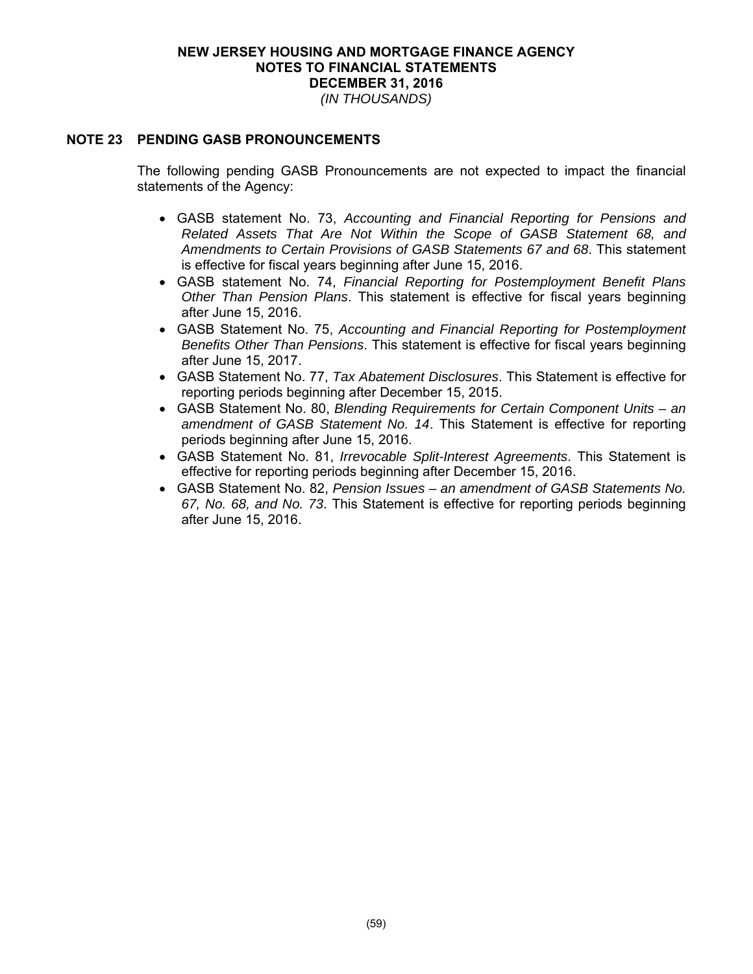### *(IN THOUSANDS)*

### **NOTE 23 PENDING GASB PRONOUNCEMENTS**

The following pending GASB Pronouncements are not expected to impact the financial statements of the Agency:

- GASB statement No. 73, *Accounting and Financial Reporting for Pensions and Related Assets That Are Not Within the Scope of GASB Statement 68, and Amendments to Certain Provisions of GASB Statements 67 and 68*. This statement is effective for fiscal years beginning after June 15, 2016.
- GASB statement No. 74, *Financial Reporting for Postemployment Benefit Plans Other Than Pension Plans*. This statement is effective for fiscal years beginning after June 15, 2016.
- GASB Statement No. 75, *Accounting and Financial Reporting for Postemployment Benefits Other Than Pensions*. This statement is effective for fiscal years beginning after June 15, 2017.
- GASB Statement No. 77, *Tax Abatement Disclosures*. This Statement is effective for reporting periods beginning after December 15, 2015.
- GASB Statement No. 80, *Blending Requirements for Certain Component Units an amendment of GASB Statement No. 14*. This Statement is effective for reporting periods beginning after June 15, 2016.
- GASB Statement No. 81, *Irrevocable Split-Interest Agreements*. This Statement is effective for reporting periods beginning after December 15, 2016.
- GASB Statement No. 82, *Pension Issues an amendment of GASB Statements No. 67, No. 68, and No. 73*. This Statement is effective for reporting periods beginning after June 15, 2016.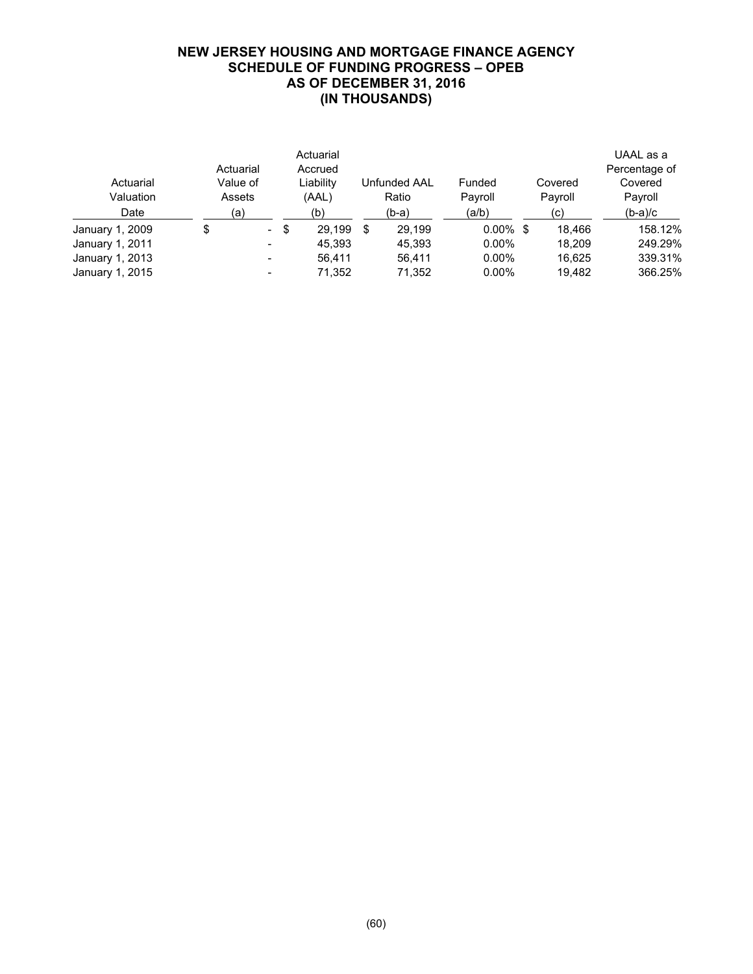### **NEW JERSEY HOUSING AND MORTGAGE FINANCE AGENCY SCHEDULE OF FUNDING PROGRESS – OPEB AS OF DECEMBER 31, 2016 (IN THOUSANDS)**

| Actuarial<br>Valuation<br>Date | Actuarial<br>Value of<br>Assets<br>(a) | Actuarial<br>Accrued<br>Liability<br>Unfunded AAL<br>(AAL)<br>Ratio<br>(b)<br>(b-a) |        |    | Funded<br>Payroll<br>(a/b) | Covered<br>Payroll<br>(c) | UAAL as a<br>Percentage of<br>Covered<br>Payroll<br>$(b-a)/c$ |         |  |
|--------------------------------|----------------------------------------|-------------------------------------------------------------------------------------|--------|----|----------------------------|---------------------------|---------------------------------------------------------------|---------|--|
| January 1, 2009                | \$<br>$\sim$                           | \$                                                                                  | 29.199 | \$ | 29.199                     | $0.00\%$ \$               | 18.466                                                        | 158.12% |  |
| January 1, 2011                | ۰                                      |                                                                                     | 45.393 |    | 45.393                     | $0.00\%$                  | 18.209                                                        | 249.29% |  |
| January 1, 2013                | -                                      |                                                                                     | 56.411 |    | 56.411                     | $0.00\%$                  | 16.625                                                        | 339.31% |  |
| January 1, 2015                | ۰                                      |                                                                                     | 71.352 |    | 71,352                     | $0.00\%$                  | 19.482                                                        | 366.25% |  |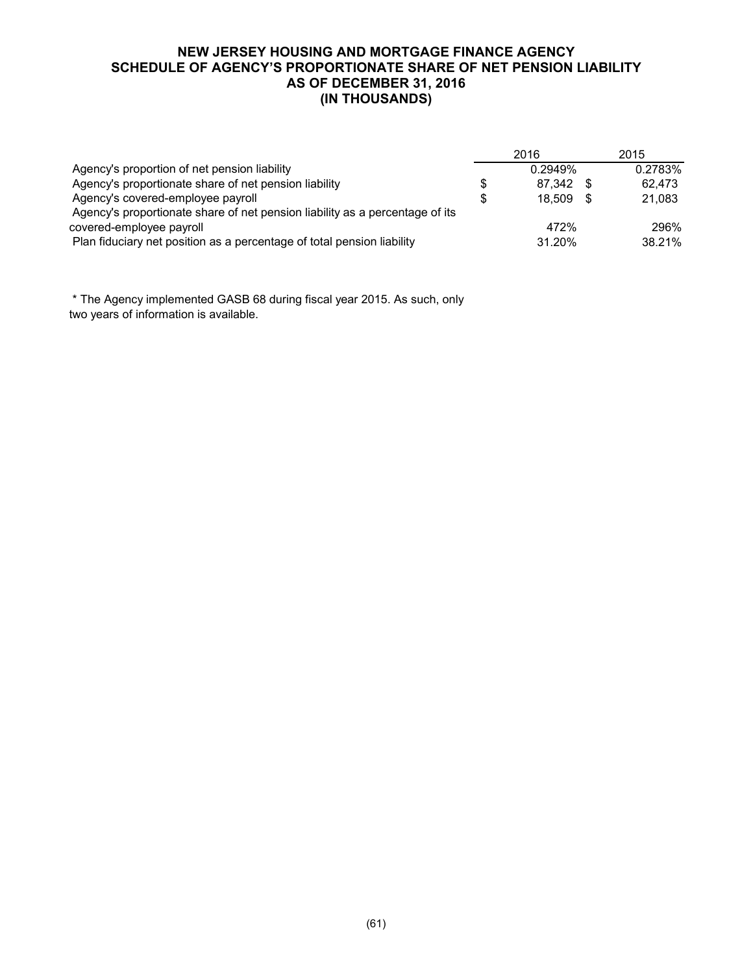### **NEW JERSEY HOUSING AND MORTGAGE FINANCE AGENCY SCHEDULE OF AGENCY'S PROPORTIONATE SHARE OF NET PENSION LIABILITY AS OF DECEMBER 31, 2016 (IN THOUSANDS)**

|                                                                              |    | 2016      | 2015    |
|------------------------------------------------------------------------------|----|-----------|---------|
| Agency's proportion of net pension liability                                 |    | 0.2949%   | 0.2783% |
| Agency's proportionate share of net pension liability                        | S  | 87.342    | 62.473  |
| Agency's covered-employee payroll                                            | \$ | 18.509 \$ | 21.083  |
| Agency's proportionate share of net pension liability as a percentage of its |    |           |         |
| covered-employee payroll                                                     |    | 472%      | 296%    |
| Plan fiduciary net position as a percentage of total pension liability       |    | 31.20%    | 38.21%  |

 \* The Agency implemented GASB 68 during fiscal year 2015. As such, only two years of information is available.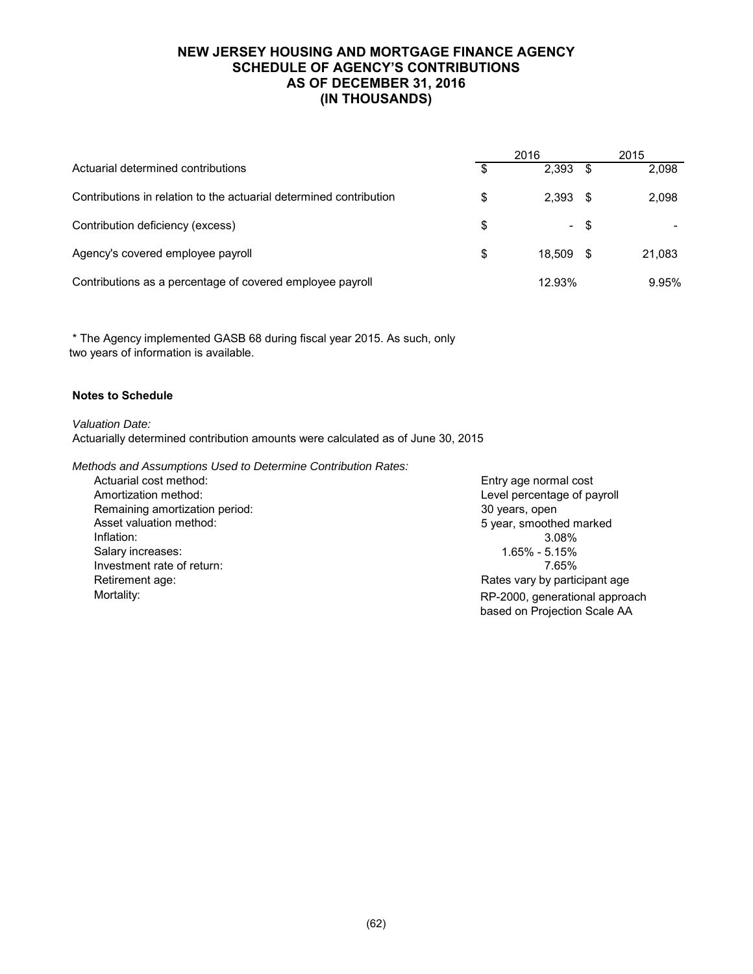### **NEW JERSEY HOUSING AND MORTGAGE FINANCE AGENCY SCHEDULE OF AGENCY'S CONTRIBUTIONS AS OF DECEMBER 31, 2016 (IN THOUSANDS)**

|                                                                    | 2016         |      | 2015   |
|--------------------------------------------------------------------|--------------|------|--------|
| Actuarial determined contributions                                 | \$<br>2.393  | S    | 2,098  |
| Contributions in relation to the actuarial determined contribution | \$<br>2.393  | \$.  | 2,098  |
| Contribution deficiency (excess)                                   | \$           | - \$ |        |
| Agency's covered employee payroll                                  | \$<br>18.509 |      | 21,083 |
| Contributions as a percentage of covered employee payroll          | 12.93%       |      | 9.95%  |

 \* The Agency implemented GASB 68 during fiscal year 2015. As such, only two years of information is available.

#### **Notes to Schedule**

 *Valuation Date:*  Actuarially determined contribution amounts were calculated as of June 30, 2015

 *Methods and Assumptions Used to Determine Contribution Rates:* 

| Entry age normal cost                                          |
|----------------------------------------------------------------|
| Level percentage of payroll                                    |
| 30 years, open                                                 |
| 5 year, smoothed marked                                        |
| 3.08%                                                          |
| $1.65\% - 5.15\%$                                              |
| 7.65%                                                          |
| Rates vary by participant age                                  |
| RP-2000, generational approach<br>based on Projection Scale AA |
|                                                                |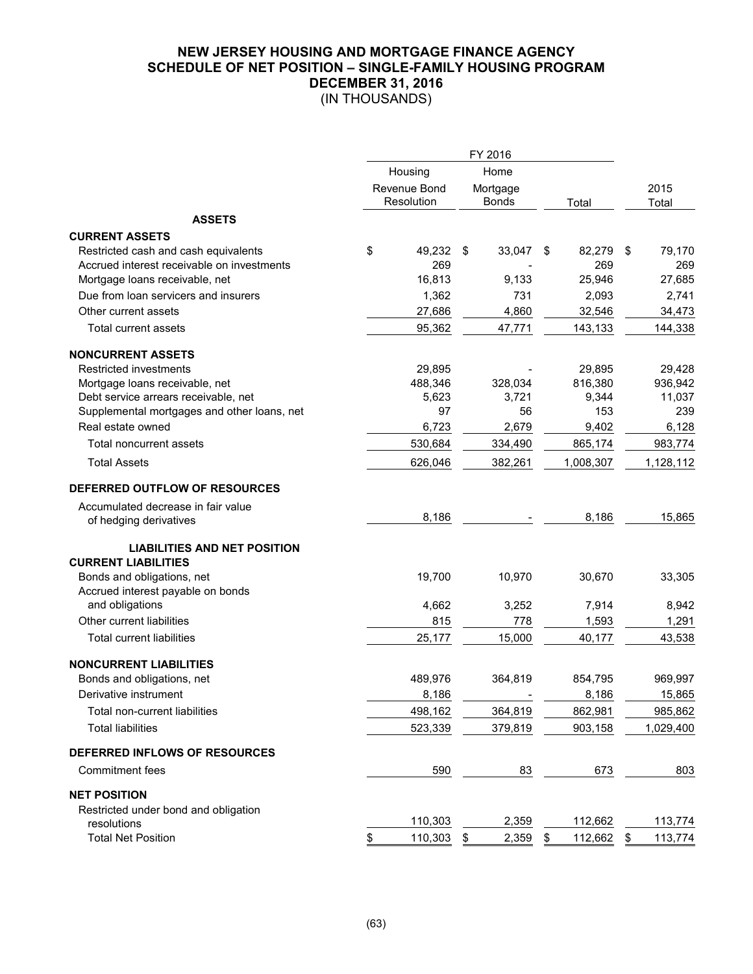## **NEW JERSEY HOUSING AND MORTGAGE FINANCE AGENCY SCHEDULE OF NET POSITION – SINGLE-FAMILY HOUSING PROGRAM DECEMBER 31, 2016**

|                                                                  |               |                            | FY 2016 |                          |       |           |               |
|------------------------------------------------------------------|---------------|----------------------------|---------|--------------------------|-------|-----------|---------------|
|                                                                  |               | Housing                    |         | Home                     |       |           |               |
|                                                                  |               | Revenue Bond<br>Resolution |         | Mortgage<br><b>Bonds</b> | Total |           | 2015<br>Total |
| <b>ASSETS</b>                                                    |               |                            |         |                          |       |           |               |
| <b>CURRENT ASSETS</b>                                            |               |                            |         |                          |       |           |               |
| Restricted cash and cash equivalents                             | \$            | 49,232                     | \$      | 33,047                   | \$    | 82,279    | \$<br>79,170  |
| Accrued interest receivable on investments                       |               | 269                        |         |                          |       | 269       | 269           |
| Mortgage loans receivable, net                                   |               | 16,813                     |         | 9,133                    |       | 25,946    | 27,685        |
| Due from loan servicers and insurers                             |               | 1,362                      |         | 731                      |       | 2,093     | 2,741         |
| Other current assets                                             |               | 27,686                     |         | 4,860                    |       | 32,546    | 34,473        |
| Total current assets                                             |               | 95,362                     |         | 47,771                   |       | 143,133   | 144,338       |
| <b>NONCURRENT ASSETS</b>                                         |               |                            |         |                          |       |           |               |
| <b>Restricted investments</b>                                    |               | 29,895                     |         |                          |       | 29,895    | 29,428        |
| Mortgage loans receivable, net                                   |               | 488,346                    |         | 328,034                  |       | 816,380   | 936,942       |
| Debt service arrears receivable, net                             |               | 5,623                      |         | 3,721                    |       | 9,344     | 11,037        |
| Supplemental mortgages and other loans, net<br>Real estate owned |               | 97                         |         | 56<br>2,679              |       | 153       | 239           |
|                                                                  |               | 6,723                      |         |                          |       | 9,402     | 6,128         |
| <b>Total noncurrent assets</b>                                   |               | 530,684                    |         | 334,490                  |       | 865,174   | 983,774       |
| <b>Total Assets</b>                                              |               | 626,046                    |         | 382,261                  |       | 1,008,307 | 1,128,112     |
| DEFERRED OUTFLOW OF RESOURCES                                    |               |                            |         |                          |       |           |               |
| Accumulated decrease in fair value                               |               |                            |         |                          |       |           |               |
| of hedging derivatives                                           |               | 8,186                      |         |                          |       | 8,186     | 15,865        |
| <b>LIABILITIES AND NET POSITION</b>                              |               |                            |         |                          |       |           |               |
| <b>CURRENT LIABILITIES</b>                                       |               |                            |         |                          |       |           |               |
| Bonds and obligations, net<br>Accrued interest payable on bonds  |               | 19,700                     |         | 10,970                   |       | 30,670    | 33,305        |
| and obligations                                                  |               | 4,662                      |         | 3,252                    |       | 7,914     | 8,942         |
| Other current liabilities                                        |               | 815                        |         | 778                      |       | 1,593     | 1,291         |
| <b>Total current liabilities</b>                                 |               | 25,177                     |         | 15,000                   |       | 40,177    | 43,538        |
|                                                                  |               |                            |         |                          |       |           |               |
| <b>NONCURRENT LIABILITIES</b>                                    |               |                            |         |                          |       |           |               |
| Bonds and obligations, net                                       |               | 489,976                    |         | 364,819                  |       | 854,795   | 969,997       |
| Derivative instrument                                            |               | 8,186                      |         |                          |       | 8,186     | 15,865        |
| Total non-current liabilities                                    |               | 498,162                    |         | 364,819                  |       | 862,981   | 985,862       |
| <b>Total liabilities</b>                                         |               | 523,339                    |         | 379,819                  |       | 903,158   | 1,029,400     |
| DEFERRED INFLOWS OF RESOURCES                                    |               |                            |         |                          |       |           |               |
| Commitment fees                                                  |               | 590                        |         | 83                       |       | 673       | 803           |
| <b>NET POSITION</b>                                              |               |                            |         |                          |       |           |               |
| Restricted under bond and obligation                             |               |                            |         |                          |       |           |               |
| resolutions                                                      |               | 110,303                    |         | 2,359                    |       | 112,662   | 113,774       |
| <b>Total Net Position</b>                                        | $\frac{3}{2}$ | 110,303                    | \$      | 2,359                    | \$    | 112,662   | \$<br>113,774 |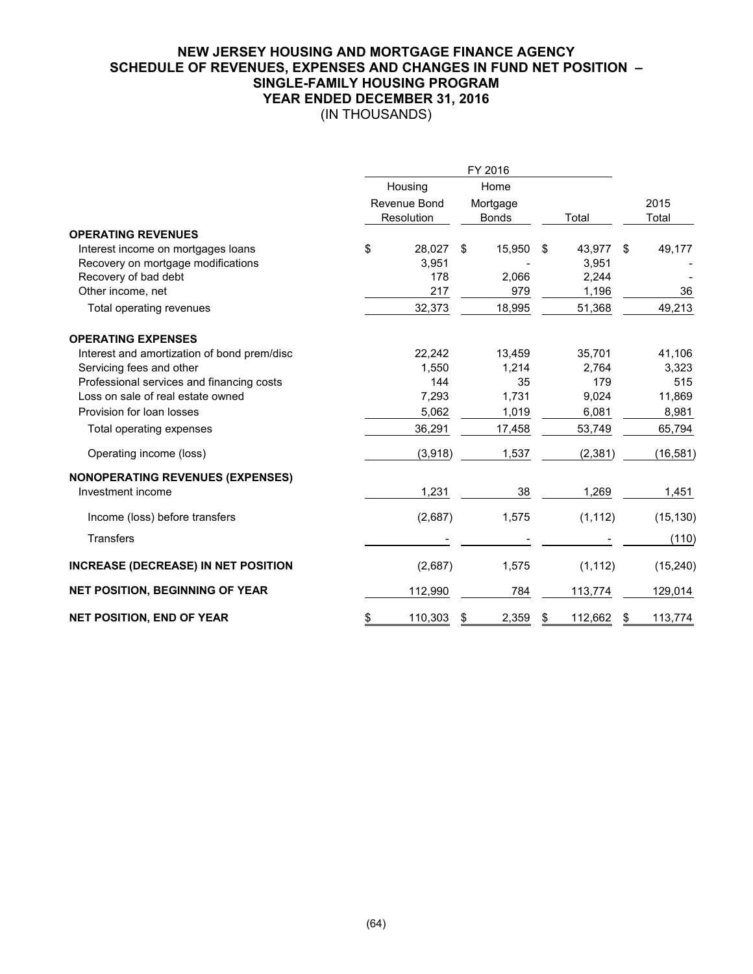### **NEW JERSEY HOUSING AND MORTGAGE FINANCE AGENCY SCHEDULE OF REVENUES, EXPENSES AND CHANGES IN FUND NET POSITION – SINGLE-FAMILY HOUSING PROGRAM YEAR ENDED DECEMBER 31, 2016**

|                                             | FY 2016 |                            |                          |        |    |          |    |               |
|---------------------------------------------|---------|----------------------------|--------------------------|--------|----|----------|----|---------------|
|                                             |         | Housing                    | Home                     |        |    |          |    |               |
|                                             |         | Revenue Bond<br>Resolution | Mortgage<br><b>Bonds</b> |        |    | Total    |    | 2015<br>Total |
| <b>OPERATING REVENUES</b>                   |         |                            |                          |        |    |          |    |               |
| Interest income on mortgages loans          | \$      | 28,027                     | \$                       | 15,950 | \$ | 43,977   | \$ | 49,177        |
| Recovery on mortgage modifications          |         | 3,951                      |                          |        |    | 3,951    |    |               |
| Recovery of bad debt                        |         | 178                        |                          | 2,066  |    | 2,244    |    |               |
| Other income, net                           |         | 217                        |                          | 979    |    | 1,196    |    | 36            |
| Total operating revenues                    |         | 32,373                     |                          | 18,995 |    | 51,368   |    | 49,213        |
| <b>OPERATING EXPENSES</b>                   |         |                            |                          |        |    |          |    |               |
| Interest and amortization of bond prem/disc |         | 22,242                     |                          | 13,459 |    | 35,701   |    | 41,106        |
| Servicing fees and other                    |         | 1,550                      |                          | 1.214  |    | 2,764    |    | 3,323         |
| Professional services and financing costs   |         | 144                        |                          | 35     |    | 179      |    | 515           |
| Loss on sale of real estate owned           |         | 7,293                      |                          | 1,731  |    | 9,024    |    | 11,869        |
| Provision for loan losses                   |         | 5,062                      |                          | 1,019  |    | 6,081    |    | 8,981         |
| Total operating expenses                    |         | 36,291                     |                          | 17,458 |    | 53,749   |    | 65,794        |
| Operating income (loss)                     |         | (3,918)                    |                          | 1,537  |    | (2, 381) |    | (16, 581)     |
| <b>NONOPERATING REVENUES (EXPENSES)</b>     |         |                            |                          |        |    |          |    |               |
| Investment income                           |         | 1,231                      |                          | 38     |    | 1,269    |    | 1,451         |
| Income (loss) before transfers              |         | (2,687)                    |                          | 1,575  |    | (1, 112) |    | (15, 130)     |
| Transfers                                   |         |                            |                          |        |    |          |    | (110)         |
| <b>INCREASE (DECREASE) IN NET POSITION</b>  |         | (2,687)                    |                          | 1,575  |    | (1, 112) |    | (15, 240)     |
| <b>NET POSITION, BEGINNING OF YEAR</b>      |         | 112,990                    |                          | 784    |    | 113,774  |    | 129,014       |
| <b>NET POSITION, END OF YEAR</b>            | \$      | 110,303                    | \$                       | 2,359  | \$ | 112,662  | \$ | 113,774       |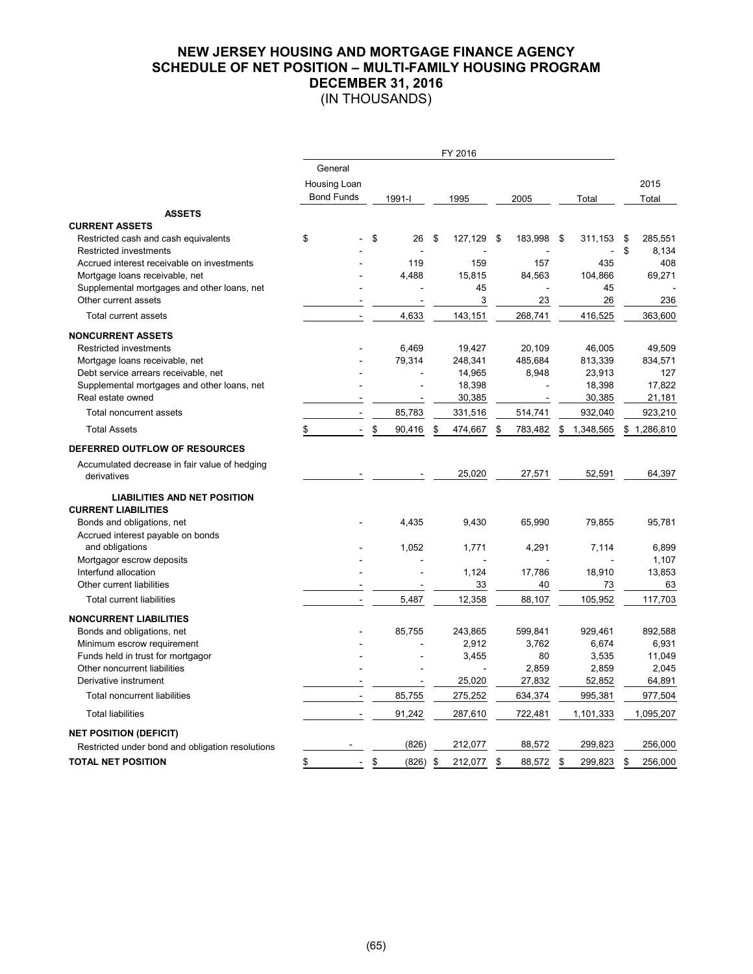# **NEW JERSEY HOUSING AND MORTGAGE FINANCE AGENCY SCHEDULE OF NET POSITION – MULTI-FAMILY HOUSING PROGRAM DECEMBER 31, 2016**

|                                                  |                   |                  | FY 2016       |               |                 |               |
|--------------------------------------------------|-------------------|------------------|---------------|---------------|-----------------|---------------|
|                                                  | General           |                  |               |               |                 |               |
|                                                  | Housing Loan      |                  |               |               |                 | 2015          |
|                                                  | <b>Bond Funds</b> |                  |               |               |                 |               |
|                                                  |                   | 1991-l           | 1995          | 2005          | Total           | Total         |
| <b>ASSETS</b>                                    |                   |                  |               |               |                 |               |
| <b>CURRENT ASSETS</b>                            |                   |                  |               |               |                 |               |
| Restricted cash and cash equivalents             | \$                | \$<br>26         | \$<br>127,129 | \$<br>183,998 | \$<br>311,153   | \$<br>285,551 |
| Restricted investments                           |                   |                  |               |               |                 | \$<br>8,134   |
| Accrued interest receivable on investments       |                   | 119              | 159           | 157           | 435             | 408           |
| Mortgage loans receivable, net                   |                   | 4,488            | 15,815        | 84,563        | 104,866         | 69,271        |
| Supplemental mortgages and other loans, net      |                   |                  | 45            |               | 45              |               |
| Other current assets                             |                   |                  | 3             | 23            | 26              | 236           |
| Total current assets                             |                   | 4,633            | 143,151       | 268,741       | 416,525         | 363,600       |
| <b>NONCURRENT ASSETS</b>                         |                   |                  |               |               |                 |               |
| Restricted investments                           |                   | 6,469            | 19,427        | 20,109        | 46,005          | 49,509        |
| Mortgage loans receivable, net                   |                   | 79,314           | 248,341       | 485,684       | 813,339         | 834,571       |
| Debt service arrears receivable, net             |                   |                  | 14,965        | 8,948         | 23,913          | 127           |
| Supplemental mortgages and other loans, net      |                   |                  | 18,398        |               | 18,398          | 17,822        |
| Real estate owned                                |                   |                  | 30,385        |               | 30,385          | 21,181        |
| Total noncurrent assets                          | ÷,                | 85,783           | 331,516       | 514,741       | 932,040         | 923,210       |
| <b>Total Assets</b>                              | \$                | \$<br>90,416     | \$<br>474,667 | \$<br>783,482 | \$<br>1,348,565 | \$1,286,810   |
| DEFERRED OUTFLOW OF RESOURCES                    |                   |                  |               |               |                 |               |
| Accumulated decrease in fair value of hedging    |                   |                  |               |               |                 |               |
| derivatives                                      |                   |                  | 25,020        | 27,571        | 52,591          | 64,397        |
| <b>LIABILITIES AND NET POSITION</b>              |                   |                  |               |               |                 |               |
| <b>CURRENT LIABILITIES</b>                       |                   |                  |               |               |                 |               |
| Bonds and obligations, net                       |                   | 4,435            | 9,430         | 65,990        | 79,855          | 95,781        |
| Accrued interest payable on bonds                |                   |                  |               |               |                 |               |
| and obligations                                  |                   | 1,052            | 1,771         | 4,291         | 7,114           | 6,899         |
| Mortgagor escrow deposits                        |                   |                  |               |               |                 | 1,107         |
| Interfund allocation                             |                   |                  | 1,124         | 17,786        | 18,910          | 13,853        |
| Other current liabilities                        |                   |                  | 33            | 40            | 73              | 63            |
| <b>Total current liabilities</b>                 |                   | 5,487            | 12,358        | 88,107        | 105.952         | 117.703       |
|                                                  |                   |                  |               |               |                 |               |
| <b>NONCURRENT LIABILITIES</b>                    |                   |                  |               |               |                 |               |
| Bonds and obligations, net                       |                   | 85,755           | 243,865       | 599,841       | 929,461         | 892,588       |
| Minimum escrow requirement                       |                   |                  | 2,912         | 3,762         | 6,674           | 6,931         |
| Funds held in trust for mortgagor                |                   |                  | 3,455         | 80            | 3,535           | 11,049        |
| Other noncurrent liabilities                     |                   |                  |               | 2,859         | 2,859           | 2,045         |
| Derivative instrument                            |                   |                  | 25,020        | 27,832        | 52,852          | 64,891        |
| <b>Total noncurrent liabilities</b>              |                   | 85,755           | 275,252       | 634,374       | 995,381         | 977,504       |
| <b>Total liabilities</b>                         |                   | 91,242           | 287,610       | 722,481       | 1,101,333       | 1,095,207     |
| <b>NET POSITION (DEFICIT)</b>                    |                   |                  |               |               |                 |               |
| Restricted under bond and obligation resolutions |                   | (826)            | 212,077       | 88,572        | 299,823         | 256,000       |
| <b>TOTAL NET POSITION</b>                        | \$<br>L.          | \$<br>$(826)$ \$ | 212,077       | \$<br>88,572  | \$<br>299,823   | \$<br>256.000 |